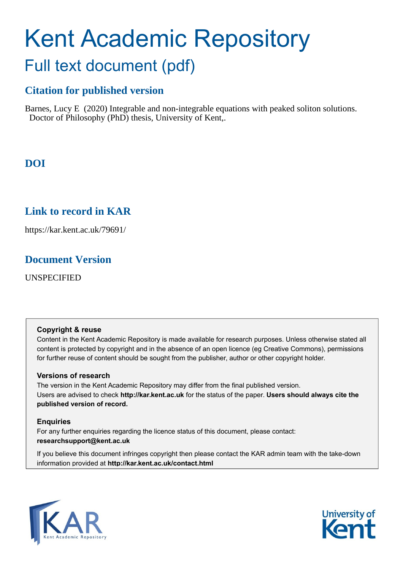# Kent Academic Repository Full text document (pdf)

# **Citation for published version**

Barnes, Lucy E (2020) Integrable and non-integrable equations with peaked soliton solutions. Doctor of Philosophy (PhD) thesis, University of Kent,.

# **DOI**

# **Link to record in KAR**

https://kar.kent.ac.uk/79691/

# **Document Version**

UNSPECIFIED

#### **Copyright & reuse**

Content in the Kent Academic Repository is made available for research purposes. Unless otherwise stated all content is protected by copyright and in the absence of an open licence (eg Creative Commons), permissions for further reuse of content should be sought from the publisher, author or other copyright holder.

#### **Versions of research**

The version in the Kent Academic Repository may differ from the final published version. Users are advised to check **http://kar.kent.ac.uk** for the status of the paper. **Users should always cite the published version of record.**

#### **Enquiries**

For any further enquiries regarding the licence status of this document, please contact: **researchsupport@kent.ac.uk**

If you believe this document infringes copyright then please contact the KAR admin team with the take-down information provided at **http://kar.kent.ac.uk/contact.html**



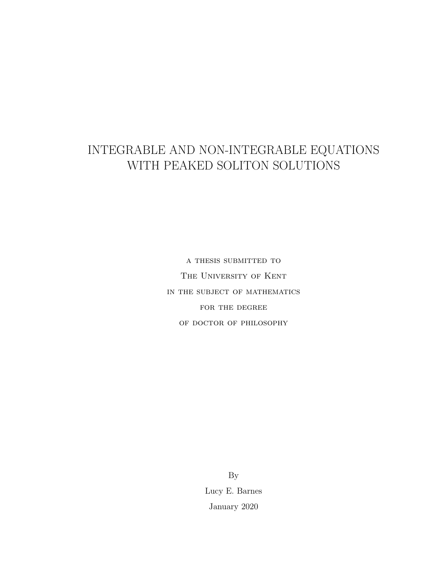# INTEGRABLE AND NON-INTEGRABLE EQUATIONS WITH PEAKED SOLITON SOLUTIONS

a thesis submitted to The University of Kent in the subject of mathematics FOR THE DEGREE of doctor of philosophy

> By Lucy E. Barnes January 2020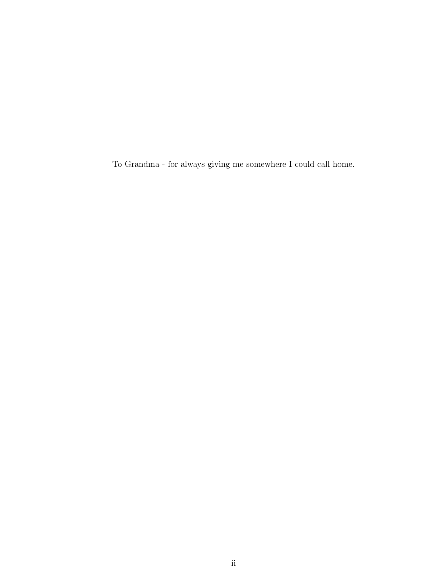To Grandma - for always giving me somewhere I could call home.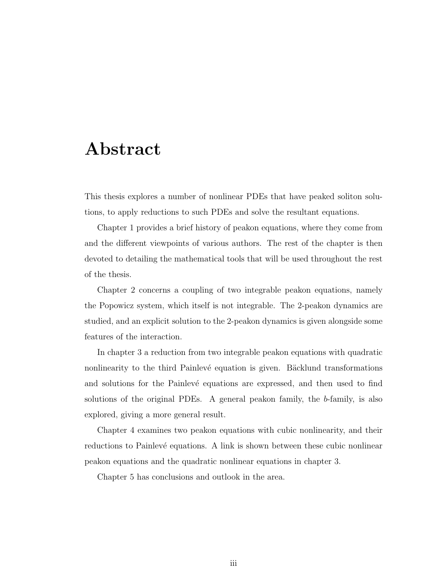# Abstract

This thesis explores a number of nonlinear PDEs that have peaked soliton solutions, to apply reductions to such PDEs and solve the resultant equations.

Chapter 1 provides a brief history of peakon equations, where they come from and the different viewpoints of various authors. The rest of the chapter is then devoted to detailing the mathematical tools that will be used throughout the rest of the thesis.

Chapter 2 concerns a coupling of two integrable peakon equations, namely the Popowicz system, which itself is not integrable. The 2-peakon dynamics are studied, and an explicit solution to the 2-peakon dynamics is given alongside some features of the interaction.

In chapter 3 a reduction from two integrable peakon equations with quadratic nonlinearity to the third Painlevé equation is given. Bäcklund transformations and solutions for the Painlevé equations are expressed, and then used to find solutions of the original PDEs. A general peakon family, the b-family, is also explored, giving a more general result.

Chapter 4 examines two peakon equations with cubic nonlinearity, and their reductions to Painlevé equations. A link is shown between these cubic nonlinear peakon equations and the quadratic nonlinear equations in chapter 3.

Chapter 5 has conclusions and outlook in the area.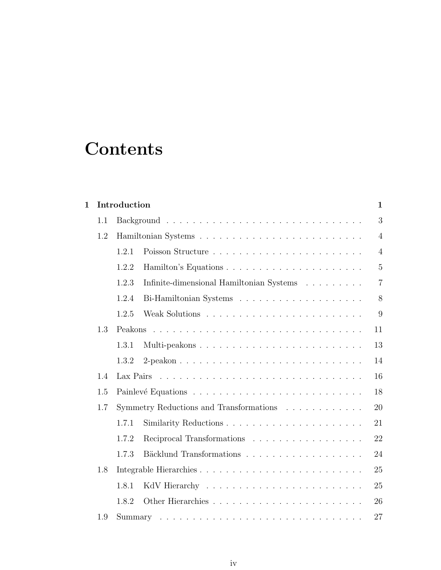# **Contents**

| $\mathbf{1}$ |     | Introduction |                                                                           |                |  |  |  |
|--------------|-----|--------------|---------------------------------------------------------------------------|----------------|--|--|--|
|              | 1.1 |              |                                                                           |                |  |  |  |
|              | 1.2 |              | $\overline{4}$                                                            |                |  |  |  |
|              |     | 1.2.1        |                                                                           | $\overline{4}$ |  |  |  |
|              |     | 1.2.2        |                                                                           | $\overline{5}$ |  |  |  |
|              |     | 1.2.3        | Infinite-dimensional Hamiltonian Systems $\hfill\ldots\ldots\ldots\ldots$ | 7              |  |  |  |
|              |     | 1.2.4        |                                                                           | 8              |  |  |  |
|              |     | 1.2.5        |                                                                           | 9              |  |  |  |
|              | 1.3 |              |                                                                           | 11             |  |  |  |
|              |     | 1.3.1        | Multi-peakons                                                             | 13             |  |  |  |
|              |     | 1.3.2        |                                                                           | 14             |  |  |  |
|              | 1.4 |              |                                                                           | 16             |  |  |  |
|              | 1.5 | 18           |                                                                           |                |  |  |  |
|              | 1.7 |              | Symmetry Reductions and Transformations<br>20                             |                |  |  |  |
|              |     | 1.7.1        |                                                                           | 21             |  |  |  |
|              |     | 1.7.2        | Reciprocal Transformations                                                | 22             |  |  |  |
|              |     | 1.7.3        |                                                                           | 24             |  |  |  |
|              | 1.8 |              |                                                                           | 25             |  |  |  |
|              |     | 1.8.1        |                                                                           | 25             |  |  |  |
|              |     | 1.8.2        |                                                                           | 26             |  |  |  |
|              | 1.9 |              |                                                                           | 27             |  |  |  |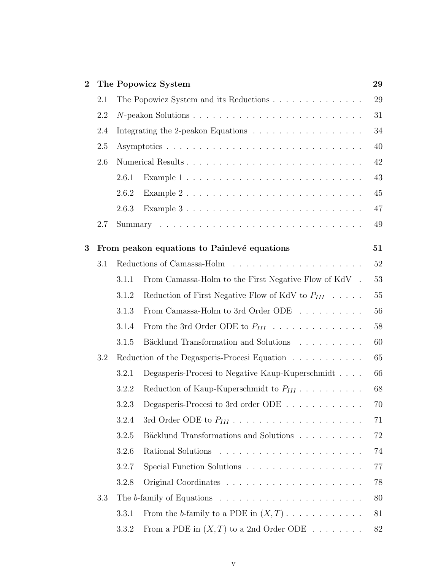| $\bf{2}$ | The Popowicz System |       |                                                                             | 29 |
|----------|---------------------|-------|-----------------------------------------------------------------------------|----|
|          | 2.1                 |       | The Popowicz System and its Reductions                                      | 29 |
|          | 2.2                 |       |                                                                             |    |
|          | 2.4                 |       |                                                                             |    |
|          | 2.5                 |       |                                                                             |    |
|          | 2.6                 |       |                                                                             |    |
|          |                     | 2.6.1 |                                                                             | 43 |
|          |                     | 2.6.2 |                                                                             | 45 |
|          |                     | 2.6.3 |                                                                             | 47 |
|          | 2.7                 |       |                                                                             | 49 |
| 3        |                     |       | From peakon equations to Painlevé equations                                 | 51 |
|          | 3.1                 |       |                                                                             | 52 |
|          |                     | 3.1.1 | From Camassa-Holm to the First Negative Flow of KdV.                        | 53 |
|          |                     | 3.1.2 | Reduction of First Negative Flow of KdV to $P_{III}$                        | 55 |
|          |                     | 3.1.3 | From Camassa-Holm to 3rd Order ODE                                          | 56 |
|          |                     | 3.1.4 | From the 3rd Order ODE to $P_{III}$                                         | 58 |
|          |                     | 3.1.5 | Bäcklund Transformation and Solutions                                       | 60 |
|          | 3.2                 |       | Reduction of the Degasperis-Procesi Equation                                | 65 |
|          |                     | 3.2.1 | Degasperis-Procesi to Negative Kaup-Kuperschmidt                            | 66 |
|          |                     | 3.2.2 | Reduction of Kaup-Kuperschmidt to $P_{III}$                                 | 68 |
|          |                     |       | 3.2.3 Degasperis-Procesi to 3rd order ODE                                   | 70 |
|          |                     | 3.2.4 |                                                                             | 71 |
|          |                     | 3.2.5 | Bäcklund Transformations and Solutions                                      | 72 |
|          |                     | 3.2.6 |                                                                             | 74 |
|          |                     | 3.2.7 |                                                                             | 77 |
|          |                     | 3.2.8 |                                                                             | 78 |
|          | 3.3                 |       | The b-family of Equations $\dots \dots \dots \dots \dots \dots \dots \dots$ | 80 |
|          |                     | 3.3.1 | From the b-family to a PDE in $(X,T)$                                       | 81 |
|          |                     | 3.3.2 | From a PDE in $(X, T)$ to a 2nd Order ODE                                   | 82 |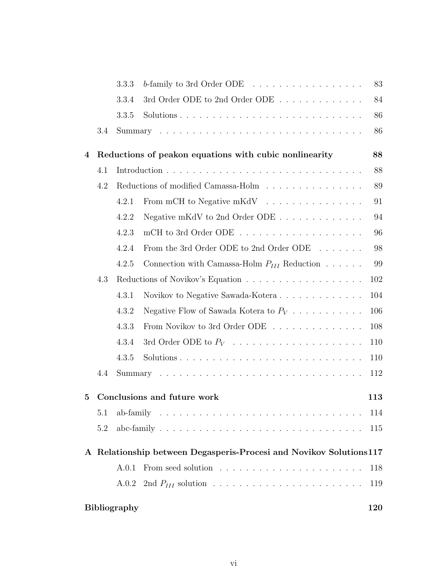|   |                             | 3.3.3                                                                                    | b-family to 3rd Order ODE $\ldots \ldots \ldots \ldots \ldots$ | 83  |  |  |  |  |
|---|-----------------------------|------------------------------------------------------------------------------------------|----------------------------------------------------------------|-----|--|--|--|--|
|   |                             | 3.3.4                                                                                    | 3rd Order ODE to 2nd Order ODE                                 | 84  |  |  |  |  |
|   |                             | 3.3.5                                                                                    |                                                                | 86  |  |  |  |  |
|   | 3.4                         |                                                                                          |                                                                | 86  |  |  |  |  |
| 4 |                             |                                                                                          | Reductions of peakon equations with cubic nonlinearity         | 88  |  |  |  |  |
|   | 4.1                         |                                                                                          |                                                                | 88  |  |  |  |  |
|   | 4.2                         |                                                                                          | Reductions of modified Camassa-Holm                            | 89  |  |  |  |  |
|   |                             | 4.2.1                                                                                    | From mCH to Negative mKdV                                      | 91  |  |  |  |  |
|   |                             | 4.2.2                                                                                    | Negative mKdV to 2nd Order ODE $\ldots \ldots \ldots \ldots$   | 94  |  |  |  |  |
|   |                             | 4.2.3                                                                                    |                                                                | 96  |  |  |  |  |
|   |                             | 4.2.4                                                                                    | From the 3rd Order ODE to 2nd Order ODE $\ldots \ldots$        | 98  |  |  |  |  |
|   |                             | 4.2.5                                                                                    | Connection with Camassa-Holm $P_{III}$ Reduction               | 99  |  |  |  |  |
|   | 4.3                         |                                                                                          |                                                                | 102 |  |  |  |  |
|   |                             | 4.3.1                                                                                    | Novikov to Negative Sawada-Kotera                              | 104 |  |  |  |  |
|   |                             | 4.3.2                                                                                    | Negative Flow of Sawada Kotera to $P_V$                        | 106 |  |  |  |  |
|   |                             | 4.3.3                                                                                    | From Novikov to 3rd Order ODE                                  | 108 |  |  |  |  |
|   |                             | 4.3.4                                                                                    | 3rd Order ODE to $P_V$                                         | 110 |  |  |  |  |
|   |                             | 4.3.5                                                                                    |                                                                | 110 |  |  |  |  |
|   | 4.4                         |                                                                                          |                                                                | 112 |  |  |  |  |
| 5 | Conclusions and future work |                                                                                          |                                                                | 113 |  |  |  |  |
|   | 5.1                         | ab-family $\ldots \ldots \ldots \ldots \ldots \ldots \ldots \ldots \ldots \ldots \ldots$ |                                                                |     |  |  |  |  |
|   | 5.2                         |                                                                                          |                                                                | 115 |  |  |  |  |
|   |                             | A Relationship between Degasperis-Procesi and Novikov Solutions 117                      |                                                                |     |  |  |  |  |
|   |                             | A.0.1                                                                                    |                                                                | 118 |  |  |  |  |
|   |                             | A.0.2                                                                                    |                                                                | 119 |  |  |  |  |
|   |                             | <b>Bibliography</b>                                                                      |                                                                | 120 |  |  |  |  |
|   |                             |                                                                                          |                                                                |     |  |  |  |  |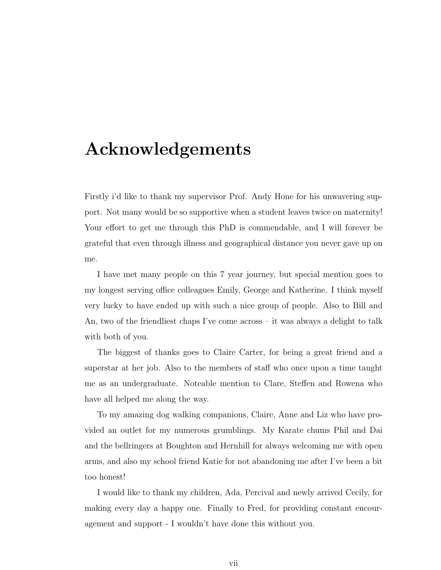# Acknowledgements

Firstly i'd like to thank my supervisor Prof. Andy Hone for his unwavering support. Not many would be so supportive when a student leaves twice on maternity! Your effort to get me through this PhD is commendable, and I will forever be grateful that even through illness and geographical distance you never gave up on me.

I have met many people on this 7 year journey, but special mention goes to my longest serving office colleagues Emily, George and Katherine. I think myself very lucky to have ended up with such a nice group of people. Also to Bill and An, two of the friendliest chaps I've come across – it was always a delight to talk with both of you.

The biggest of thanks goes to Claire Carter, for being a great friend and a superstar at her job. Also to the members of staff who once upon a time taught me as an undergraduate. Noteable mention to Clare, Steffen and Rowena who have all helped me along the way.

To my amazing dog walking companions, Claire, Anne and Liz who have provided an outlet for my numerous grumblings. My Karate chums Phil and Dai and the bellringers at Boughton and Hernhill for always welcoming me with open arms, and also my school friend Katie for not abandoning me after I've been a bit too honest!

I would like to thank my children, Ada, Percival and newly arrived Cecily, for making every day a happy one. Finally to Fred, for providing constant encouragement and support - I wouldn't have done this without you.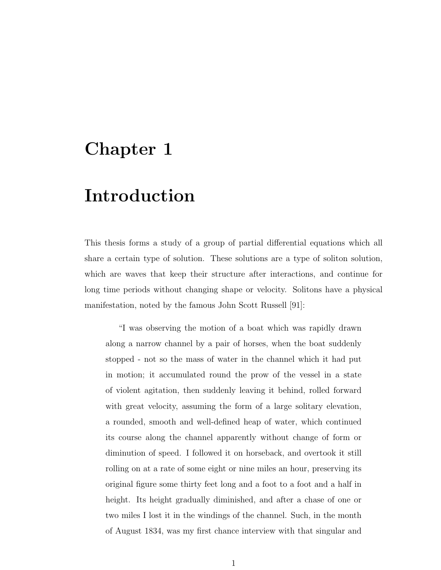# Chapter 1

# Introduction

This thesis forms a study of a group of partial differential equations which all share a certain type of solution. These solutions are a type of soliton solution, which are waves that keep their structure after interactions, and continue for long time periods without changing shape or velocity. Solitons have a physical manifestation, noted by the famous John Scott Russell [91]:

"I was observing the motion of a boat which was rapidly drawn along a narrow channel by a pair of horses, when the boat suddenly stopped - not so the mass of water in the channel which it had put in motion; it accumulated round the prow of the vessel in a state of violent agitation, then suddenly leaving it behind, rolled forward with great velocity, assuming the form of a large solitary elevation, a rounded, smooth and well-defined heap of water, which continued its course along the channel apparently without change of form or diminution of speed. I followed it on horseback, and overtook it still rolling on at a rate of some eight or nine miles an hour, preserving its original figure some thirty feet long and a foot to a foot and a half in height. Its height gradually diminished, and after a chase of one or two miles I lost it in the windings of the channel. Such, in the month of August 1834, was my first chance interview with that singular and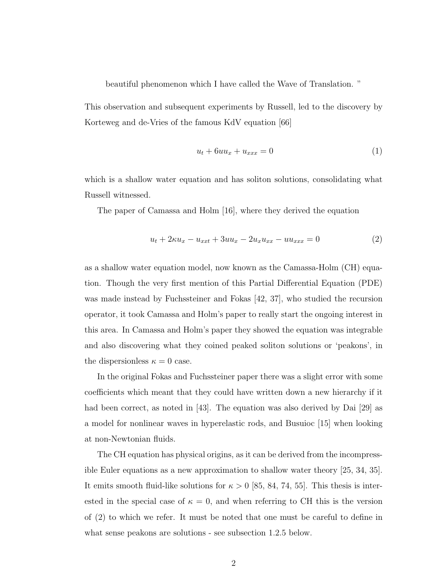beautiful phenomenon which I have called the Wave of Translation. "

This observation and subsequent experiments by Russell, led to the discovery by Korteweg and de-Vries of the famous KdV equation [66]

$$
u_t + 6uu_x + u_{xxx} = 0 \tag{1}
$$

which is a shallow water equation and has soliton solutions, consolidating what Russell witnessed.

The paper of Camassa and Holm [16], where they derived the equation

$$
u_t + 2\kappa u_x - u_{xxt} + 3uu_x - 2u_x u_{xx} - uu_{xxx} = 0
$$
 (2)

as a shallow water equation model, now known as the Camassa-Holm (CH) equation. Though the very first mention of this Partial Differential Equation (PDE) was made instead by Fuchssteiner and Fokas [42, 37], who studied the recursion operator, it took Camassa and Holm's paper to really start the ongoing interest in this area. In Camassa and Holm's paper they showed the equation was integrable and also discovering what they coined peaked soliton solutions or 'peakons', in the dispersionless  $\kappa = 0$  case.

In the original Fokas and Fuchssteiner paper there was a slight error with some coefficients which meant that they could have written down a new hierarchy if it had been correct, as noted in [43]. The equation was also derived by Dai [29] as a model for nonlinear waves in hyperelastic rods, and Busuioc [15] when looking at non-Newtonian fluids.

The CH equation has physical origins, as it can be derived from the incompressible Euler equations as a new approximation to shallow water theory [25, 34, 35]. It emits smooth fluid-like solutions for  $\kappa > 0$  [85, 84, 74, 55]. This thesis is interested in the special case of  $\kappa = 0$ , and when referring to CH this is the version of (2) to which we refer. It must be noted that one must be careful to define in what sense peakons are solutions - see subsection 1.2.5 below.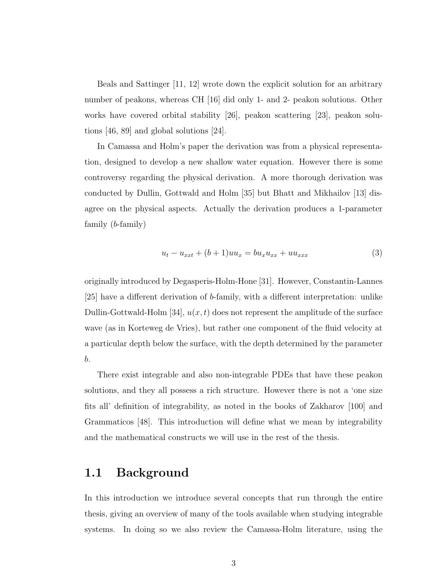Beals and Sattinger [11, 12] wrote down the explicit solution for an arbitrary number of peakons, whereas CH [16] did only 1- and 2- peakon solutions. Other works have covered orbital stability [26], peakon scattering [23], peakon solutions [46, 89] and global solutions [24].

In Camassa and Holm's paper the derivation was from a physical representation, designed to develop a new shallow water equation. However there is some controversy regarding the physical derivation. A more thorough derivation was conducted by Dullin, Gottwald and Holm [35] but Bhatt and Mikhailov [13] disagree on the physical aspects. Actually the derivation produces a 1-parameter family (b-family)

$$
u_t - u_{xxt} + (b+1)uu_x = bu_xu_{xx} + uu_{xxx}
$$
 (3)

originally introduced by Degasperis-Holm-Hone [31]. However, Constantin-Lannes [25] have a different derivation of b-family, with a different interpretation: unlike Dullin-Gottwald-Holm [34],  $u(x, t)$  does not represent the amplitude of the surface wave (as in Korteweg de Vries), but rather one component of the fluid velocity at a particular depth below the surface, with the depth determined by the parameter b.

There exist integrable and also non-integrable PDEs that have these peakon solutions, and they all possess a rich structure. However there is not a 'one size fits all' definition of integrability, as noted in the books of Zakharov [100] and Grammaticos [48]. This introduction will define what we mean by integrability and the mathematical constructs we will use in the rest of the thesis.

#### 1.1 Background

In this introduction we introduce several concepts that run through the entire thesis, giving an overview of many of the tools available when studying integrable systems. In doing so we also review the Camassa-Holm literature, using the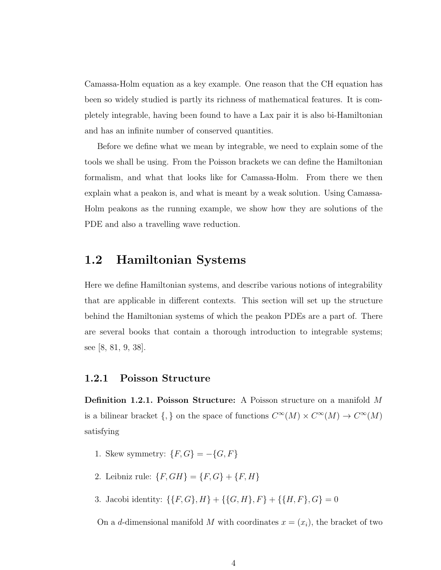Camassa-Holm equation as a key example. One reason that the CH equation has been so widely studied is partly its richness of mathematical features. It is completely integrable, having been found to have a Lax pair it is also bi-Hamiltonian and has an infinite number of conserved quantities.

Before we define what we mean by integrable, we need to explain some of the tools we shall be using. From the Poisson brackets we can define the Hamiltonian formalism, and what that looks like for Camassa-Holm. From there we then explain what a peakon is, and what is meant by a weak solution. Using Camassa-Holm peakons as the running example, we show how they are solutions of the PDE and also a travelling wave reduction.

### 1.2 Hamiltonian Systems

Here we define Hamiltonian systems, and describe various notions of integrability that are applicable in different contexts. This section will set up the structure behind the Hamiltonian systems of which the peakon PDEs are a part of. There are several books that contain a thorough introduction to integrable systems; see [8, 81, 9, 38].

#### 1.2.1 Poisson Structure

Definition 1.2.1. Poisson Structure: A Poisson structure on a manifold M is a bilinear bracket  $\{,\}$  on the space of functions  $C^{\infty}(M) \times C^{\infty}(M) \to C^{\infty}(M)$ satisfying

- 1. Skew symmetry:  $\{F,G\}=-\{G,F\}$
- 2. Leibniz rule:  $\{F, GH\} = \{F, G\} + \{F, H\}$
- 3. Jacobi identity:  $\{\{F, G\}, H\} + \{\{G, H\}, F\} + \{\{H, F\}, G\} = 0$

On a d-dimensional manifold M with coordinates  $x = (x_i)$ , the bracket of two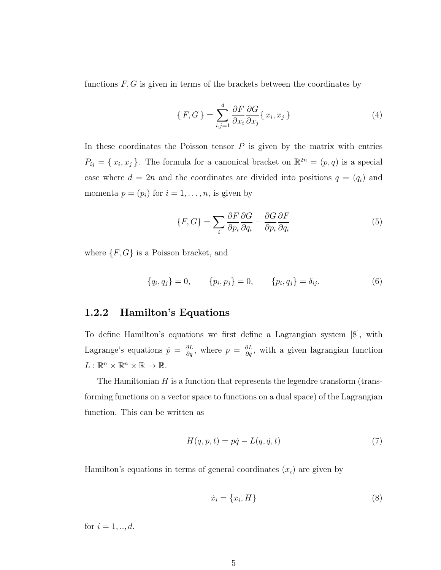functions  $F, G$  is given in terms of the brackets between the coordinates by

$$
\{F, G\} = \sum_{i,j=1}^{d} \frac{\partial F}{\partial x_i} \frac{\partial G}{\partial x_j} \{x_i, x_j\}
$$
\n(4)

In these coordinates the Poisson tensor  $P$  is given by the matrix with entries  $P_{ij} = \{x_i, x_j\}$ . The formula for a canonical bracket on  $\mathbb{R}^{2n} = (p, q)$  is a special case where  $d = 2n$  and the coordinates are divided into positions  $q = (q_i)$  and momenta  $p = (p_i)$  for  $i = 1, ..., n$ , is given by

$$
\{F, G\} = \sum_{i} \frac{\partial F}{\partial p_i} \frac{\partial G}{\partial q_i} - \frac{\partial G}{\partial p_i} \frac{\partial F}{\partial q_i}
$$
(5)

where  $\{F, G\}$  is a Poisson bracket, and

$$
\{q_i, q_j\} = 0, \qquad \{p_i, p_j\} = 0, \qquad \{p_i, q_j\} = \delta_{ij}.
$$
 (6)

#### 1.2.2 Hamilton's Equations

To define Hamilton's equations we first define a Lagrangian system [8], with Lagrange's equations  $\dot{p} = \frac{\partial L}{\partial q}$ , where  $p = \frac{\partial L}{\partial \dot{q}}$  $\frac{\partial L}{\partial \dot{q}}$ , with a given lagrangian function  $L: \mathbb{R}^n \times \mathbb{R}^n \times \mathbb{R} \to \mathbb{R}$ .

The Hamiltonian  $H$  is a function that represents the legendre transform (transforming functions on a vector space to functions on a dual space) of the Lagrangian function. This can be written as

$$
H(q, p, t) = p\dot{q} - L(q, \dot{q}, t) \tag{7}
$$

Hamilton's equations in terms of general coordinates  $(x_i)$  are given by

$$
\dot{x}_i = \{x_i, H\} \tag{8}
$$

for  $i = 1, ..., d$ .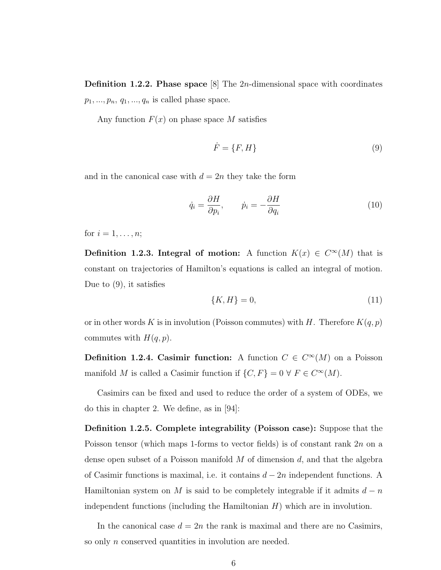**Definition 1.2.2. Phase space** [8] The 2*n*-dimensional space with coordinates  $p_1, ..., p_n, q_1, ..., q_n$  is called phase space.

Any function  $F(x)$  on phase space M satisfies

$$
\dot{F} = \{F, H\} \tag{9}
$$

and in the canonical case with  $d = 2n$  they take the form

$$
\dot{q}_i = \frac{\partial H}{\partial p_i}, \qquad \dot{p}_i = -\frac{\partial H}{\partial q_i} \tag{10}
$$

for  $i = 1, \ldots, n;$ 

**Definition 1.2.3. Integral of motion:** A function  $K(x) \in C^{\infty}(M)$  that is constant on trajectories of Hamilton's equations is called an integral of motion. Due to (9), it satisfies

$$
\{K, H\} = 0,\tag{11}
$$

or in other words K is in involution (Poisson commutes) with H. Therefore  $K(q, p)$ commutes with  $H(q, p)$ .

**Definition 1.2.4. Casimir function:** A function  $C \in C^{\infty}(M)$  on a Poisson manifold M is called a Casimir function if  $\{C, F\} = 0 \forall F \in C^{\infty}(M)$ .

Casimirs can be fixed and used to reduce the order of a system of ODEs, we do this in chapter 2. We define, as in [94]:

Definition 1.2.5. Complete integrability (Poisson case): Suppose that the Poisson tensor (which maps 1-forms to vector fields) is of constant rank 2n on a dense open subset of a Poisson manifold  $M$  of dimension  $d$ , and that the algebra of Casimir functions is maximal, i.e. it contains  $d - 2n$  independent functions. A Hamiltonian system on M is said to be completely integrable if it admits  $d - n$ independent functions (including the Hamiltonian  $H$ ) which are in involution.

In the canonical case  $d = 2n$  the rank is maximal and there are no Casimirs, so only *n* conserved quantities in involution are needed.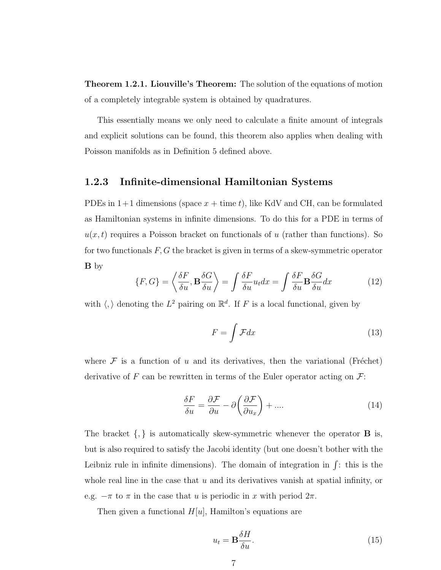Theorem 1.2.1. Liouville's Theorem: The solution of the equations of motion of a completely integrable system is obtained by quadratures.

This essentially means we only need to calculate a finite amount of integrals and explicit solutions can be found, this theorem also applies when dealing with Poisson manifolds as in Definition 5 defined above.

#### 1.2.3 Infinite-dimensional Hamiltonian Systems

PDEs in  $1+1$  dimensions (space  $x + \text{time } t$ ), like KdV and CH, can be formulated as Hamiltonian systems in infinite dimensions. To do this for a PDE in terms of  $u(x, t)$  requires a Poisson bracket on functionals of u (rather than functions). So for two functionals  $F, G$  the bracket is given in terms of a skew-symmetric operator B by

$$
\{F, G\} = \left\langle \frac{\delta F}{\delta u}, \mathbf{B} \frac{\delta G}{\delta u} \right\rangle = \int \frac{\delta F}{\delta u} u_t dx = \int \frac{\delta F}{\delta u} \mathbf{B} \frac{\delta G}{\delta u} dx \tag{12}
$$

with  $\langle, \rangle$  denoting the  $L^2$  pairing on  $\mathbb{R}^d$ . If F is a local functional, given by

$$
F = \int \mathcal{F} dx \tag{13}
$$

where  $\mathcal F$  is a function of u and its derivatives, then the variational (Fréchet) derivative of F can be rewritten in terms of the Euler operator acting on  $\mathcal{F}$ :

$$
\frac{\delta F}{\delta u} = \frac{\partial \mathcal{F}}{\partial u} - \partial \left(\frac{\partial \mathcal{F}}{\partial u_x}\right) + \dots
$$
 (14)

The bracket  $\{,\}$  is automatically skew-symmetric whenever the operator **B** is, but is also required to satisfy the Jacobi identity (but one doesn't bother with the Leibniz rule in infinite dimensions). The domain of integration in  $\int$ : this is the whole real line in the case that  $u$  and its derivatives vanish at spatial infinity, or e.g.  $-\pi$  to  $\pi$  in the case that u is periodic in x with period  $2\pi$ .

Then given a functional  $H[u]$ , Hamilton's equations are

$$
u_t = \mathbf{B} \frac{\delta H}{\delta u}.\tag{15}
$$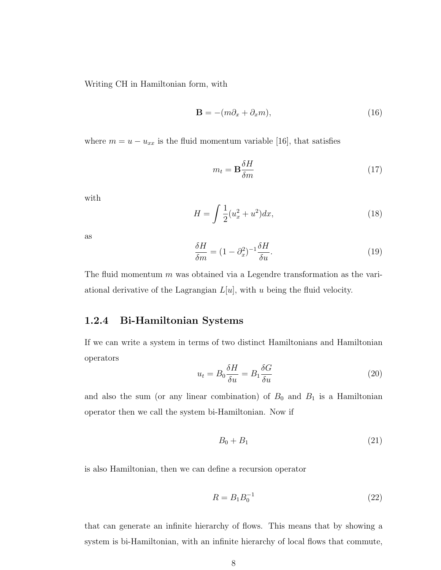Writing CH in Hamiltonian form, with

$$
\mathbf{B} = -(m\partial_x + \partial_x m),\tag{16}
$$

where  $m = u - u_{xx}$  is the fluid momentum variable [16], that satisfies

$$
m_t = \mathbf{B} \frac{\delta H}{\delta m} \tag{17}
$$

with

$$
H = \int \frac{1}{2} (u_x^2 + u^2) dx,\tag{18}
$$

as

$$
\frac{\delta H}{\delta m} = (1 - \partial_x^2)^{-1} \frac{\delta H}{\delta u}.
$$
\n(19)

The fluid momentum  $m$  was obtained via a Legendre transformation as the variational derivative of the Lagrangian  $L[u]$ , with u being the fluid velocity.

#### 1.2.4 Bi-Hamiltonian Systems

If we can write a system in terms of two distinct Hamiltonians and Hamiltonian operators

$$
u_t = B_0 \frac{\delta H}{\delta u} = B_1 \frac{\delta G}{\delta u} \tag{20}
$$

and also the sum (or any linear combination) of  $B_0$  and  $B_1$  is a Hamiltonian operator then we call the system bi-Hamiltonian. Now if

$$
B_0 + B_1 \tag{21}
$$

is also Hamiltonian, then we can define a recursion operator

$$
R = B_1 B_0^{-1}
$$
\n(22)

that can generate an infinite hierarchy of flows. This means that by showing a system is bi-Hamiltonian, with an infinite hierarchy of local flows that commute,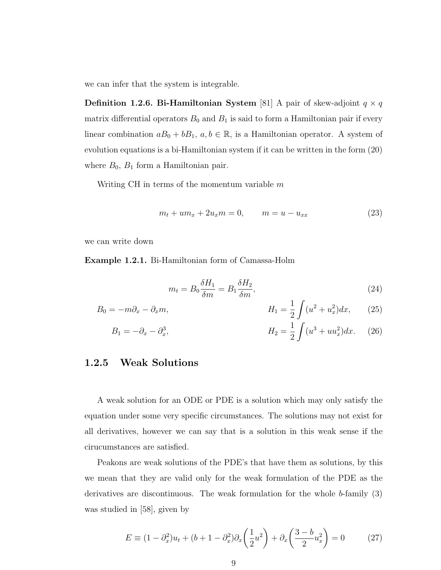we can infer that the system is integrable.

**Definition 1.2.6. Bi-Hamiltonian System** [81] A pair of skew-adjoint  $q \times q$ matrix differential operators  $B_0$  and  $B_1$  is said to form a Hamiltonian pair if every linear combination  $aB_0 + bB_1$ ,  $a, b \in \mathbb{R}$ , is a Hamiltonian operator. A system of evolution equations is a bi-Hamiltonian system if it can be written in the form (20) where  $B_0$ ,  $B_1$  form a Hamiltonian pair.

Writing CH in terms of the momentum variable  $m$ 

$$
m_t + um_x + 2u_x m = 0, \qquad m = u - u_{xx}
$$
 (23)

we can write down

Example 1.2.1. Bi-Hamiltonian form of Camassa-Holm

$$
m_t = B_0 \frac{\delta H_1}{\delta m} = B_1 \frac{\delta H_2}{\delta m},\tag{24}
$$

$$
B_0 = -m\partial_x - \partial_x m,
$$
  
\n
$$
H_1 = \frac{1}{2} \int (u^2 + u_x^2) dx,
$$
 (25)

$$
B_1 = -\partial_x - \partial_x^3, \qquad H_2 = \frac{1}{2} \int (u^3 + uu_x^2) dx. \tag{26}
$$

#### 1.2.5 Weak Solutions

A weak solution for an ODE or PDE is a solution which may only satisfy the equation under some very specific circumstances. The solutions may not exist for all derivatives, however we can say that is a solution in this weak sense if the cirucumstances are satisfied.

Peakons are weak solutions of the PDE's that have them as solutions, by this we mean that they are valid only for the weak formulation of the PDE as the derivatives are discontinuous. The weak formulation for the whole  $b$ -family  $(3)$ was studied in [58], given by

$$
E = (1 - \partial_x^2)u_t + (b + 1 - \partial_x^2)\partial_x \left(\frac{1}{2}u^2\right) + \partial_x \left(\frac{3 - b}{2}u_x^2\right) = 0 \tag{27}
$$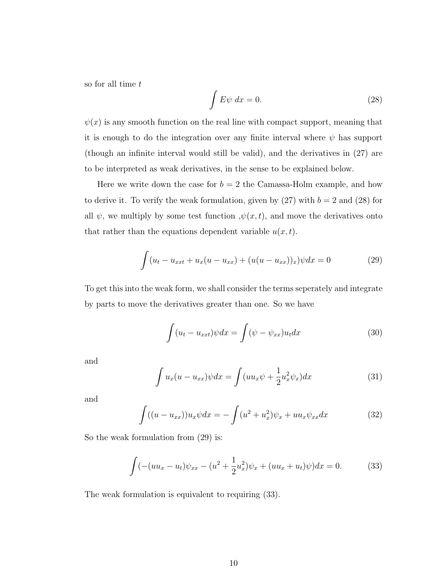so for all time t

$$
\int E\psi \, dx = 0. \tag{28}
$$

 $\psi(x)$  is any smooth function on the real line with compact support, meaning that it is enough to do the integration over any finite interval where  $\psi$  has support (though an infinite interval would still be valid), and the derivatives in (27) are to be interpreted as weak derivatives, in the sense to be explained below.

Here we write down the case for  $b = 2$  the Camassa-Holm example, and how to derive it. To verify the weak formulation, given by  $(27)$  with  $b = 2$  and  $(28)$  for all  $\psi$ , we multiply by some test function  $, \psi(x, t)$ , and move the derivatives onto that rather than the equations dependent variable  $u(x, t)$ .

$$
\int (u_t - u_{xxt} + u_x(u - u_{xx}) + (u(u - u_{xx}))_x) \psi dx = 0 \tag{29}
$$

To get this into the weak form, we shall consider the terms seperately and integrate by parts to move the derivatives greater than one. So we have

$$
\int (u_t - u_{xxt}) \psi dx = \int (\psi - \psi_{xx}) u_t dx \tag{30}
$$

and

$$
\int u_x(u - u_{xx})\psi dx = \int (uu_x\psi + \frac{1}{2}u_x^2\psi_x)dx\tag{31}
$$

and

$$
\int ((u - u_{xx}))u_x \psi dx = -\int (u^2 + u_x^2)\psi_x + uu_x \psi_{xx} dx \tag{32}
$$

So the weak formulation from  $(29)$  is:

$$
\int (-(uu_x - u_t)\psi_{xx} - (u^2 + \frac{1}{2}u_x^2)\psi_x + (uu_x + u_t)\psi)dx = 0.
$$
 (33)

The weak formulation is equivalent to requiring (33).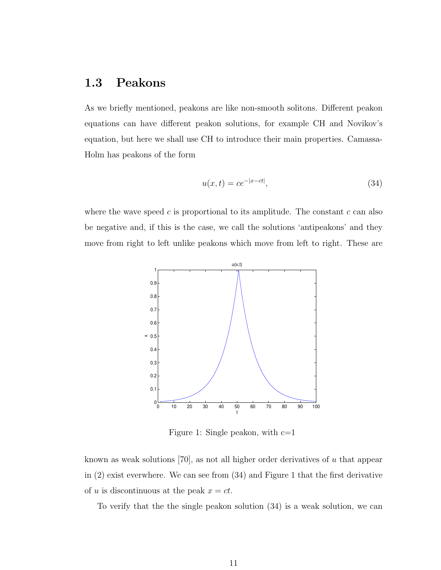## 1.3 Peakons

As we briefly mentioned, peakons are like non-smooth solitons. Different peakon equations can have different peakon solutions, for example CH and Novikov's equation, but here we shall use CH to introduce their main properties. Camassa-Holm has peakons of the form

$$
u(x,t) = ce^{-|x-ct|},
$$
\n(34)

where the wave speed c is proportional to its amplitude. The constant  $c$  can also be negative and, if this is the case, we call the solutions 'antipeakons' and they move from right to left unlike peakons which move from left to right. These are



Figure 1: Single peakon, with  $c=1$ 

known as weak solutions [70], as not all higher order derivatives of  $u$  that appear in (2) exist everwhere. We can see from (34) and Figure 1 that the first derivative of u is discontinuous at the peak  $x = ct$ .

To verify that the the single peakon solution (34) is a weak solution, we can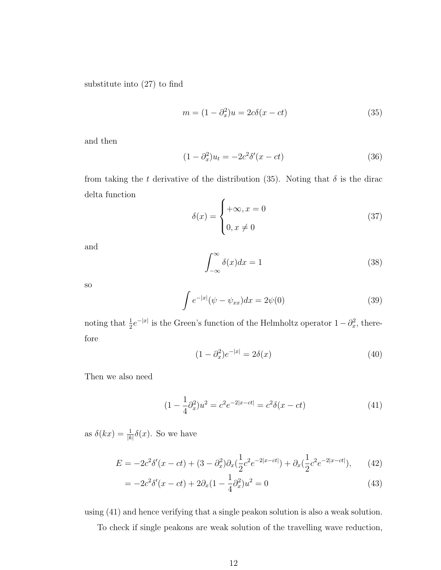substitute into (27) to find

$$
m = (1 - \partial_x^2)u = 2c\delta(x - ct)
$$
\n(35)

and then

$$
(1 - \partial_x^2)u_t = -2c^2 \delta'(x - ct)
$$
\n(36)

from taking the t derivative of the distribution (35). Noting that  $\delta$  is the dirac delta function

$$
\delta(x) = \begin{cases}\n+\infty, x = 0 \\
0, x \neq 0\n\end{cases}
$$
\n(37)

and

$$
\int_{-\infty}^{\infty} \delta(x)dx = 1\tag{38}
$$

so

$$
\int e^{-|x|} (\psi - \psi_{xx}) dx = 2\psi(0)
$$
\n(39)

noting that  $\frac{1}{2}e^{-|x|}$  is the Green's function of the Helmholtz operator  $1-\partial_x^2$ , therefore

$$
(1 - \partial_x^2)e^{-|x|} = 2\delta(x)
$$
 (40)

Then we also need

$$
(1 - \frac{1}{4}\partial_x^2)u^2 = c^2 e^{-2|x - ct|} = c^2 \delta(x - ct)
$$
\n(41)

as  $\delta(kx) = \frac{1}{|k|} \delta(x)$ . So we have

$$
E = -2c^2 \delta'(x - ct) + (3 - \partial_x^2) \partial_x (\frac{1}{2}c^2 e^{-2|x - ct|}) + \partial_x (\frac{1}{2}c^2 e^{-2|x - ct|}), \qquad (42)
$$

$$
= -2c^2 \delta'(x - ct) + 2\partial_x (1 - \frac{1}{4}\partial_x^2) u^2 = 0
$$
\n(43)

using (41) and hence verifying that a single peakon solution is also a weak solution.

To check if single peakons are weak solution of the travelling wave reduction,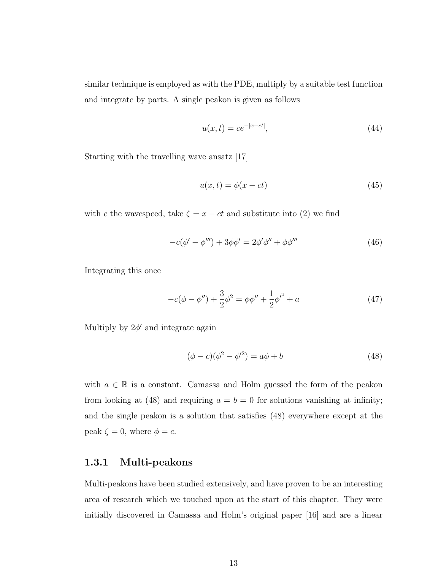similar technique is employed as with the PDE, multiply by a suitable test function and integrate by parts. A single peakon is given as follows

$$
u(x,t) = ce^{-|x-ct|},
$$
\n(44)

Starting with the travelling wave ansatz [17]

$$
u(x,t) = \phi(x - ct)
$$
\n(45)

with c the wavespeed, take  $\zeta = x - ct$  and substitute into (2) we find

$$
-c(\phi' - \phi''') + 3\phi\phi' = 2\phi'\phi'' + \phi\phi'''
$$
\n(46)

Integrating this once

$$
-c(\phi - \phi'') + \frac{3}{2}\phi^2 = \phi\phi'' + \frac{1}{2}\phi'^2 + a \tag{47}
$$

Multiply by  $2\phi'$  and integrate again

$$
(\phi - c)(\phi^2 - \phi'^2) = a\phi + b \tag{48}
$$

with  $a \in \mathbb{R}$  is a constant. Camassa and Holm guessed the form of the peakon from looking at (48) and requiring  $a = b = 0$  for solutions vanishing at infinity; and the single peakon is a solution that satisfies (48) everywhere except at the peak  $\zeta = 0$ , where  $\phi = c$ .

#### 1.3.1 Multi-peakons

Multi-peakons have been studied extensively, and have proven to be an interesting area of research which we touched upon at the start of this chapter. They were initially discovered in Camassa and Holm's original paper [16] and are a linear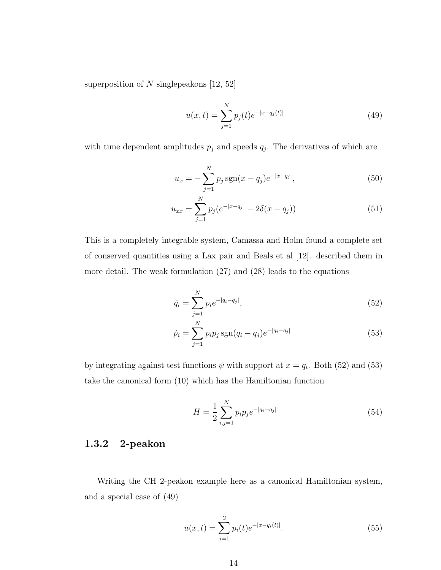superposition of  $N$  singlepeakons [12, 52]

$$
u(x,t) = \sum_{j=1}^{N} p_j(t)e^{-|x-q_j(t)|}
$$
\n(49)

with time dependent amplitudes  $p_j$  and speeds  $q_j$ . The derivatives of which are

$$
u_x = -\sum_{j=1}^{N} p_j \operatorname{sgn}(x - q_j) e^{-|x - q_j|},\tag{50}
$$

$$
u_{xx} = \sum_{j=1}^{N} p_j (e^{-|x-q_j|} - 2\delta(x-q_j))
$$
\n(51)

This is a completely integrable system, Camassa and Holm found a complete set of conserved quantities using a Lax pair and Beals et al [12]. described them in more detail. The weak formulation (27) and (28) leads to the equations

$$
\dot{q}_i = \sum_{j=1}^{N} p_i e^{-|q_i - q_j|},\tag{52}
$$

$$
\dot{p}_i = \sum_{j=1}^{N} p_i p_j \operatorname{sgn}(q_i - q_j) e^{-|q_i - q_j|}
$$
\n(53)

by integrating against test functions  $\psi$  with support at  $x = q_i$ . Both (52) and (53) take the canonical form (10) which has the Hamiltonian function

$$
H = \frac{1}{2} \sum_{i,j=1}^{N} p_i p_j e^{-|q_i - q_j|}
$$
\n(54)

#### 1.3.2 2-peakon

Writing the CH 2-peakon example here as a canonical Hamiltonian system, and a special case of (49)

$$
u(x,t) = \sum_{i=1}^{2} p_i(t)e^{-|x-q_i(t)|}.
$$
 (55)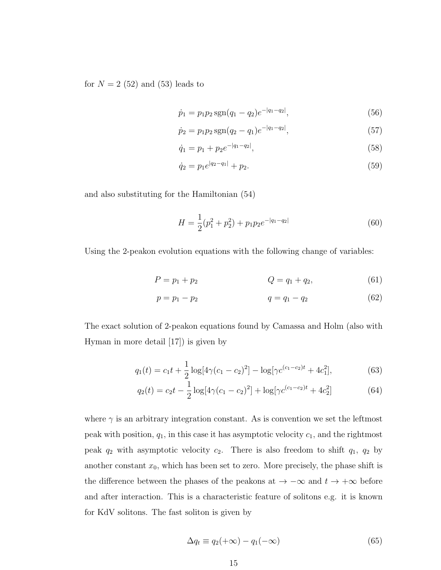for  $N = 2$  (52) and (53) leads to

$$
\dot{p}_1 = p_1 p_2 \operatorname{sgn}(q_1 - q_2) e^{-|q_1 - q_2|},\tag{56}
$$

$$
\dot{p}_2 = p_1 p_2 \operatorname{sgn}(q_2 - q_1) e^{-|q_1 - q_2|},\tag{57}
$$

$$
\dot{q}_1 = p_1 + p_2 e^{-|q_1 - q_2|},\tag{58}
$$

$$
\dot{q}_2 = p_1 e^{|q_2 - q_1|} + p_2. \tag{59}
$$

and also substituting for the Hamiltonian (54)

$$
H = \frac{1}{2}(p_1^2 + p_2^2) + p_1 p_2 e^{-|q_1 - q_2|}
$$
\n(60)

Using the 2-peakon evolution equations with the following change of variables:

$$
P = p_1 + p_2 \t\t Q = q_1 + q_2, \t\t (61)
$$

$$
p = p_1 - p_2 \tag{62}
$$

The exact solution of 2-peakon equations found by Camassa and Holm (also with Hyman in more detail [17]) is given by

$$
q_1(t) = c_1 t + \frac{1}{2} \log[4\gamma (c_1 - c_2)^2] - \log[\gamma c^{(c_1 - c_2)t} + 4c_1^2],\tag{63}
$$

$$
q_2(t) = c_2 t - \frac{1}{2} \log[4\gamma (c_1 - c_2)^2] + \log[\gamma c^{(c_1 - c_2)t} + 4c_2^2]
$$
 (64)

where  $\gamma$  is an arbitrary integration constant. As is convention we set the leftmost peak with position,  $q_1$ , in this case it has asymptotic velocity  $c_1$ , and the rightmost peak  $q_2$  with asymptotic velocity  $c_2$ . There is also freedom to shift  $q_1$ ,  $q_2$  by another constant  $x_0$ , which has been set to zero. More precisely, the phase shift is the difference between the phases of the peakons at  $\rightarrow -\infty$  and  $t \rightarrow +\infty$  before and after interaction. This is a characteristic feature of solitons e.g. it is known for KdV solitons. The fast soliton is given by

$$
\Delta q_t \equiv q_2(+\infty) - q_1(-\infty) \tag{65}
$$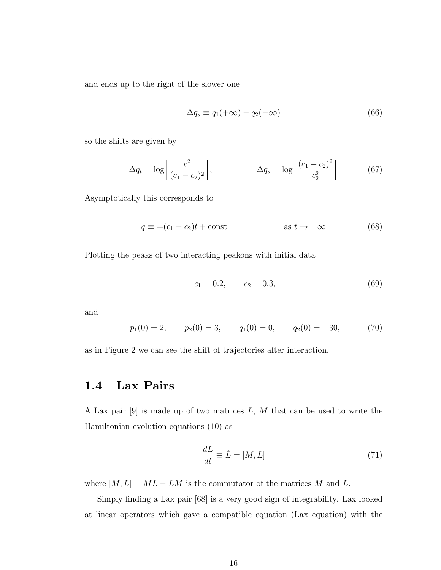and ends up to the right of the slower one

$$
\Delta q_s \equiv q_1(+\infty) - q_2(-\infty) \tag{66}
$$

so the shifts are given by

$$
\Delta q_t = \log \left[ \frac{c_1^2}{(c_1 - c_2)^2} \right], \qquad \Delta q_s = \log \left[ \frac{(c_1 - c_2)^2}{c_2^2} \right] \qquad (67)
$$

Asymptotically this corresponds to

$$
q \equiv \mp (c_1 - c_2)t + \text{const} \qquad \text{as } t \to \pm \infty \tag{68}
$$

Plotting the peaks of two interacting peakons with initial data

$$
c_1 = 0.2, \qquad c_2 = 0.3, \tag{69}
$$

and

$$
p_1(0) = 2,
$$
  $p_2(0) = 3,$   $q_1(0) = 0,$   $q_2(0) = -30,$  (70)

as in Figure 2 we can see the shift of trajectories after interaction.

### 1.4 Lax Pairs

A Lax pair  $[9]$  is made up of two matrices L, M that can be used to write the Hamiltonian evolution equations (10) as

$$
\frac{dL}{dt} \equiv \dot{L} = [M, L] \tag{71}
$$

where  $[M, L] = ML - LM$  is the commutator of the matrices M and L.

Simply finding a Lax pair [68] is a very good sign of integrability. Lax looked at linear operators which gave a compatible equation (Lax equation) with the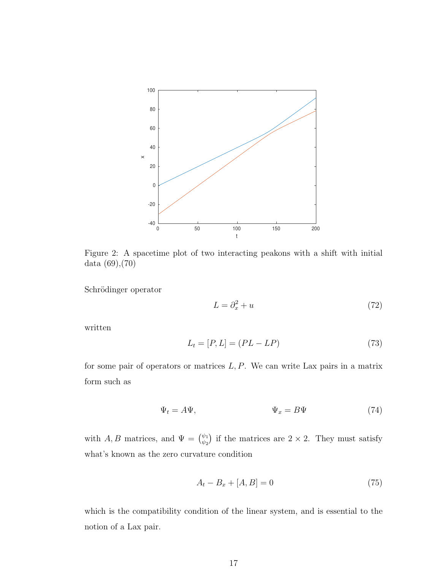

Figure 2: A spacetime plot of two interacting peakons with a shift with initial data (69),(70)

Schrödinger operator

$$
L = \partial_x^2 + u \tag{72}
$$

written

$$
L_t = [P, L] = (PL - LP)
$$
\n(73)

for some pair of operators or matrices  $L, P$ . We can write Lax pairs in a matrix form such as

$$
\Psi_t = A\Psi, \qquad \Psi_x = B\Psi \tag{74}
$$

with A, B matrices, and  $\Psi = \begin{pmatrix} \psi_1 \\ \psi_2 \end{pmatrix}$  $\binom{\psi_1}{\psi_2}$  if the matrices are  $2 \times 2$ . They must satisfy what's known as the zero curvature condition

$$
A_t - B_x + [A, B] = 0 \t\t(75)
$$

which is the compatibility condition of the linear system, and is essential to the notion of a Lax pair.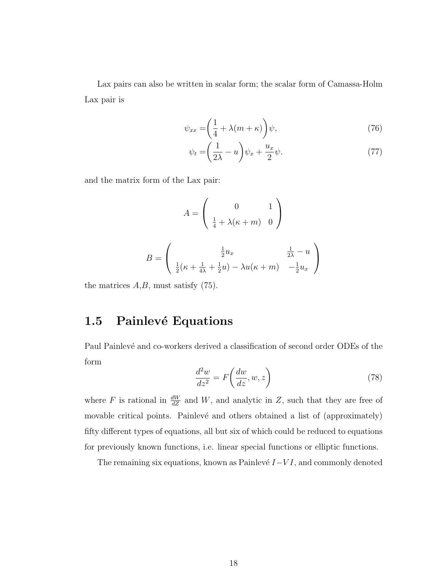Lax pairs can also be written in scalar form; the scalar form of Camassa-Holm Lax pair is

$$
\psi_{xx} = \left(\frac{1}{4} + \lambda(m + \kappa)\right)\psi,\tag{76}
$$

$$
\psi_t = \left(\frac{1}{2\lambda} - u\right)\psi_x + \frac{u_x}{2}\psi.
$$
\n(77)

and the matrix form of the Lax pair:

$$
A = \begin{pmatrix} 0 & 1 \\ \frac{1}{4} + \lambda(\kappa + m) & 0 \end{pmatrix}
$$

$$
B = \begin{pmatrix} \frac{1}{2}u_x & \frac{1}{2\lambda} - u \\ \frac{1}{2}(\kappa + \frac{1}{4\lambda} + \frac{1}{2}u) - \lambda u(\kappa + m) & -\frac{1}{2}u_x \end{pmatrix}
$$

the matrices  $A, B$ , must satisfy  $(75)$ .

### 1.5 Painlevé Equations

Paul Painlevé and co-workers derived a classification of second order ODEs of the form

$$
\frac{d^2w}{dz^2} = F\left(\frac{dw}{dz}, w, z\right) \tag{78}
$$

where F is rational in  $\frac{dW}{dZ}$  and W, and analytic in Z, such that they are free of movable critical points. Painlevé and others obtained a list of (approximately) fifty different types of equations, all but six of which could be reduced to equations for previously known functions, i.e. linear special functions or elliptic functions.

The remaining six equations, known as Painlevé  $I-VI$ , and commonly denoted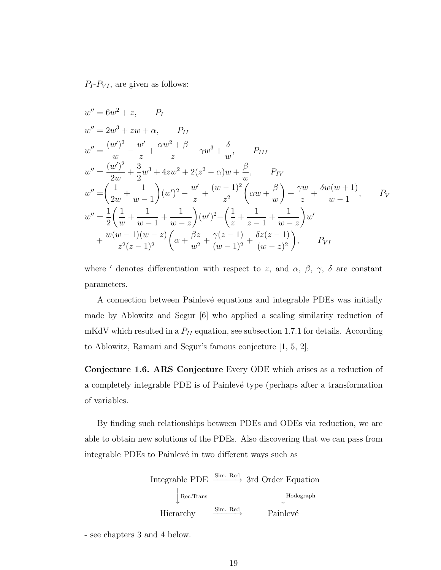$P_I$ - $P_{VI}$ , are given as follows:

$$
w'' = 6w^2 + z, \qquad P_I
$$
  
\n
$$
w'' = 2w^3 + zw + \alpha, \qquad P_{II}
$$
  
\n
$$
w'' = \frac{(w')^2}{w} - \frac{w'}{z} + \frac{\alpha w^2 + \beta}{z} + \gamma w^3 + \frac{\delta}{w}, \qquad P_{III}
$$
  
\n
$$
w'' = \frac{(w')^2}{2w} + \frac{3}{2}w^3 + 4zw^2 + 2(z^2 - \alpha)w + \frac{\beta}{w}, \qquad P_{IV}
$$
  
\n
$$
w'' = \left(\frac{1}{2w} + \frac{1}{w - 1}\right)(w')^2 - \frac{w'}{z} + \frac{(w - 1)^2}{z^2}\left(\alpha w + \frac{\beta}{w}\right) + \frac{\gamma w}{z} + \frac{\delta w(w + 1)}{w - 1}, \qquad P_V
$$
  
\n
$$
w'' = \frac{1}{2}\left(\frac{1}{w} + \frac{1}{w - 1} + \frac{1}{w - z}\right)(w')^2 - \left(\frac{1}{z} + \frac{1}{z - 1} + \frac{1}{w - z}\right)w'
$$
  
\n
$$
+ \frac{w(w - 1)(w - z)}{z^2(z - 1)^2}\left(\alpha + \frac{\beta z}{w^2} + \frac{\gamma(z - 1)}{(w - 1)^2} + \frac{\delta z(z - 1)}{(w - z)^2}\right), \qquad P_{VI}
$$

where  $'$  denotes differentiation with respect to z, and  $\alpha$ ,  $\beta$ ,  $\gamma$ ,  $\delta$  are constant parameters.

A connection between Painlevé equations and integrable PDEs was initially made by Ablowitz and Segur [6] who applied a scaling similarity reduction of mKdV which resulted in a  $P_{II}$  equation, see subsection 1.7.1 for details. According to Ablowitz, Ramani and Segur's famous conjecture [1, 5, 2],

Conjecture 1.6. ARS Conjecture Every ODE which arises as a reduction of a completely integrable PDE is of Painlev´e type (perhaps after a transformation of variables.

By finding such relationships between PDEs and ODEs via reduction, we are able to obtain new solutions of the PDEs. Also discovering that we can pass from integrable PDEs to Painlevé in two different ways such as



- see chapters 3 and 4 below.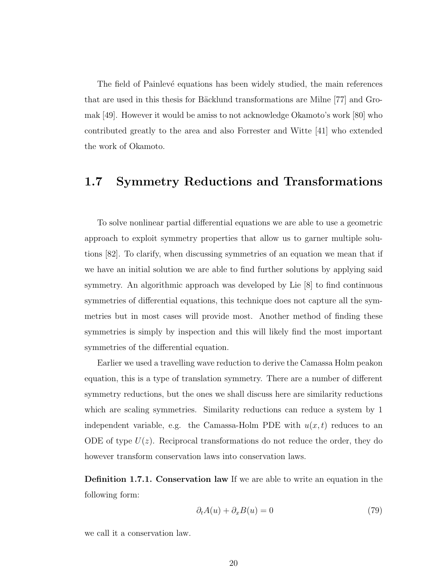The field of Painlevé equations has been widely studied, the main references that are used in this thesis for Bäcklund transformations are Milne [77] and Gromak [49]. However it would be amiss to not acknowledge Okamoto's work [80] who contributed greatly to the area and also Forrester and Witte [41] who extended the work of Okamoto.

### 1.7 Symmetry Reductions and Transformations

To solve nonlinear partial differential equations we are able to use a geometric approach to exploit symmetry properties that allow us to garner multiple solutions [82]. To clarify, when discussing symmetries of an equation we mean that if we have an initial solution we are able to find further solutions by applying said symmetry. An algorithmic approach was developed by Lie [8] to find continuous symmetries of differential equations, this technique does not capture all the symmetries but in most cases will provide most. Another method of finding these symmetries is simply by inspection and this will likely find the most important symmetries of the differential equation.

Earlier we used a travelling wave reduction to derive the Camassa Holm peakon equation, this is a type of translation symmetry. There are a number of different symmetry reductions, but the ones we shall discuss here are similarity reductions which are scaling symmetries. Similarity reductions can reduce a system by 1 independent variable, e.g. the Camassa-Holm PDE with  $u(x, t)$  reduces to an ODE of type  $U(z)$ . Reciprocal transformations do not reduce the order, they do however transform conservation laws into conservation laws.

Definition 1.7.1. Conservation law If we are able to write an equation in the following form:

$$
\partial_t A(u) + \partial_x B(u) = 0 \tag{79}
$$

we call it a conservation law.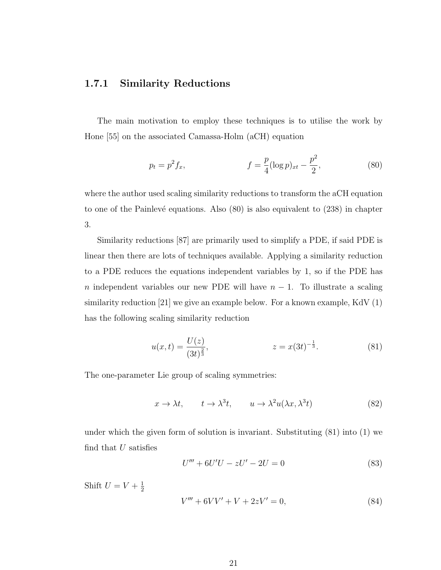#### 1.7.1 Similarity Reductions

The main motivation to employ these techniques is to utilise the work by Hone [55] on the associated Camassa-Holm (aCH) equation

$$
p_t = p^2 f_x, \qquad f = \frac{p}{4} (\log p)_{xt} - \frac{p^2}{2}, \qquad (80)
$$

where the author used scaling similarity reductions to transform the aCH equation to one of the Painlevé equations. Also  $(80)$  is also equivalent to  $(238)$  in chapter 3.

Similarity reductions [87] are primarily used to simplify a PDE, if said PDE is linear then there are lots of techniques available. Applying a similarity reduction to a PDE reduces the equations independent variables by 1, so if the PDE has n independent variables our new PDE will have  $n-1$ . To illustrate a scaling similarity reduction [21] we give an example below. For a known example, KdV (1) has the following scaling similarity reduction

$$
u(x,t) = \frac{U(z)}{(3t)^{\frac{2}{3}}}, \qquad z = x(3t)^{-\frac{1}{3}}.
$$
 (81)

The one-parameter Lie group of scaling symmetries:

$$
x \to \lambda t, \qquad t \to \lambda^3 t, \qquad u \to \lambda^2 u(\lambda x, \lambda^3 t) \tag{82}
$$

under which the given form of solution is invariant. Substituting (81) into (1) we find that  $U$  satisfies

$$
U''' + 6U'U - zU' - 2U = 0
$$
\n(83)

Shift  $U = V + \frac{1}{2}$ 2  $V''' + 6VV' + V + 2zV' = 0,$  (84)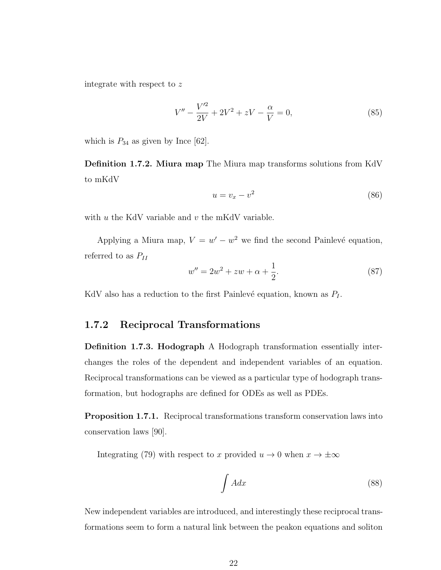integrate with respect to z

$$
V'' - \frac{V'^2}{2V} + 2V^2 + zV - \frac{\alpha}{V} = 0,
$$
\n(85)

which is  $P_{34}$  as given by Ince [62].

Definition 1.7.2. Miura map The Miura map transforms solutions from KdV to mKdV

$$
u = v_x - v^2 \tag{86}
$$

with  $u$  the KdV variable and  $v$  the mKdV variable.

Applying a Miura map,  $V = w' - w^2$  we find the second Painlevé equation, referred to as  $P_{II}$ 

$$
w'' = 2w^2 + zw + \alpha + \frac{1}{2}.\tag{87}
$$

KdV also has a reduction to the first Painlevé equation, known as  $P_I$ .

#### 1.7.2 Reciprocal Transformations

Definition 1.7.3. Hodograph A Hodograph transformation essentially interchanges the roles of the dependent and independent variables of an equation. Reciprocal transformations can be viewed as a particular type of hodograph transformation, but hodographs are defined for ODEs as well as PDEs.

Proposition 1.7.1. Reciprocal transformations transform conservation laws into conservation laws [90].

Integrating (79) with respect to x provided  $u \to 0$  when  $x \to \pm \infty$ 

$$
\int A dx \tag{88}
$$

New independent variables are introduced, and interestingly these reciprocal transformations seem to form a natural link between the peakon equations and soliton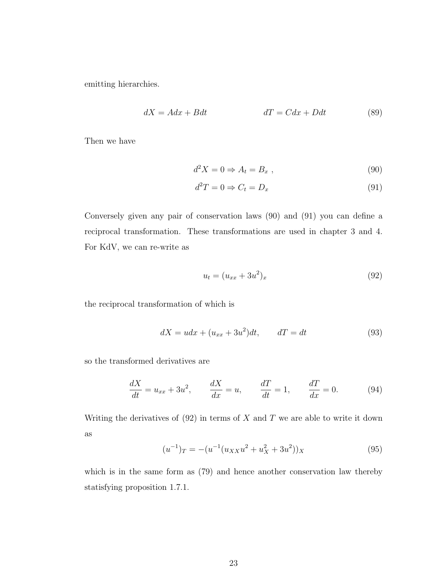emitting hierarchies.

$$
dX = A dx + B dt \qquad \qquad dT = C dx + D dt \qquad (89)
$$

Then we have

$$
d^2X = 0 \Rightarrow A_t = B_x , \qquad (90)
$$

$$
d^2T = 0 \Rightarrow C_t = D_x \tag{91}
$$

Conversely given any pair of conservation laws (90) and (91) you can define a reciprocal transformation. These transformations are used in chapter 3 and 4. For KdV, we can re-write as

$$
u_t = (u_{xx} + 3u^2)_x \tag{92}
$$

the reciprocal transformation of which is

$$
dX = udx + (u_{xx} + 3u^2)dt, \qquad dT = dt \tag{93}
$$

so the transformed derivatives are

$$
\frac{dX}{dt} = u_{xx} + 3u^2, \qquad \frac{dX}{dx} = u, \qquad \frac{dT}{dt} = 1, \qquad \frac{dT}{dx} = 0.
$$
 (94)

Writing the derivatives of  $(92)$  in terms of X and T we are able to write it down as

$$
(u^{-1})_T = -(u^{-1}(u_{XX}u^2 + u_X^2 + 3u^2))_X
$$
\n(95)

which is in the same form as (79) and hence another conservation law thereby statisfying proposition 1.7.1.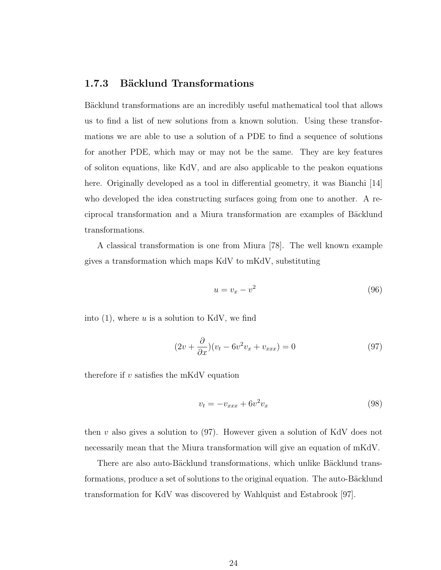#### 1.7.3 Bäcklund Transformations

Bäcklund transformations are an incredibly useful mathematical tool that allows us to find a list of new solutions from a known solution. Using these transformations we are able to use a solution of a PDE to find a sequence of solutions for another PDE, which may or may not be the same. They are key features of soliton equations, like KdV, and are also applicable to the peakon equations here. Originally developed as a tool in differential geometry, it was Bianchi [14] who developed the idea constructing surfaces going from one to another. A reciprocal transformation and a Miura transformation are examples of Bäcklund transformations.

A classical transformation is one from Miura [78]. The well known example gives a transformation which maps KdV to mKdV, substituting

$$
u = v_x - v^2 \tag{96}
$$

into  $(1)$ , where u is a solution to KdV, we find

$$
(2v + \frac{\partial}{\partial x})(v_t - 6v^2v_x + v_{xxx}) = 0
$$
\n(97)

therefore if  $v$  satisfies the mKdV equation

$$
v_t = -v_{xxx} + 6v^2 v_x \tag{98}
$$

then  $v$  also gives a solution to  $(97)$ . However given a solution of KdV does not necessarily mean that the Miura transformation will give an equation of mKdV.

There are also auto-Bäcklund transformations, which unlike Bäcklund transformations, produce a set of solutions to the original equation. The auto-Bäcklund transformation for KdV was discovered by Wahlquist and Estabrook [97].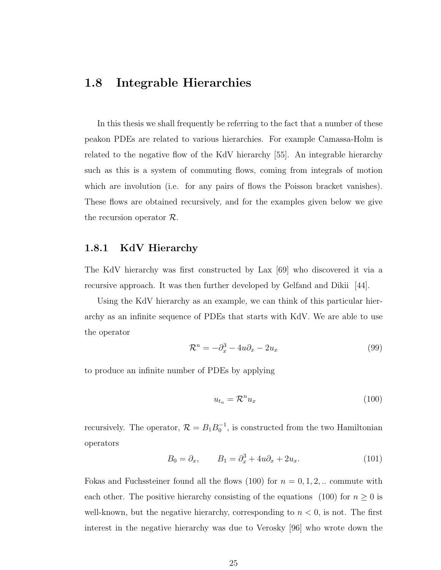### 1.8 Integrable Hierarchies

In this thesis we shall frequently be referring to the fact that a number of these peakon PDEs are related to various hierarchies. For example Camassa-Holm is related to the negative flow of the KdV hierarchy [55]. An integrable hierarchy such as this is a system of commuting flows, coming from integrals of motion which are involution (i.e. for any pairs of flows the Poisson bracket vanishes). These flows are obtained recursively, and for the examples given below we give the recursion operator  $\mathcal{R}$ .

#### 1.8.1 KdV Hierarchy

The KdV hierarchy was first constructed by Lax [69] who discovered it via a recursive approach. It was then further developed by Gelfand and Dikii [44].

Using the KdV hierarchy as an example, we can think of this particular hierarchy as an infinite sequence of PDEs that starts with KdV. We are able to use the operator

$$
\mathcal{R}^n = -\partial_x^3 - 4u\partial_x - 2u_x \tag{99}
$$

to produce an infinite number of PDEs by applying

$$
u_{t_n} = \mathcal{R}^n u_x \tag{100}
$$

recursively. The operator,  $\mathcal{R} = B_1 B_0^{-1}$ , is constructed from the two Hamiltonian operators

$$
B_0 = \partial_x, \qquad B_1 = \partial_x^3 + 4u\partial_x + 2u_x. \tag{101}
$$

Fokas and Fuchssteiner found all the flows  $(100)$  for  $n = 0, 1, 2, ...$  commute with each other. The positive hierarchy consisting of the equations (100) for  $n \geq 0$  is well-known, but the negative hierarchy, corresponding to  $n < 0$ , is not. The first interest in the negative hierarchy was due to Verosky [96] who wrote down the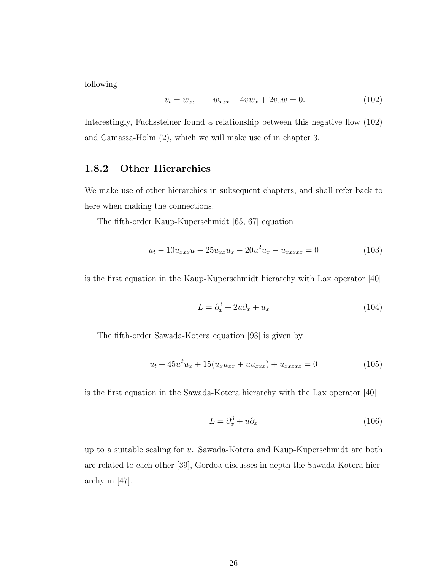following

$$
v_t = w_x, \qquad w_{xxx} + 4vw_x + 2v_xw = 0. \tag{102}
$$

Interestingly, Fuchssteiner found a relationship between this negative flow (102) and Camassa-Holm (2), which we will make use of in chapter 3.

#### 1.8.2 Other Hierarchies

We make use of other hierarchies in subsequent chapters, and shall refer back to here when making the connections.

The fifth-order Kaup-Kuperschmidt [65, 67] equation

$$
u_t - 10u_{xxx}u - 25u_{xx}u_x - 20u^2u_x - u_{xxxx} = 0
$$
\n(103)

is the first equation in the Kaup-Kuperschmidt hierarchy with Lax operator [40]

$$
L = \partial_x^3 + 2u\partial_x + u_x \tag{104}
$$

The fifth-order Sawada-Kotera equation [93] is given by

$$
u_t + 45u^2u_x + 15(u_xu_{xx} + uu_{xxx}) + u_{xxxxx} = 0
$$
\n(105)

is the first equation in the Sawada-Kotera hierarchy with the Lax operator [40]

$$
L = \partial_x^3 + u \partial_x \tag{106}
$$

up to a suitable scaling for u. Sawada-Kotera and Kaup-Kuperschmidt are both are related to each other [39], Gordoa discusses in depth the Sawada-Kotera hierarchy in [47].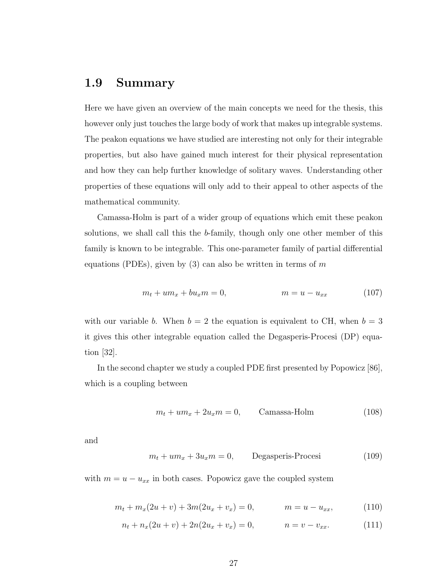### 1.9 Summary

Here we have given an overview of the main concepts we need for the thesis, this however only just touches the large body of work that makes up integrable systems. The peakon equations we have studied are interesting not only for their integrable properties, but also have gained much interest for their physical representation and how they can help further knowledge of solitary waves. Understanding other properties of these equations will only add to their appeal to other aspects of the mathematical community.

Camassa-Holm is part of a wider group of equations which emit these peakon solutions, we shall call this the b-family, though only one other member of this family is known to be integrable. This one-parameter family of partial differential equations (PDEs), given by  $(3)$  can also be written in terms of m

$$
m_t + u m_x + b u_x m = 0, \qquad m = u - u_{xx} \qquad (107)
$$

with our variable b. When  $b = 2$  the equation is equivalent to CH, when  $b = 3$ it gives this other integrable equation called the Degasperis-Procesi (DP) equation [32].

In the second chapter we study a coupled PDE first presented by Popowicz [86], which is a coupling between

$$
m_t + um_x + 2u_x m = 0, \qquad \text{Camassa-Holm} \tag{108}
$$

and

$$
m_t + um_x + 3u_x m = 0, \qquad \text{Degasperis-Processi} \tag{109}
$$

with  $m = u - u_{xx}$  in both cases. Popowicz gave the coupled system

$$
m_t + m_x(2u + v) + 3m(2u_x + v_x) = 0, \qquad m = u - u_{xx}, \qquad (110)
$$

$$
n_t + n_x(2u + v) + 2n(2u_x + v_x) = 0, \qquad n = v - v_{xx}.
$$
 (111)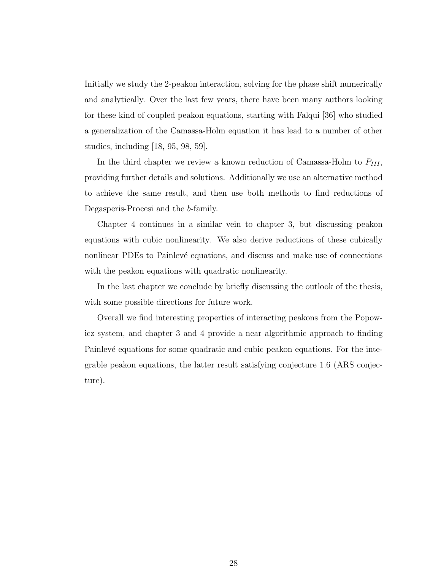Initially we study the 2-peakon interaction, solving for the phase shift numerically and analytically. Over the last few years, there have been many authors looking for these kind of coupled peakon equations, starting with Falqui [36] who studied a generalization of the Camassa-Holm equation it has lead to a number of other studies, including [18, 95, 98, 59].

In the third chapter we review a known reduction of Camassa-Holm to  $P_{III}$ , providing further details and solutions. Additionally we use an alternative method to achieve the same result, and then use both methods to find reductions of Degasperis-Procesi and the b-family.

Chapter 4 continues in a similar vein to chapter 3, but discussing peakon equations with cubic nonlinearity. We also derive reductions of these cubically nonlinear PDEs to Painlevé equations, and discuss and make use of connections with the peakon equations with quadratic nonlinearity.

In the last chapter we conclude by briefly discussing the outlook of the thesis, with some possible directions for future work.

Overall we find interesting properties of interacting peakons from the Popowicz system, and chapter 3 and 4 provide a near algorithmic approach to finding Painlevé equations for some quadratic and cubic peakon equations. For the integrable peakon equations, the latter result satisfying conjecture 1.6 (ARS conjecture).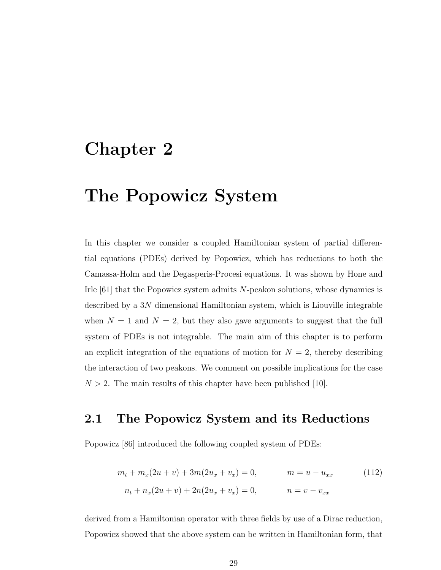# Chapter 2

# The Popowicz System

In this chapter we consider a coupled Hamiltonian system of partial differential equations (PDEs) derived by Popowicz, which has reductions to both the Camassa-Holm and the Degasperis-Procesi equations. It was shown by Hone and Irle  $[61]$  that the Popowicz system admits N-peakon solutions, whose dynamics is described by a 3N dimensional Hamiltonian system, which is Liouville integrable when  $N = 1$  and  $N = 2$ , but they also gave arguments to suggest that the full system of PDEs is not integrable. The main aim of this chapter is to perform an explicit integration of the equations of motion for  $N = 2$ , thereby describing the interaction of two peakons. We comment on possible implications for the case  $N > 2$ . The main results of this chapter have been published [10].

# 2.1 The Popowicz System and its Reductions

Popowicz [86] introduced the following coupled system of PDEs:

$$
m_t + m_x(2u + v) + 3m(2u_x + v_x) = 0, \qquad m = u - u_{xx}
$$
\n
$$
(112)
$$
\n
$$
n_t + n_x(2u + v) + 2n(2u_x + v_x) = 0, \qquad n = v - v_{xx}
$$

derived from a Hamiltonian operator with three fields by use of a Dirac reduction, Popowicz showed that the above system can be written in Hamiltonian form, that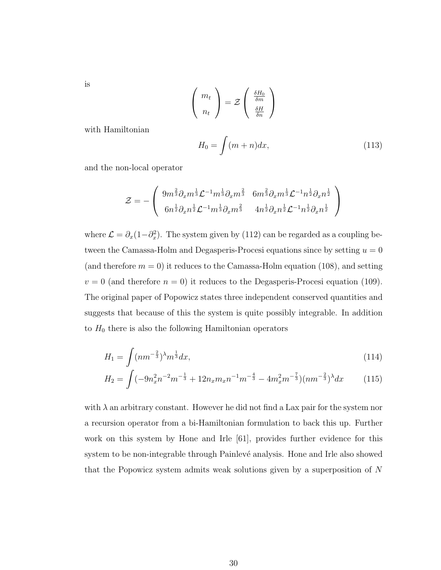is

$$
\left(\begin{array}{c}m_t\\n_t\end{array}\right)=\mathcal{Z}\left(\begin{array}{c}\frac{\delta H_0}{\delta m}\\ \frac{\delta H}{\delta n}\end{array}\right)
$$

with Hamiltonian

$$
H_0 = \int (m+n)dx,\tag{113}
$$

and the non-local operator

$$
\mathcal{Z} = -\left(\begin{array}{cc} 9m^{\frac{2}{3}}\partial_x m^{\frac{1}{3}} \mathcal{L}^{-1}m^{\frac{1}{3}}\partial_x m^{\frac{2}{3}} & 6m^{\frac{2}{3}}\partial_x m^{\frac{1}{3}} \mathcal{L}^{-1}n^{\frac{1}{2}}\partial_x n^{\frac{1}{2}} \\ 6n^{\frac{1}{2}}\partial_x n^{\frac{1}{2}} \mathcal{L}^{-1}m^{\frac{1}{3}}\partial_x m^{\frac{2}{3}} & 4n^{\frac{1}{2}}\partial_x n^{\frac{1}{2}} \mathcal{L}^{-1}n^{\frac{1}{2}}\partial_x n^{\frac{1}{2}} \end{array}\right)
$$

where  $\mathcal{L} = \partial_x (1 - \partial_x^2)$ . The system given by (112) can be regarded as a coupling between the Camassa-Holm and Degasperis-Procesi equations since by setting  $u = 0$ (and therefore  $m = 0$ ) it reduces to the Camassa-Holm equation (108), and setting  $v = 0$  (and therefore  $n = 0$ ) it reduces to the Degasperis-Procesi equation (109). The original paper of Popowicz states three independent conserved quantities and suggests that because of this the system is quite possibly integrable. In addition to  $H_0$  there is also the following Hamiltonian operators

$$
H_1 = \int (nm^{-\frac{2}{3}})^{\lambda} m^{\frac{1}{3}} dx,\tag{114}
$$

$$
H_2 = \int (-9n_x^2 n^{-2}m^{-\frac{1}{3}} + 12n_x m_x n^{-1}m^{-\frac{4}{3}} - 4m_x^2 m^{-\frac{7}{3}})(nm^{-\frac{2}{3}})^{\lambda} dx \qquad (115)
$$

with  $\lambda$  an arbitrary constant. However he did not find a Lax pair for the system nor a recursion operator from a bi-Hamiltonian formulation to back this up. Further work on this system by Hone and Irle [61], provides further evidence for this system to be non-integrable through Painlevé analysis. Hone and Irle also showed that the Popowicz system admits weak solutions given by a superposition of N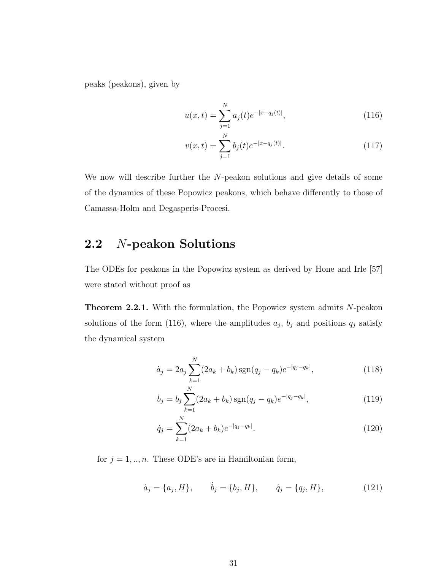peaks (peakons), given by

$$
u(x,t) = \sum_{j=1}^{N} a_j(t)e^{-|x-q_j(t)|},
$$
\n(116)

$$
v(x,t) = \sum_{j=1}^{N} b_j(t)e^{-|x-q_j(t)|}.
$$
 (117)

We now will describe further the N-peakon solutions and give details of some of the dynamics of these Popowicz peakons, which behave differently to those of Camassa-Holm and Degasperis-Procesi.

# 2.2 N-peakon Solutions

The ODEs for peakons in the Popowicz system as derived by Hone and Irle [57] were stated without proof as

Theorem 2.2.1. With the formulation, the Popowicz system admits N-peakon solutions of the form (116), where the amplitudes  $a_j$ ,  $b_j$  and positions  $q_j$  satisfy the dynamical system

$$
\dot{a}_j = 2a_j \sum_{k=1}^{N} (2a_k + b_k) \operatorname{sgn}(q_j - q_k) e^{-|q_j - q_k|},\tag{118}
$$

$$
\dot{b}_j = b_j \sum_{k=1}^{N} (2a_k + b_k) \operatorname{sgn}(q_j - q_k) e^{-|q_j - q_k|}, \qquad (119)
$$

$$
\dot{q}_j = \sum_{k=1}^N (2a_k + b_k)e^{-|q_j - q_k|}.\tag{120}
$$

for  $j = 1, ..., n$ . These ODE's are in Hamiltonian form,

$$
\dot{a}_j = \{a_j, H\}, \qquad \dot{b}_j = \{b_j, H\}, \qquad \dot{q}_j = \{q_j, H\}, \tag{121}
$$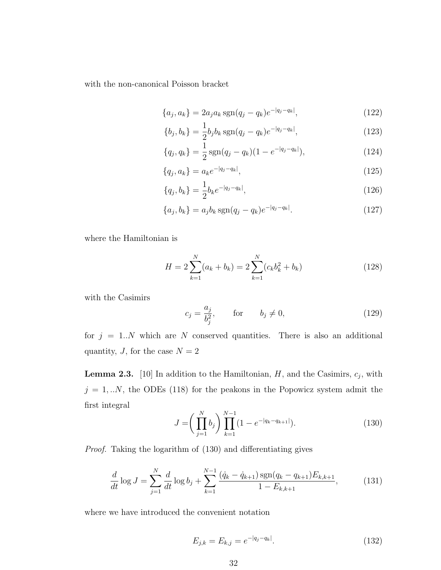with the non-canonical Poisson bracket

$$
\{a_j, a_k\} = 2a_j a_k \operatorname{sgn}(q_j - q_k) e^{-|q_j - q_k|},\tag{122}
$$

$$
\{b_j, b_k\} = \frac{1}{2}b_j b_k \operatorname{sgn}(q_j - q_k) e^{-|q_j - q_k|},\tag{123}
$$

$$
\{q_j, q_k\} = \frac{1}{2} \operatorname{sgn}(q_j - q_k)(1 - e^{-|q_j - q_k|}), \tag{124}
$$

$$
\{q_j, a_k\} = a_k e^{-|q_j - q_k|},\tag{125}
$$

$$
\{q_j, b_k\} = \frac{1}{2}b_k e^{-|q_j - q_k|},\tag{126}
$$

$$
\{a_j, b_k\} = a_j b_k \operatorname{sgn}(q_j - q_k) e^{-|q_j - q_k|}.
$$
\n(127)

where the Hamiltonian is

$$
H = 2\sum_{k=1}^{N} (a_k + b_k) = 2\sum_{k=1}^{N} (c_k b_k^2 + b_k)
$$
 (128)

with the Casimirs

$$
c_j = \frac{a_j}{b_j^2}, \qquad \text{for} \qquad b_j \neq 0,
$$
\n
$$
(129)
$$

for  $j = 1..N$  which are N conserved quantities. There is also an additional quantity,  $J$ , for the case  $N = 2$ 

**Lemma 2.3.** [10] In addition to the Hamiltonian,  $H$ , and the Casimirs,  $c_j$ , with  $j = 1,..N$ , the ODEs (118) for the peakons in the Popowicz system admit the first integral

$$
J = \left(\prod_{j=1}^{N} b_j\right) \prod_{k=1}^{N-1} (1 - e^{-|q_k - q_{k+1}|}).\tag{130}
$$

Proof. Taking the logarithm of (130) and differentiating gives

$$
\frac{d}{dt}\log J = \sum_{j=1}^{N} \frac{d}{dt}\log b_j + \sum_{k=1}^{N-1} \frac{(\dot{q}_k - \dot{q}_{k+1})\operatorname{sgn}(q_k - q_{k+1})E_{k,k+1}}{1 - E_{k,k+1}},\tag{131}
$$

where we have introduced the convenient notation

$$
E_{j,k} = E_{k,j} = e^{-|q_j - q_k|}.
$$
\n(132)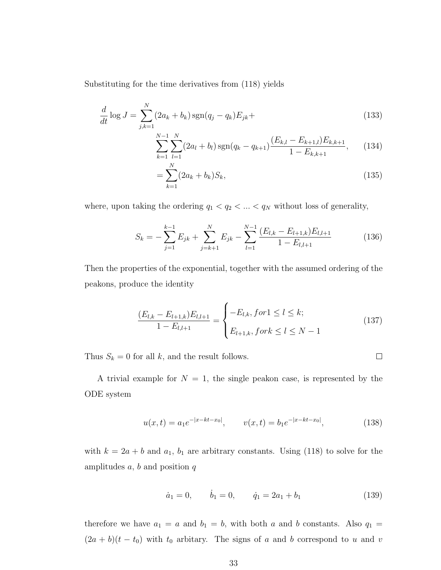Substituting for the time derivatives from (118) yields

$$
\frac{d}{dt}\log J = \sum_{j,k=1}^{N} (2a_k + b_k)\operatorname{sgn}(q_j - q_k)E_{jk} +
$$
\n(133)

$$
\sum_{k=1}^{N-1} \sum_{l=1}^{N} (2a_l + b_l) \operatorname{sgn}(q_k - q_{k+1}) \frac{(E_{k,l} - E_{k+1,l})E_{k,k+1}}{1 - E_{k,k+1}}, \quad (134)
$$

$$
=\sum_{k=1}^{N} (2a_k + b_k)S_k,
$$
\n(135)

where, upon taking the ordering  $q_1 < q_2 < \ldots < q_N$  without loss of generality,

$$
S_k = -\sum_{j=1}^{k-1} E_{jk} + \sum_{j=k+1}^{N} E_{jk} - \sum_{l=1}^{N-1} \frac{(E_{l,k} - E_{l+1,k})E_{l,l+1}}{1 - E_{l,l+1}}
$$
(136)

Then the properties of the exponential, together with the assumed ordering of the peakons, produce the identity

$$
\frac{(E_{l,k} - E_{l+1,k})E_{l,l+1}}{1 - E_{l,l+1}} = \begin{cases} -E_{l,k}, \text{for } l \le l \le k; \\ E_{l+1,k}, \text{for } k \le l \le N-1 \end{cases}
$$
\n(137)

 $\Box$ 

Thus  $S_k = 0$  for all  $k$ , and the result follows.

A trivial example for 
$$
N = 1
$$
, the single peakon case, is represented by the ODE system

$$
u(x,t) = a_1 e^{-|x - kt - x_0|}, \qquad v(x,t) = b_1 e^{-|x - kt - x_0|}, \tag{138}
$$

with  $k = 2a + b$  and  $a_1$ ,  $b_1$  are arbitrary constants. Using (118) to solve for the amplitudes  $a, b$  and position  $q$ 

$$
\dot{a}_1 = 0, \qquad \dot{b}_1 = 0, \qquad \dot{q}_1 = 2a_1 + b_1 \tag{139}
$$

therefore we have  $a_1 = a$  and  $b_1 = b$ , with both a and b constants. Also  $q_1 =$  $(2a + b)(t - t_0)$  with  $t_0$  arbitary. The signs of a and b correspond to u and v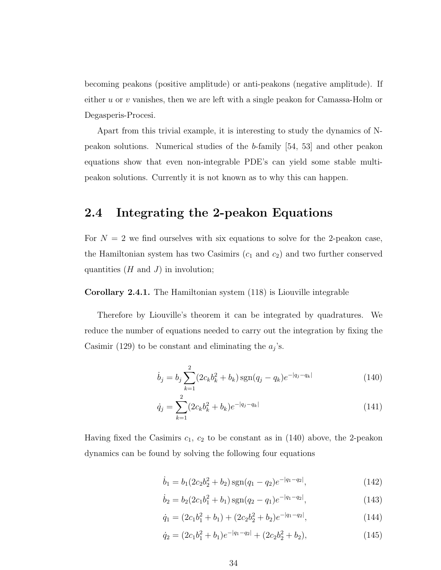becoming peakons (positive amplitude) or anti-peakons (negative amplitude). If either u or v vanishes, then we are left with a single peakon for Camassa-Holm or Degasperis-Procesi.

Apart from this trivial example, it is interesting to study the dynamics of Npeakon solutions. Numerical studies of the b-family [54, 53] and other peakon equations show that even non-integrable PDE's can yield some stable multipeakon solutions. Currently it is not known as to why this can happen.

## 2.4 Integrating the 2-peakon Equations

For  $N = 2$  we find ourselves with six equations to solve for the 2-peakon case, the Hamiltonian system has two Casimirs  $(c_1 \text{ and } c_2)$  and two further conserved quantities  $(H \text{ and } J)$  in involution;

Corollary 2.4.1. The Hamiltonian system (118) is Liouville integrable

Therefore by Liouville's theorem it can be integrated by quadratures. We reduce the number of equations needed to carry out the integration by fixing the Casimir (129) to be constant and eliminating the  $a_j$ 's.

$$
\dot{b}_j = b_j \sum_{k=1}^2 (2c_k b_k^2 + b_k) \operatorname{sgn}(q_j - q_k) e^{-|q_j - q_k|}
$$
\n(140)

$$
\dot{q}_j = \sum_{k=1}^2 (2c_k b_k^2 + b_k) e^{-|q_j - q_k|}
$$
\n(141)

Having fixed the Casimirs  $c_1$ ,  $c_2$  to be constant as in (140) above, the 2-peakon dynamics can be found by solving the following four equations

$$
\dot{b}_1 = b_1(2c_2b_2^2 + b_2)\operatorname{sgn}(q_1 - q_2)e^{-|q_1 - q_2|},\tag{142}
$$

$$
\dot{b}_2 = b_2(2c_1b_1^2 + b_1)\operatorname{sgn}(q_2 - q_1)e^{-|q_1 - q_2|},\tag{143}
$$

$$
\dot{q}_1 = (2c_1b_1^2 + b_1) + (2c_2b_2^2 + b_2)e^{-|q_1 - q_2|},\tag{144}
$$

$$
\dot{q}_2 = (2c_1b_1^2 + b_1)e^{-|q_1 - q_2|} + (2c_2b_2^2 + b_2),\tag{145}
$$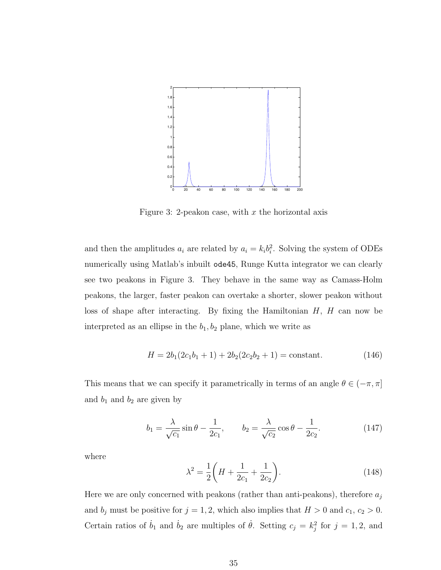

Figure 3: 2-peakon case, with  $x$  the horizontal axis

and then the amplitudes  $a_i$  are related by  $a_i = k_i b_i^2$ . Solving the system of ODEs numerically using Matlab's inbuilt ode45, Runge Kutta integrator we can clearly see two peakons in Figure 3. They behave in the same way as Camass-Holm peakons, the larger, faster peakon can overtake a shorter, slower peakon without loss of shape after interacting. By fixing the Hamiltonian  $H$ ,  $H$  can now be interpreted as an ellipse in the  $b_1, b_2$  plane, which we write as

$$
H = 2b_1(2c_1b_1 + 1) + 2b_2(2c_2b_2 + 1) = \text{constant.}
$$
\n(146)

This means that we can specify it parametrically in terms of an angle  $\theta \in (-\pi, \pi]$ and  $b_1$  and  $b_2$  are given by

$$
b_1 = \frac{\lambda}{\sqrt{c_1}} \sin \theta - \frac{1}{2c_1}, \qquad b_2 = \frac{\lambda}{\sqrt{c_2}} \cos \theta - \frac{1}{2c_2}.
$$
 (147)

where

$$
\lambda^2 = \frac{1}{2} \left( H + \frac{1}{2c_1} + \frac{1}{2c_2} \right). \tag{148}
$$

Here we are only concerned with peakons (rather than anti-peakons), therefore  $a_j$ and  $b_j$  must be positive for  $j = 1, 2$ , which also implies that  $H > 0$  and  $c_1, c_2 > 0$ . Certain ratios of  $\dot{b}_1$  and  $\dot{b}_2$  are multiples of  $\dot{\theta}$ . Setting  $c_j = k_j^2$  for  $j = 1, 2$ , and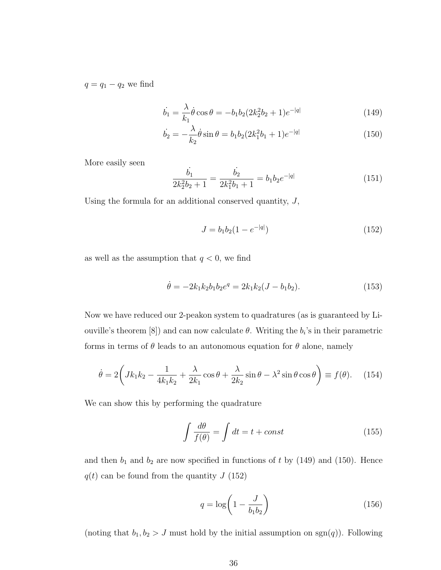$q = q_1 - q_2$  we find

$$
\dot{b}_1 = \frac{\lambda}{k_1} \dot{\theta} \cos \theta = -b_1 b_2 (2k_2^2 b_2 + 1) e^{-|q|}
$$
\n(149)

$$
\dot{b}_2 = -\frac{\lambda}{k_2} \dot{\theta} \sin \theta = b_1 b_2 (2k_1^2 b_1 + 1) e^{-|q|}
$$
\n(150)

More easily seen

$$
\frac{\dot{b_1}}{2k_2^2b_2+1} = \frac{\dot{b_2}}{2k_1^2b_1+1} = b_1b_2e^{-|q|}
$$
\n(151)

Using the formula for an additional conserved quantity,  $J$ ,

$$
J = b_1 b_2 (1 - e^{-|q|}) \tag{152}
$$

as well as the assumption that  $q < 0$ , we find

$$
\dot{\theta} = -2k_1k_2b_1b_2e^q = 2k_1k_2(J - b_1b_2). \tag{153}
$$

Now we have reduced our 2-peakon system to quadratures (as is guaranteed by Liouville's theorem [8]) and can now calculate  $\theta$ . Writing the  $b_i$ 's in their parametric forms in terms of  $\theta$  leads to an autonomous equation for  $\theta$  alone, namely

$$
\dot{\theta} = 2\left(Jk_1k_2 - \frac{1}{4k_1k_2} + \frac{\lambda}{2k_1}\cos\theta + \frac{\lambda}{2k_2}\sin\theta - \lambda^2\sin\theta\cos\theta\right) \equiv f(\theta). \quad (154)
$$

We can show this by performing the quadrature

$$
\int \frac{d\theta}{f(\theta)} = \int dt = t + const
$$
\n(155)

and then  $b_1$  and  $b_2$  are now specified in functions of t by (149) and (150). Hence  $q(t)$  can be found from the quantity J (152)

$$
q = \log\left(1 - \frac{J}{b_1 b_2}\right) \tag{156}
$$

(noting that  $b_1, b_2 > J$  must hold by the initial assumption on sgn(q)). Following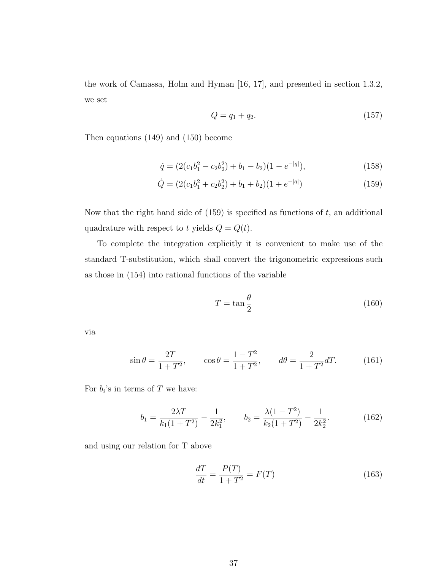the work of Camassa, Holm and Hyman [16, 17], and presented in section 1.3.2, we set

$$
Q = q_1 + q_2. \tag{157}
$$

Then equations (149) and (150) become

$$
\dot{q} = (2(c_1b_1^2 - c_2b_2^2) + b_1 - b_2)(1 - e^{-|q|}),\tag{158}
$$

$$
\dot{Q} = (2(c_1b_1^2 + c_2b_2^2) + b_1 + b_2)(1 + e^{-|q|})
$$
\n(159)

Now that the right hand side of  $(159)$  is specified as functions of t, an additional quadrature with respect to t yields  $Q = Q(t)$ .

To complete the integration explicitly it is convenient to make use of the standard T-substitution, which shall convert the trigonometric expressions such as those in (154) into rational functions of the variable

$$
T = \tan\frac{\theta}{2} \tag{160}
$$

via

$$
\sin \theta = \frac{2T}{1+T^2}
$$
,  $\cos \theta = \frac{1-T^2}{1+T^2}$ ,  $d\theta = \frac{2}{1+T^2}dT$ . (161)

For  $b_i$ 's in terms of T we have:

$$
b_1 = \frac{2\lambda T}{k_1(1+T^2)} - \frac{1}{2k_1^2}, \qquad b_2 = \frac{\lambda(1-T^2)}{k_2(1+T^2)} - \frac{1}{2k_2^2}.
$$
 (162)

and using our relation for T above

$$
\frac{dT}{dt} = \frac{P(T)}{1 + T^2} = F(T)
$$
\n(163)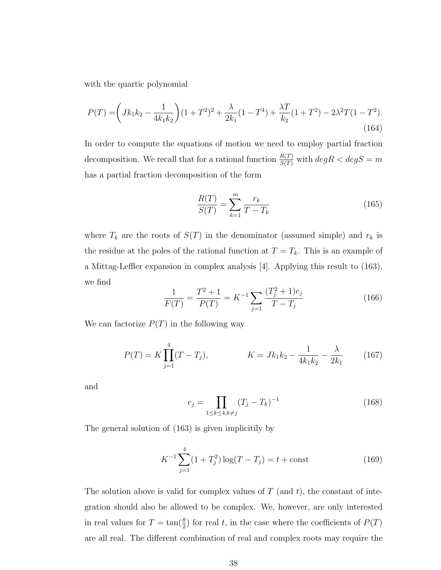with the quartic polynomial

$$
P(T) = \left(Jk_1k_2 - \frac{1}{4k_1k_2}\right)(1+T^2)^2 + \frac{\lambda}{2k_1}(1-T^4) + \frac{\lambda T}{k_2}(1+T^2) - 2\lambda^2 T(1-T^2). \tag{164}
$$

In order to compute the equations of motion we need to employ partial fraction decomposition. We recall that for a rational function  $\frac{R(T)}{S(T)}$  with  $deg R < deg S = m$ has a partial fraction decomposition of the form

$$
\frac{R(T)}{S(T)} = \sum_{k=1}^{m} \frac{r_k}{T - T_k}
$$
\n(165)

where  $T_k$  are the roots of  $S(T)$  in the denominator (assumed simple) and  $r_k$  is the residue at the poles of the rational function at  $T = T_k$ . This is an example of a Mittag-Leffler expansion in complex analysis [4]. Applying this result to (163), we find

$$
\frac{1}{F(T)} = \frac{T^2 + 1}{P(T)} = K^{-1} \sum_{j=1}^{\infty} \frac{(T_j^2 + 1)e_j}{T - T_j}
$$
(166)

We can factorize  $P(T)$  in the following way

$$
P(T) = K \prod_{j=1}^{4} (T - T_j), \qquad K = Jk_1k_2 - \frac{1}{4k_1k_2} - \frac{\lambda}{2k_1} \qquad (167)
$$

and

$$
e_j = \prod_{1 \le k \le 4, k \ne j} (T_j - T_k)^{-1}
$$
 (168)

The general solution of (163) is given implicitily by

$$
K^{-1} \sum_{j=1}^{4} (1+T_j^2) \log(T-T_j) = t + \text{const}
$$
 (169)

The solution above is valid for complex values of  $T$  (and  $t$ ), the constant of integration should also be allowed to be complex. We, however, are only interested in real values for  $T = \tan(\frac{\theta}{2})$  for real t, in the case where the coefficients of  $P(T)$ are all real. The different combination of real and complex roots may require the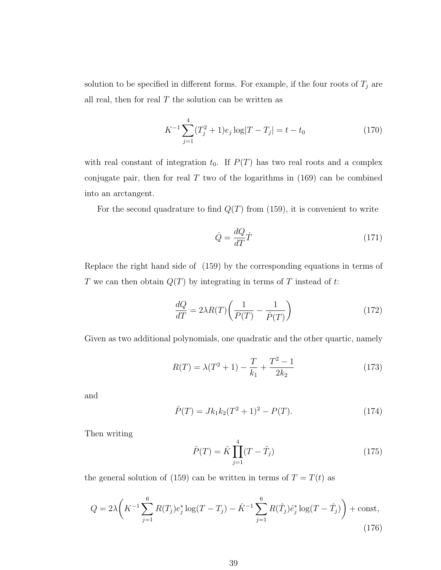solution to be specified in different forms. For example, if the four roots of  $T_j$  are all real, then for real  $T$  the solution can be written as

$$
K^{-1} \sum_{j=1}^{4} (T_j^2 + 1)e_j \log |T - T_j| = t - t_0
$$
 (170)

with real constant of integration  $t_0$ . If  $P(T)$  has two real roots and a complex conjugate pair, then for real  $T$  two of the logarithms in  $(169)$  can be combined into an arctangent.

For the second quadrature to find  $Q(T)$  from (159), it is convenient to write

$$
\dot{Q} = \frac{dQ}{dT}\dot{T} \tag{171}
$$

Replace the right hand side of (159) by the corresponding equations in terms of T we can then obtain  $Q(T)$  by integrating in terms of T instead of t:

$$
\frac{dQ}{dT} = 2\lambda R(T) \left( \frac{1}{P(T)} - \frac{1}{\hat{P}(T)} \right)
$$
\n(172)

Given as two additional polynomials, one quadratic and the other quartic, namely

$$
R(T) = \lambda (T^2 + 1) - \frac{T}{k_1} + \frac{T^2 - 1}{2k_2}
$$
\n(173)

and

$$
\hat{P}(T) = Jk_1k_2(T^2 + 1)^2 - P(T). \tag{174}
$$

Then writing

$$
\hat{P}(T) = \hat{K} \prod_{j=1}^{4} (T - \hat{T}_j)
$$
\n(175)

the general solution of (159) can be written in terms of  $T = T(t)$  as

$$
Q = 2\lambda \left( K^{-1} \sum_{j=1}^{6} R(T_j) e_j^* \log(T - T_j) - \hat{K}^{-1} \sum_{j=1}^{6} R(\hat{T}_j) \hat{e}_j^* \log(T - \hat{T}_j) \right) + \text{const},\tag{176}
$$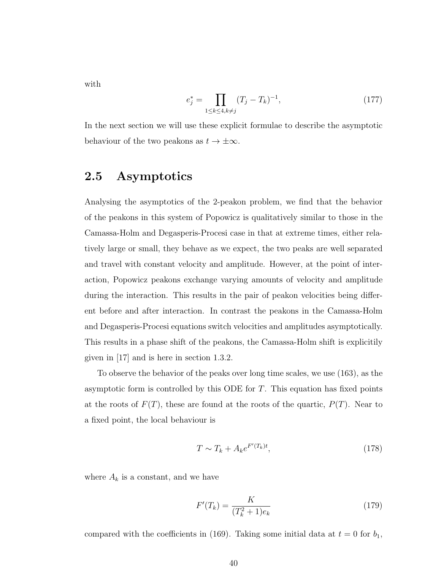with

$$
e_j^* = \prod_{1 \le k \le 4, k \ne j} (T_j - T_k)^{-1},\tag{177}
$$

In the next section we will use these explicit formulae to describe the asymptotic behaviour of the two peakons as  $t \to \pm \infty$ .

# 2.5 Asymptotics

Analysing the asymptotics of the 2-peakon problem, we find that the behavior of the peakons in this system of Popowicz is qualitatively similar to those in the Camassa-Holm and Degasperis-Procesi case in that at extreme times, either relatively large or small, they behave as we expect, the two peaks are well separated and travel with constant velocity and amplitude. However, at the point of interaction, Popowicz peakons exchange varying amounts of velocity and amplitude during the interaction. This results in the pair of peakon velocities being different before and after interaction. In contrast the peakons in the Camassa-Holm and Degasperis-Procesi equations switch velocities and amplitudes asymptotically. This results in a phase shift of the peakons, the Camassa-Holm shift is explicitily given in [17] and is here in section 1.3.2.

To observe the behavior of the peaks over long time scales, we use (163), as the asymptotic form is controlled by this ODE for T. This equation has fixed points at the roots of  $F(T)$ , these are found at the roots of the quartic,  $P(T)$ . Near to a fixed point, the local behaviour is

$$
T \sim T_k + A_k e^{F'(T_k)t},\tag{178}
$$

where  $A_k$  is a constant, and we have

$$
F'(T_k) = \frac{K}{(T_k^2 + 1)e_k}
$$
\n(179)

compared with the coefficients in (169). Taking some initial data at  $t = 0$  for  $b_1$ ,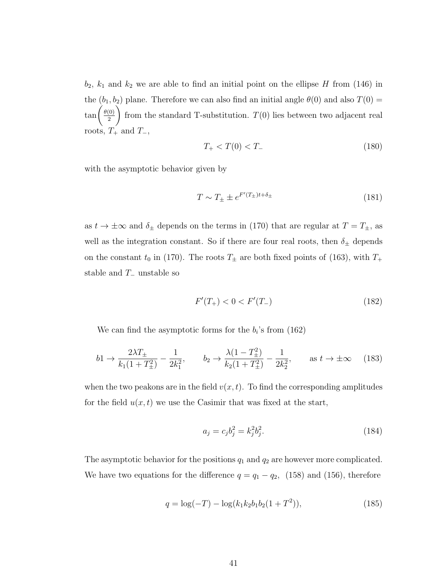$b_2$ ,  $k_1$  and  $k_2$  we are able to find an initial point on the ellipse H from (146) in the  $(b_1, b_2)$  plane. Therefore we can also find an initial angle  $\theta(0)$  and also  $T(0)$  =  $\tan\left(\frac{\theta(0)}{2}\right)$ 2  $\setminus$ from the standard T-substitution.  $T(0)$  lies between two adjacent real roots,  $T_+$  and  $T_-,$ 

$$
T_{+} < T(0) < T_{-} \tag{180}
$$

with the asymptotic behavior given by

$$
T \sim T_{\pm} \pm e^{F'(T_{\pm})t + \delta_{\pm}} \tag{181}
$$

as  $t \to \pm \infty$  and  $\delta_{\pm}$  depends on the terms in (170) that are regular at  $T = T_{\pm}$ , as well as the integration constant. So if there are four real roots, then  $\delta_{\pm}$  depends on the constant  $t_0$  in (170). The roots  $T_{\pm}$  are both fixed points of (163), with  $T_{+}$ stable and  $T_$  unstable so

$$
F'(T_+) < 0 < F'(T_-) \tag{182}
$$

We can find the asymptotic forms for the  $b_i$ 's from (162)

$$
b1 \to \frac{2\lambda T_{\pm}}{k_1(1+T_{\pm}^2)} - \frac{1}{2k_1^2}, \qquad b_2 \to \frac{\lambda(1-T_{\pm}^2)}{k_2(1+T_{\pm}^2)} - \frac{1}{2k_2^2}, \qquad \text{as } t \to \pm \infty \tag{183}
$$

when the two peakons are in the field  $v(x, t)$ . To find the corresponding amplitudes for the field  $u(x, t)$  we use the Casimir that was fixed at the start,

$$
a_j = c_j b_j^2 = k_j^2 b_j^2.
$$
\n(184)

The asymptotic behavior for the positions  $q_1$  and  $q_2$  are however more complicated. We have two equations for the difference  $q = q_1 - q_2$ , (158) and (156), therefore

$$
q = \log(-T) - \log(k_1 k_2 b_1 b_2 (1 + T^2)),\tag{185}
$$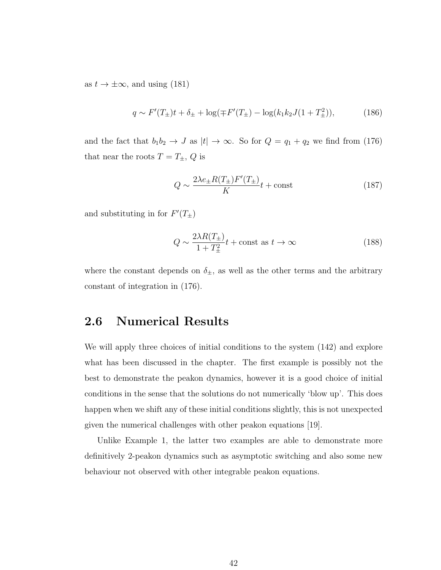as  $t \to \pm \infty$ , and using (181)

$$
q \sim F'(T_{\pm})t + \delta_{\pm} + \log(\mp F'(T_{\pm}) - \log(k_1k_2J(1+T_{\pm}^2)), \tag{186}
$$

and the fact that  $b_1b_2 \rightarrow J$  as  $|t| \rightarrow \infty$ . So for  $Q = q_1 + q_2$  we find from (176) that near the roots  $T = T_{\pm}$ , Q is

$$
Q \sim \frac{2\lambda e_{\pm}R(T_{\pm})F'(T_{\pm})}{K}t + \text{const}
$$
 (187)

and substituting in for  $F'(T_{\pm})$ 

$$
Q \sim \frac{2\lambda R(T_{\pm})}{1 + T_{\pm}^2} t + \text{const as } t \to \infty
$$
 (188)

where the constant depends on  $\delta_{\pm}$ , as well as the other terms and the arbitrary constant of integration in (176).

## 2.6 Numerical Results

We will apply three choices of initial conditions to the system (142) and explore what has been discussed in the chapter. The first example is possibly not the best to demonstrate the peakon dynamics, however it is a good choice of initial conditions in the sense that the solutions do not numerically 'blow up'. This does happen when we shift any of these initial conditions slightly, this is not unexpected given the numerical challenges with other peakon equations [19].

Unlike Example 1, the latter two examples are able to demonstrate more definitively 2-peakon dynamics such as asymptotic switching and also some new behaviour not observed with other integrable peakon equations.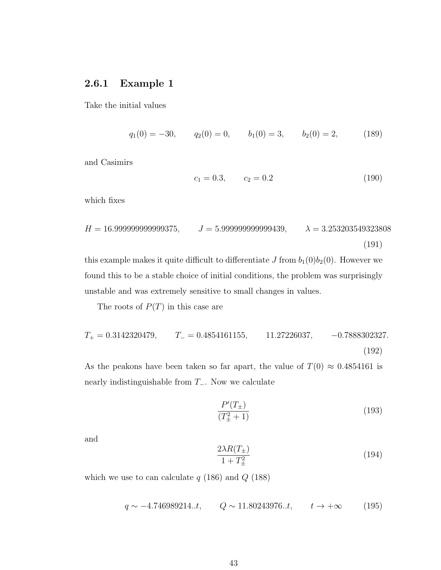#### 2.6.1 Example 1

Take the initial values

 $q_1(0) = -30,$   $q_2(0) = 0,$   $b_1(0) = 3,$   $b_2(0) = 2,$  (189)

and Casimirs

$$
c_1 = 0.3, \qquad c_2 = 0.2 \tag{190}
$$

which fixes

$$
H = 16.999999999999375, \t J = 5.999999999999439, \t \lambda = 3.253203549323808
$$
\n(191)

this example makes it quite difficult to differentiate  $J$  from  $b_1(0)b_2(0)$ . However we found this to be a stable choice of initial conditions, the problem was surprisingly unstable and was extremely sensitive to small changes in values.

The roots of  $P(T)$  in this case are

$$
T_{+} = 0.3142320479, \t T_{-} = 0.4854161155, \t 11.27226037, \t -0.7888302327.
$$
\n(192)

As the peakons have been taken so far apart, the value of  $T(0) \approx 0.4854161$  is nearly indistinguishable from  $T_$ . Now we calculate

$$
\frac{P'(T_{\pm})}{(T_{\pm}^2 + 1)}\tag{193}
$$

and

$$
\frac{2\lambda R(T_{\pm})}{1+T_{\pm}^2} \tag{194}
$$

which we use to can calculate  $q$  (186) and  $Q$  (188)

$$
q \sim -4.746989214..t, \qquad Q \sim 11.80243976..t, \qquad t \to +\infty \tag{195}
$$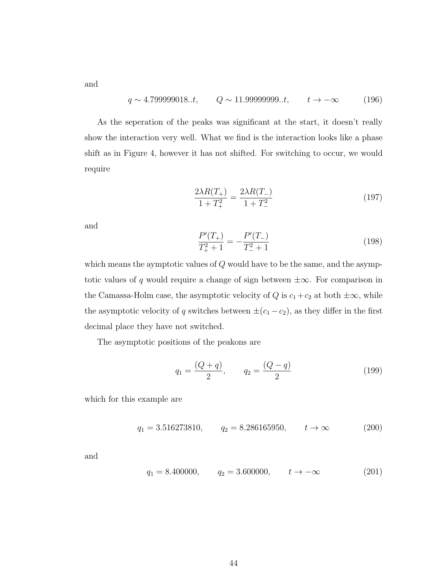and

$$
q \sim 4.799999018..t, \qquad Q \sim 11.99999999..t, \qquad t \to -\infty \tag{196}
$$

As the seperation of the peaks was significant at the start, it doesn't really show the interaction very well. What we find is the interaction looks like a phase shift as in Figure 4, however it has not shifted. For switching to occur, we would require

$$
\frac{2\lambda R(T_{+})}{1+T_{+}^{2}} = \frac{2\lambda R(T_{-})}{1+T_{-}^{2}}\tag{197}
$$

and

$$
\frac{P'(T_+)}{T_+^2 + 1} = -\frac{P'(T_-)}{T_-^2 + 1} \tag{198}
$$

which means the aymptotic values of  $Q$  would have to be the same, and the asymptotic values of q would require a change of sign between  $\pm \infty$ . For comparison in the Camassa-Holm case, the asymptotic velocity of  $Q$  is  $c_1+c_2$  at both  $\pm\infty$ , while the asymptotic velocity of q switches between  $\pm(c_1-c_2)$ , as they differ in the first decimal place they have not switched.

The asymptotic positions of the peakons are

$$
q_1 = \frac{(Q+q)}{2}, \qquad q_2 = \frac{(Q-q)}{2} \tag{199}
$$

which for this example are

$$
q_1 = 3.516273810,
$$
  $q_2 = 8.286165950,$   $t \to \infty$  (200)

and

$$
q_1 = 8.400000,
$$
  $q_2 = 3.600000,$   $t \to -\infty$  (201)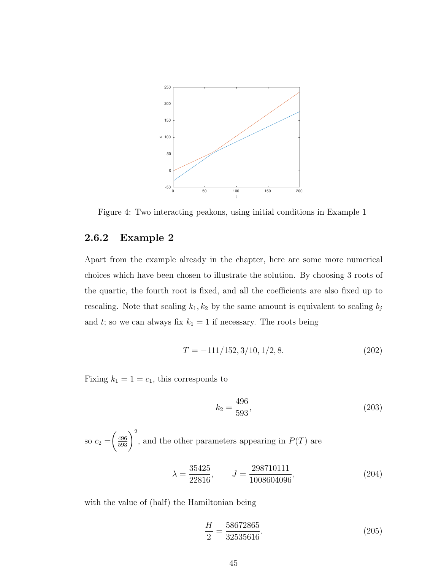

Figure 4: Two interacting peakons, using initial conditions in Example 1

#### 2.6.2 Example 2

Apart from the example already in the chapter, here are some more numerical choices which have been chosen to illustrate the solution. By choosing 3 roots of the quartic, the fourth root is fixed, and all the coefficients are also fixed up to rescaling. Note that scaling  $k_1, k_2$  by the same amount is equivalent to scaling  $b_j$ and t; so we can always fix  $k_1 = 1$  if necessary. The roots being

$$
T = -111/152, 3/10, 1/2, 8.
$$
 (202)

Fixing  $k_1 = 1 = c_1$ , this corresponds to

$$
k_2 = \frac{496}{593},\tag{203}
$$

so 
$$
c_2 = \left(\frac{496}{593}\right)^2
$$
, and the other parameters appearing in  $P(T)$  are

$$
\lambda = \frac{35425}{22816}, \qquad J = \frac{298710111}{1008604096}, \tag{204}
$$

with the value of (half) the Hamiltonian being

$$
\frac{H}{2} = \frac{58672865}{32535616}.\tag{205}
$$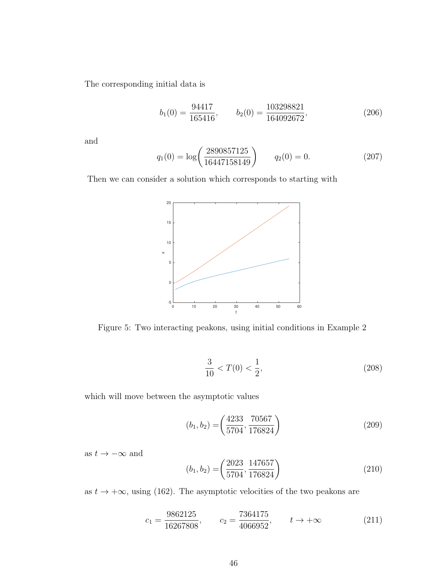The corresponding initial data is

$$
b_1(0) = \frac{94417}{165416}, \qquad b_2(0) = \frac{103298821}{164092672}, \tag{206}
$$

and

$$
q_1(0) = \log\left(\frac{2890857125}{16447158149}\right) \qquad q_2(0) = 0. \tag{207}
$$

Then we can consider a solution which corresponds to starting with



Figure 5: Two interacting peakons, using initial conditions in Example 2

$$
\frac{3}{10} < T(0) < \frac{1}{2},\tag{208}
$$

which will move between the asymptotic values

$$
(b_1, b_2) = \left(\frac{4233}{5704}, \frac{70567}{176824}\right) \tag{209}
$$

as  $t \to -\infty$  and

$$
(b_1, b_2) = \left(\frac{2023}{5704}, \frac{147657}{176824}\right) \tag{210}
$$

as  $t \to +\infty$ , using (162). The asymptotic velocities of the two peakons are

$$
c_1 = \frac{9862125}{16267808}, \qquad c_2 = \frac{7364175}{4066952}, \qquad t \to +\infty
$$
 (211)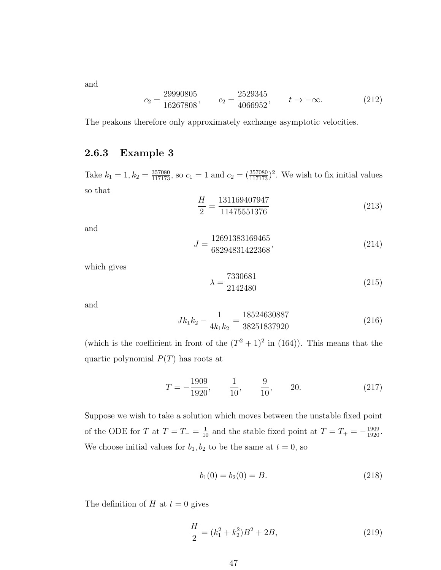and

$$
c_2 = \frac{29990805}{16267808}, \qquad c_2 = \frac{2529345}{4066952}, \qquad t \to -\infty.
$$
 (212)

The peakons therefore only approximately exchange asymptotic velocities.

#### 2.6.3 Example 3

Take  $k_1 = 1, k_2 = \frac{357080}{117173}$ , so  $c_1 = 1$  and  $c_2 = (\frac{357080}{117173})^2$ . We wish to fix initial values so that

$$
\frac{H}{2} = \frac{131169407947}{11475551376}
$$
\n(213)

and

$$
J = \frac{12691383169465}{68294831422368},\tag{214}
$$

which gives

$$
\lambda = \frac{7330681}{2142480} \tag{215}
$$

and

$$
Jk_1k_2 - \frac{1}{4k_1k_2} = \frac{18524630887}{38251837920}
$$
\n(216)

(which is the coefficient in front of the  $(T^2 + 1)^2$  in (164)). This means that the quartic polynomial  $P(T)$  has roots at

$$
T = -\frac{1909}{1920}, \qquad \frac{1}{10}, \qquad \frac{9}{10}, \qquad 20.
$$
 (217)

Suppose we wish to take a solution which moves between the unstable fixed point of the ODE for T at  $T = T_{-} = \frac{1}{10}$  and the stable fixed point at  $T = T_{+} = -\frac{1909}{1920}$ . We choose initial values for  $b_1, b_2$  to be the same at  $t = 0$ , so

$$
b_1(0) = b_2(0) = B.
$$
\n(218)

The definition of H at  $t = 0$  gives

$$
\frac{H}{2} = (k_1^2 + k_2^2)B^2 + 2B,\tag{219}
$$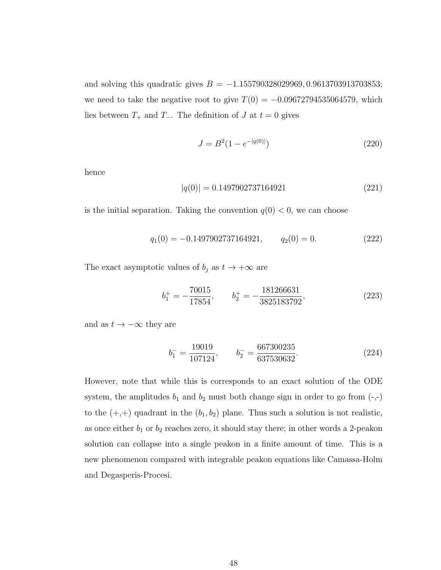and solving this quadratic gives  $B = -1.155790328029969, 0.9613703913703853;$ we need to take the negative root to give  $T(0) = -0.09672794535064579$ , which lies between  $T_+$  and  $T_-$ . The definition of  $J$  at  $t = 0$  gives

$$
J = B^2 (1 - e^{-|q(0)|})
$$
\n(220)

hence

$$
|q(0)| = 0.1497902737164921\tag{221}
$$

is the initial separation. Taking the convention  $q(0) < 0$ , we can choose

$$
q_1(0) = -0.1497902737164921, \t q_2(0) = 0. \t(222)
$$

The exact asymptotic values of  $b_j$  as  $t \to +\infty$  are

$$
b_1^+ = -\frac{70015}{17854}, \qquad b_2^+ = -\frac{181266631}{3825183792}, \tag{223}
$$

and as  $t \to -\infty$  they are

$$
b_1^- = \frac{19019}{107124}, \qquad b_2^- = \frac{667300235}{637530632}.
$$
 (224)

However, note that while this is corresponds to an exact solution of the ODE system, the amplitudes  $b_1$  and  $b_2$  must both change sign in order to go from  $(-, -)$ to the  $(+,+)$  quadrant in the  $(b_1, b_2)$  plane. Thus such a solution is not realistic, as once either  $b_1$  or  $b_2$  reaches zero, it should stay there; in other words a 2-peakon solution can collapse into a single peakon in a finite amount of time. This is a new phenomenon compared with integrable peakon equations like Camassa-Holm and Degasperis-Procesi.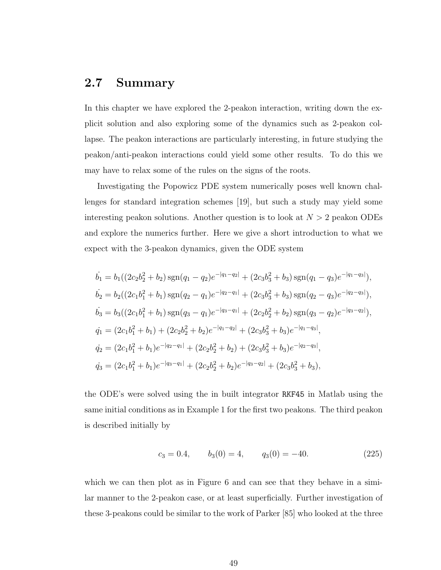## 2.7 Summary

In this chapter we have explored the 2-peakon interaction, writing down the explicit solution and also exploring some of the dynamics such as 2-peakon collapse. The peakon interactions are particularly interesting, in future studying the peakon/anti-peakon interactions could yield some other results. To do this we may have to relax some of the rules on the signs of the roots.

Investigating the Popowicz PDE system numerically poses well known challenges for standard integration schemes [19], but such a study may yield some interesting peakon solutions. Another question is to look at  $N > 2$  peakon ODEs and explore the numerics further. Here we give a short introduction to what we expect with the 3-peakon dynamics, given the ODE system

$$
\dot{b_1} = b_1((2c_2b_2^2 + b_2)\operatorname{sgn}(q_1 - q_2)e^{-|q_1 - q_2|} + (2c_3b_3^2 + b_3)\operatorname{sgn}(q_1 - q_3)e^{-|q_1 - q_3|}),
$$
\n
$$
\dot{b_2} = b_2((2c_1b_1^2 + b_1)\operatorname{sgn}(q_2 - q_1)e^{-|q_2 - q_1|} + (2c_3b_3^2 + b_3)\operatorname{sgn}(q_2 - q_3)e^{-|q_2 - q_3|}),
$$
\n
$$
\dot{b_3} = b_3((2c_1b_1^2 + b_1)\operatorname{sgn}(q_3 - q_1)e^{-|q_3 - q_1|} + (2c_2b_2^2 + b_2)\operatorname{sgn}(q_3 - q_2)e^{-|q_3 - q_2|}),
$$
\n
$$
\dot{q_1} = (2c_1b_1^2 + b_1) + (2c_2b_2^2 + b_2)e^{-|q_1 - q_2|} + (2c_3b_3^2 + b_3)e^{-|q_1 - q_3|},
$$
\n
$$
\dot{q_2} = (2c_1b_1^2 + b_1)e^{-|q_2 - q_1|} + (2c_2b_2^2 + b_2) + (2c_3b_3^2 + b_3)e^{-|q_2 - q_3|},
$$
\n
$$
\dot{q_3} = (2c_1b_1^2 + b_1)e^{-|q_3 - q_1|} + (2c_2b_2^2 + b_2)e^{-|q_3 - q_2|} + (2c_3b_3^2 + b_3),
$$

the ODE's were solved using the in built integrator RKF45 in Matlab using the same initial conditions as in Example 1 for the first two peakons. The third peakon is described initially by

$$
c_3 = 0.4,
$$
  $b_3(0) = 4,$   $q_3(0) = -40.$  (225)

which we can then plot as in Figure 6 and can see that they behave in a similar manner to the 2-peakon case, or at least superficially. Further investigation of these 3-peakons could be similar to the work of Parker [85] who looked at the three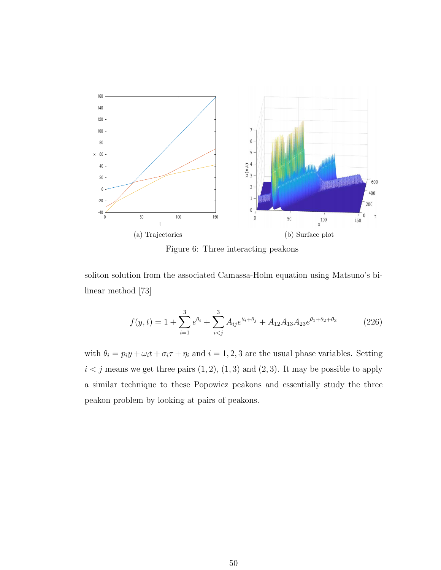

Figure 6: Three interacting peakons

soliton solution from the associated Camassa-Holm equation using Matsuno's bilinear method [73]

$$
f(y,t) = 1 + \sum_{i=1}^{3} e^{\theta_i} + \sum_{i (226)
$$

with  $\theta_i = p_i y + \omega_i t + \sigma_i \tau + \eta_i$  and  $i = 1, 2, 3$  are the usual phase variables. Setting  $i < j$  means we get three pairs  $(1, 2)$ ,  $(1, 3)$  and  $(2, 3)$ . It may be possible to apply a similar technique to these Popowicz peakons and essentially study the three peakon problem by looking at pairs of peakons.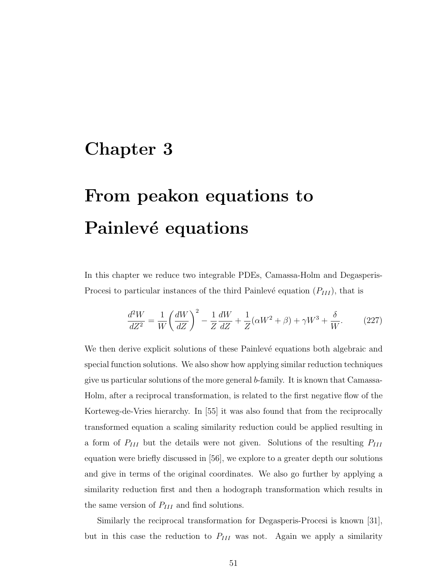# Chapter 3

# From peakon equations to Painlevé equations

In this chapter we reduce two integrable PDEs, Camassa-Holm and Degasperis-Procesi to particular instances of the third Painlevé equation  $(P_{III})$ , that is

$$
\frac{d^2W}{dZ^2} = \frac{1}{W} \left(\frac{dW}{dZ}\right)^2 - \frac{1}{Z}\frac{dW}{dZ} + \frac{1}{Z}(\alpha W^2 + \beta) + \gamma W^3 + \frac{\delta}{W}.\tag{227}
$$

We then derive explicit solutions of these Painlevé equations both algebraic and special function solutions. We also show how applying similar reduction techniques give us particular solutions of the more general b-family. It is known that Camassa-Holm, after a reciprocal transformation, is related to the first negative flow of the Korteweg-de-Vries hierarchy. In [55] it was also found that from the reciprocally transformed equation a scaling similarity reduction could be applied resulting in a form of  $P_{III}$  but the details were not given. Solutions of the resulting  $P_{III}$ equation were briefly discussed in [56], we explore to a greater depth our solutions and give in terms of the original coordinates. We also go further by applying a similarity reduction first and then a hodograph transformation which results in the same version of  $P_{III}$  and find solutions.

Similarly the reciprocal transformation for Degasperis-Procesi is known [31], but in this case the reduction to  $P_{III}$  was not. Again we apply a similarity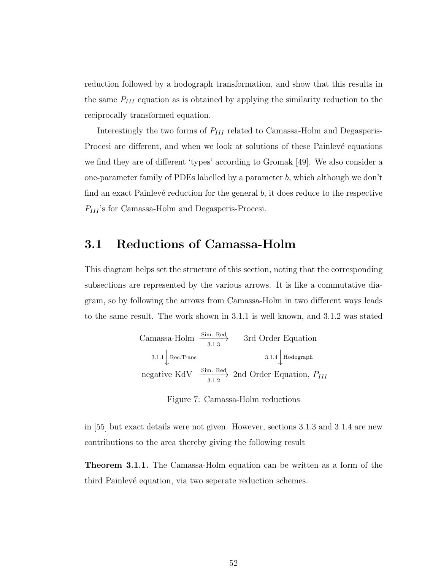reduction followed by a hodograph transformation, and show that this results in the same  $P_{III}$  equation as is obtained by applying the similarity reduction to the reciprocally transformed equation.

Interestingly the two forms of  $P_{III}$  related to Camassa-Holm and Degasperis-Procesi are different, and when we look at solutions of these Painlevé equations we find they are of different 'types' according to Gromak [49]. We also consider a one-parameter family of PDEs labelled by a parameter b, which although we don't find an exact Painlevé reduction for the general  $b$ , it does reduce to the respective  $P_{III}$ 's for Camassa-Holm and Degasperis-Procesi.

## 3.1 Reductions of Camassa-Holm

This diagram helps set the structure of this section, noting that the corresponding subsections are represented by the various arrows. It is like a commutative diagram, so by following the arrows from Camassa-Holm in two different ways leads to the same result. The work shown in 3.1.1 is well known, and 3.1.2 was stated

Camassa-Holm 
$$
\xrightarrow{Sim. Red}
$$
 3rd Order Equation

\n3.1.1  $\downarrow$  Rec.  
Trans

\n3.1.4  $\downarrow$  Hodograph

\nnegative KdV  $\xrightarrow{Sim. Red}$  2nd Order Equation,  $P_{III}$ 

Figure 7: Camassa-Holm reductions

in [55] but exact details were not given. However, sections 3.1.3 and 3.1.4 are new contributions to the area thereby giving the following result

Theorem 3.1.1. The Camassa-Holm equation can be written as a form of the third Painlevé equation, via two seperate reduction schemes.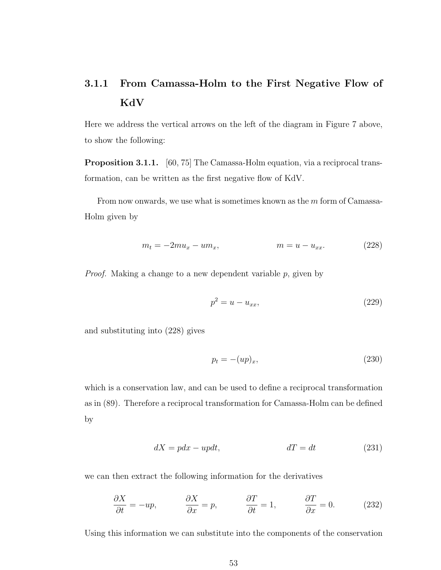# 3.1.1 From Camassa-Holm to the First Negative Flow of KdV

Here we address the vertical arrows on the left of the diagram in Figure 7 above, to show the following:

Proposition 3.1.1. [60, 75] The Camassa-Holm equation, via a reciprocal transformation, can be written as the first negative flow of KdV.

From now onwards, we use what is sometimes known as the m form of Camassa-Holm given by

$$
m_t = -2mu_x - um_x, \qquad m = u - u_{xx}.
$$
 (228)

*Proof.* Making a change to a new dependent variable  $p$ , given by

$$
p^2 = u - u_{xx},
$$
\n(229)

and substituting into (228) gives

$$
p_t = -(up)_x,\t\t(230)
$$

which is a conservation law, and can be used to define a reciprocal transformation as in (89). Therefore a reciprocal transformation for Camassa-Holm can be defined by

$$
dX = pdx - updt, \t dT = dt \t(231)
$$

we can then extract the following information for the derivatives

$$
\frac{\partial X}{\partial t} = -up, \qquad \frac{\partial X}{\partial x} = p, \qquad \frac{\partial T}{\partial t} = 1, \qquad \frac{\partial T}{\partial x} = 0. \qquad (232)
$$

Using this information we can substitute into the components of the conservation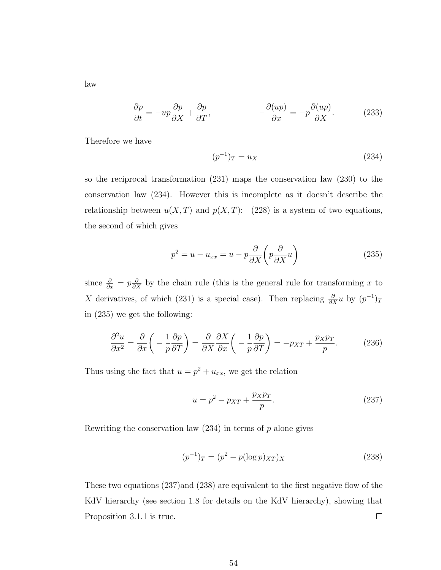law

$$
\frac{\partial p}{\partial t} = -up \frac{\partial p}{\partial X} + \frac{\partial p}{\partial T}, \qquad -\frac{\partial (up)}{\partial x} = -p \frac{\partial (up)}{\partial X}.
$$
 (233)

Therefore we have

$$
(p^{-1})_T = u_X \t\t(234)
$$

so the reciprocal transformation (231) maps the conservation law (230) to the conservation law (234). However this is incomplete as it doesn't describe the relationship between  $u(X,T)$  and  $p(X,T)$ : (228) is a system of two equations, the second of which gives

$$
p^2 = u - u_{xx} = u - p \frac{\partial}{\partial X} \left( p \frac{\partial}{\partial X} u \right) \tag{235}
$$

since  $\frac{\partial}{\partial x} = p \frac{\partial}{\partial x}$  by the chain rule (this is the general rule for transforming x to X derivatives, of which (231) is a special case). Then replacing  $\frac{\partial}{\partial X}u$  by  $(p^{-1})_T$ in (235) we get the following:

$$
\frac{\partial^2 u}{\partial x^2} = \frac{\partial}{\partial x} \left( -\frac{1}{p} \frac{\partial p}{\partial T} \right) = \frac{\partial}{\partial X} \frac{\partial X}{\partial x} \left( -\frac{1}{p} \frac{\partial p}{\partial T} \right) = -p_{XT} + \frac{p_X p_T}{p}.
$$
 (236)

Thus using the fact that  $u = p^2 + u_{xx}$ , we get the relation

$$
u = p^2 - p_{XT} + \frac{p_X p_T}{p}.
$$
\n(237)

Rewriting the conservation law  $(234)$  in terms of p alone gives

$$
(p^{-1})_T = (p^2 - p(\log p)_{XT})_X
$$
\n(238)

These two equations (237)and (238) are equivalent to the first negative flow of the KdV hierarchy (see section 1.8 for details on the KdV hierarchy), showing that  $\Box$ Proposition 3.1.1 is true.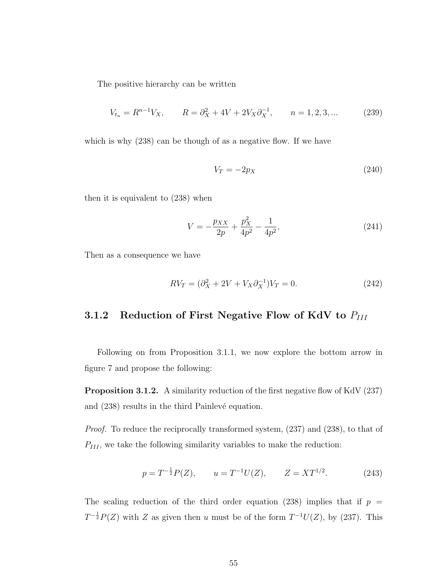The positive hierarchy can be written

$$
V_{t_n} = R^{n-1}V_X, \qquad R = \partial_X^2 + 4V + 2V_X \partial_X^{-1}, \qquad n = 1, 2, 3, \dots \tag{239}
$$

which is why  $(238)$  can be though of as a negative flow. If we have

$$
V_T = -2p_X \tag{240}
$$

then it is equivalent to (238) when

$$
V = -\frac{p_{XX}}{2p} + \frac{p_X^2}{4p^2} - \frac{1}{4p^2},\tag{241}
$$

Then as a consequence we have

$$
RV_T = (\partial_X^2 + 2V + V_X \partial_X^{-1})V_T = 0.
$$
 (242)

# 3.1.2 Reduction of First Negative Flow of KdV to  $P_{III}$

Following on from Proposition 3.1.1, we now explore the bottom arrow in figure 7 and propose the following:

Proposition 3.1.2. A similarity reduction of the first negative flow of KdV (237) and  $(238)$  results in the third Painlevé equation.

Proof. To reduce the reciprocally transformed system, (237) and (238), to that of  $P_{III}$ , we take the following similarity variables to make the reduction:

$$
p = T^{-\frac{1}{2}}P(Z), \qquad u = T^{-1}U(Z), \qquad Z = XT^{1/2}.
$$
 (243)

The scaling reduction of the third order equation (238) implies that if  $p =$  $T^{-\frac{1}{2}}P(Z)$  with Z as given then u must be of the form  $T^{-1}U(Z)$ , by (237). This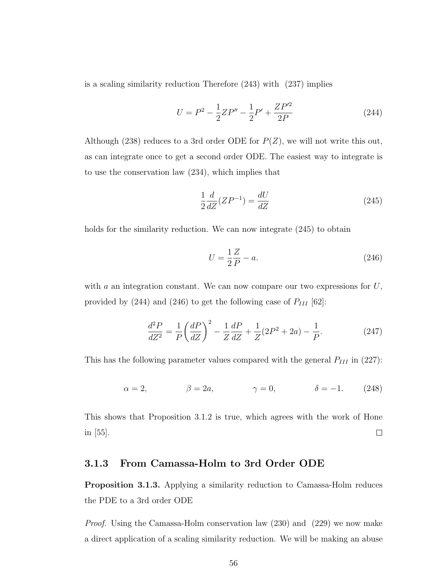is a scaling similarity reduction Therefore (243) with (237) implies

$$
U = P^2 - \frac{1}{2}ZP'' - \frac{1}{2}P' + \frac{ZP'^2}{2P}
$$
\n(244)

Although (238) reduces to a 3rd order ODE for  $P(Z)$ , we will not write this out, as can integrate once to get a second order ODE. The easiest way to integrate is to use the conservation law (234), which implies that

$$
\frac{1}{2}\frac{d}{dZ}(ZP^{-1}) = \frac{dU}{dZ}
$$
\n(245)

holds for the similarity reduction. We can now integrate  $(245)$  to obtain

$$
U = \frac{1}{2}\frac{Z}{P} - a.\tag{246}
$$

with  $a$  an integration constant. We can now compare our two expressions for  $U$ , provided by (244) and (246) to get the following case of  $P_{III}$  [62]:

$$
\frac{d^2P}{dZ^2} = \frac{1}{P} \left(\frac{dP}{dZ}\right)^2 - \frac{1}{Z}\frac{dP}{dZ} + \frac{1}{Z}(2P^2 + 2a) - \frac{1}{P}.\tag{247}
$$

This has the following parameter values compared with the general  $P_{III}$  in (227):

$$
\alpha = 2, \qquad \beta = 2a, \qquad \gamma = 0, \qquad \delta = -1. \qquad (248)
$$

This shows that Proposition 3.1.2 is true, which agrees with the work of Hone  $\Box$ in [55].

#### 3.1.3 From Camassa-Holm to 3rd Order ODE

Proposition 3.1.3. Applying a similarity reduction to Camassa-Holm reduces the PDE to a 3rd order ODE

Proof. Using the Camassa-Holm conservation law (230) and (229) we now make a direct application of a scaling similarity reduction. We will be making an abuse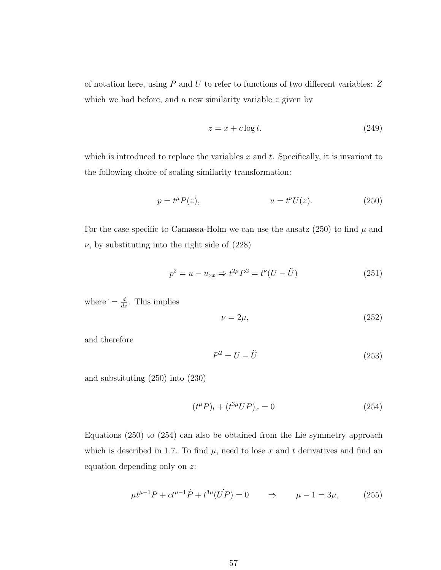of notation here, using  $P$  and  $U$  to refer to functions of two different variables:  $Z$ which we had before, and a new similarity variable  $z$  given by

$$
z = x + c \log t. \tag{249}
$$

which is introduced to replace the variables  $x$  and  $t$ . Specifically, it is invariant to the following choice of scaling similarity transformation:

$$
p = t^{\mu} P(z), \qquad u = t^{\nu} U(z). \tag{250}
$$

For the case specific to Camassa-Holm we can use the ansatz  $(250)$  to find  $\mu$  and  $\nu$ , by substituting into the right side of  $(228)$ 

$$
p^2 = u - u_{xx} \Rightarrow t^{2\mu} P^2 = t^{\nu} (U - \ddot{U})
$$
 (251)

where  $=$   $\frac{d}{dz}$ . This implies

$$
\nu = 2\mu,\tag{252}
$$

and therefore

$$
P^2 = U - \ddot{U} \tag{253}
$$

and substituting (250) into (230)

$$
(t^{\mu}P)_t + (t^{3\mu}UP)_x = 0
$$
\n(254)

Equations (250) to (254) can also be obtained from the Lie symmetry approach which is described in 1.7. To find  $\mu$ , need to lose x and t derivatives and find an equation depending only on z:

$$
\mu t^{\mu - 1} P + c t^{\mu - 1} \dot{P} + t^{3\mu} (\dot{U} \dot{P}) = 0 \qquad \Rightarrow \qquad \mu - 1 = 3\mu, \tag{255}
$$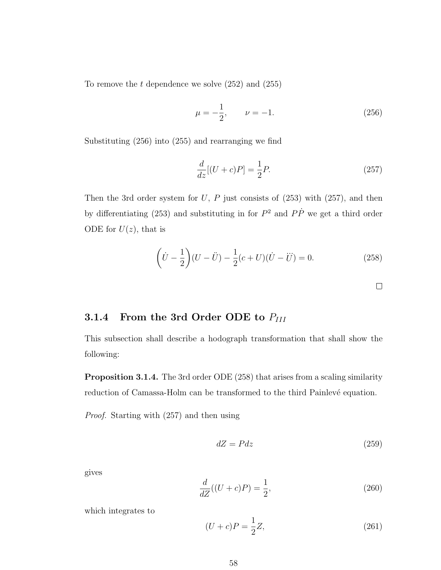To remove the  $t$  dependence we solve  $(252)$  and  $(255)$ 

$$
\mu = -\frac{1}{2}, \qquad \nu = -1. \tag{256}
$$

Substituting (256) into (255) and rearranging we find

$$
\frac{d}{dz}[(U+c)P] = \frac{1}{2}P.\tag{257}
$$

Then the 3rd order system for  $U, P$  just consists of (253) with (257), and then by differentiating (253) and substituting in for  $P^2$  and  $P\dot{P}$  we get a third order ODE for  $U(z)$ , that is

$$
\left(\dot{U} - \frac{1}{2}\right)(U - \ddot{U}) - \frac{1}{2}(c + U)(\dot{U} - \ddot{U}) = 0.
$$
 (258)

3.1.4 From the 3rd Order ODE to 
$$
P_{III}
$$

This subsection shall describe a hodograph transformation that shall show the following:

Proposition 3.1.4. The 3rd order ODE (258) that arises from a scaling similarity reduction of Camassa-Holm can be transformed to the third Painlevé equation.

Proof. Starting with (257) and then using

$$
dZ = Pdz \tag{259}
$$

 $\Box$ 

gives

$$
\frac{d}{dZ}((U+c)P) = \frac{1}{2},
$$
\n(260)

which integrates to

$$
(U + c)P = \frac{1}{2}Z,
$$
\n(261)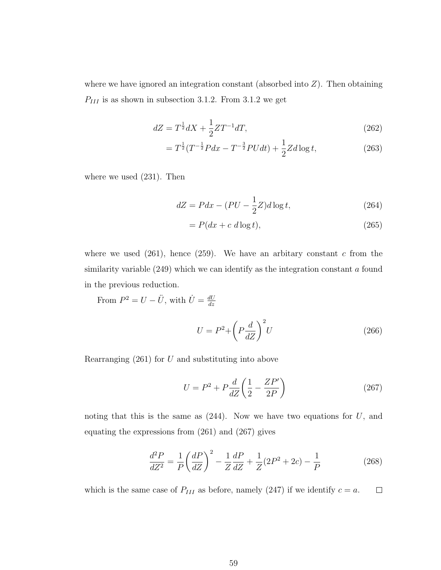where we have ignored an integration constant (absorbed into  $Z$ ). Then obtaining  $P_{III}$  is as shown in subsection 3.1.2. From 3.1.2 we get

$$
dZ = T^{\frac{1}{2}}dX + \frac{1}{2}ZT^{-1}dT,
$$
\n(262)

$$
=T^{\frac{1}{2}}(T^{-\frac{1}{2}}Pdx - T^{-\frac{3}{2}}PUdt) + \frac{1}{2}Zd\log t, \qquad (263)
$$

where we used (231). Then

$$
dZ = Pdx - (PU - \frac{1}{2}Z)d\log t,\tag{264}
$$

$$
= P(dx + c \, d \log t),\tag{265}
$$

where we used  $(261)$ , hence  $(259)$ . We have an arbitary constant c from the similarity variable  $(249)$  which we can identify as the integration constant a found in the previous reduction.

From  $P^2 = U - \ddot{U}$ , with  $\dot{U} = \frac{dU}{dz}$ dz

$$
U = P^2 + \left(P\frac{d}{dZ}\right)^2 U\tag{266}
$$

Rearranging  $(261)$  for U and substituting into above

$$
U = P^2 + P\frac{d}{dZ}\left(\frac{1}{2} - \frac{ZP'}{2P}\right) \tag{267}
$$

noting that this is the same as  $(244)$ . Now we have two equations for U, and equating the expressions from (261) and (267) gives

$$
\frac{d^2P}{dZ^2} = \frac{1}{P} \left(\frac{dP}{dZ}\right)^2 - \frac{1}{Z}\frac{dP}{dZ} + \frac{1}{Z}(2P^2 + 2c) - \frac{1}{P}
$$
(268)

which is the same case of  $P_{III}$  as before, namely (247) if we identify  $c = a$ .  $\Box$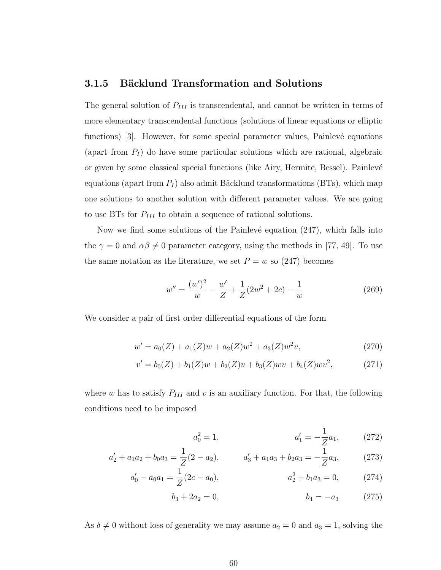#### 3.1.5 Bäcklund Transformation and Solutions

The general solution of  $P_{III}$  is transcendental, and cannot be written in terms of more elementary transcendental functions (solutions of linear equations or elliptic functions) [3]. However, for some special parameter values, Painlevé equations (apart from  $P_I$ ) do have some particular solutions which are rational, algebraic or given by some classical special functions (like Airy, Hermite, Bessel). Painlev´e equations (apart from  $P_I$ ) also admit Bäcklund transformations (BTs), which map one solutions to another solution with different parameter values. We are going to use BTs for  $P_{III}$  to obtain a sequence of rational solutions.

Now we find some solutions of the Painlevé equation  $(247)$ , which falls into the  $\gamma = 0$  and  $\alpha \beta \neq 0$  parameter category, using the methods in [77, 49]. To use the same notation as the literature, we set  $P = w$  so (247) becomes

$$
w'' = \frac{(w')^2}{w} - \frac{w'}{Z} + \frac{1}{Z}(2w^2 + 2c) - \frac{1}{w}
$$
 (269)

We consider a pair of first order differential equations of the form

$$
w' = a_0(Z) + a_1(Z)w + a_2(Z)w^2 + a_3(Z)w^2v,
$$
\n(270)

$$
v' = b_0(Z) + b_1(Z)w + b_2(Z)v + b_3(Z)w + b_4(Z)w^2,
$$
 (271)

where w has to satisfy  $P_{III}$  and v is an auxiliary function. For that, the following conditions need to be imposed

$$
a_0^2 = 1, \qquad a_1' = -\frac{1}{Z}a_1,\qquad (272)
$$

$$
a'_2 + a_1 a_2 + b_0 a_3 = \frac{1}{Z}(2 - a_2), \qquad a'_3 + a_1 a_3 + b_2 a_3 = -\frac{1}{Z}a_3,\tag{273}
$$

$$
a'_0 - a_0 a_1 = \frac{1}{Z} (2c - a_0), \qquad a_2^2 + b_1 a_3 = 0, \qquad (274)
$$

$$
b_3 + 2a_2 = 0, \t\t b_4 = -a_3 \t\t (275)
$$

As  $\delta \neq 0$  without loss of generality we may assume  $a_2 = 0$  and  $a_3 = 1$ , solving the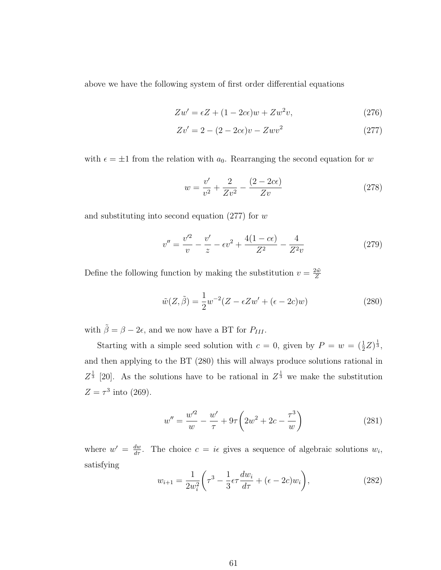above we have the following system of first order differential equations

$$
Zw' = \epsilon Z + (1 - 2c\epsilon)w + Zw^2v,
$$
\n(276)

$$
Zv' = 2 - (2 - 2c\epsilon)v - Zwv^2
$$
\n(277)

with  $\epsilon = \pm 1$  from the relation with  $a_0$ . Rearranging the second equation for w

$$
w = \frac{v'}{v^2} + \frac{2}{Zv^2} - \frac{(2 - 2c\epsilon)}{Zv}
$$
\n(278)

and substituting into second equation  $(277)$  for w

$$
v'' = \frac{v'^2}{v} - \frac{v'}{z} - \epsilon v^2 + \frac{4(1 - c\epsilon)}{Z^2} - \frac{4}{Z^2 v}
$$
 (279)

Define the following function by making the substitution  $v = \frac{2\tilde{w}}{Z}$ Z

$$
\tilde{w}(Z,\tilde{\beta}) = \frac{1}{2}w^{-2}(Z - \epsilon Zw' + (\epsilon - 2c)w)
$$
\n(280)

with  $\tilde{\beta} = \beta - 2\epsilon$ , and we now have a BT for  $P_{III}$ .

Starting with a simple seed solution with  $c = 0$ , given by  $P = w = (\frac{1}{2}Z)^{\frac{1}{3}}$ , and then applying to the BT (280) this will always produce solutions rational in  $Z^{\frac{1}{3}}$  [20]. As the solutions have to be rational in  $Z^{\frac{1}{3}}$  we make the substitution  $Z = \tau^3$  into (269).

$$
w'' = \frac{w'^2}{w} - \frac{w'}{\tau} + 9\tau \left(2w^2 + 2c - \frac{\tau^3}{w}\right)
$$
 (281)

where  $w' = \frac{dw}{d\tau}$ . The choice  $c = i\epsilon$  gives a sequence of algebraic solutions  $w_i$ , satisfying

$$
w_{i+1} = \frac{1}{2w_i^2} \left( \tau^3 - \frac{1}{3} \epsilon \tau \frac{dw_i}{d\tau} + (\epsilon - 2c) w_i \right),
$$
 (282)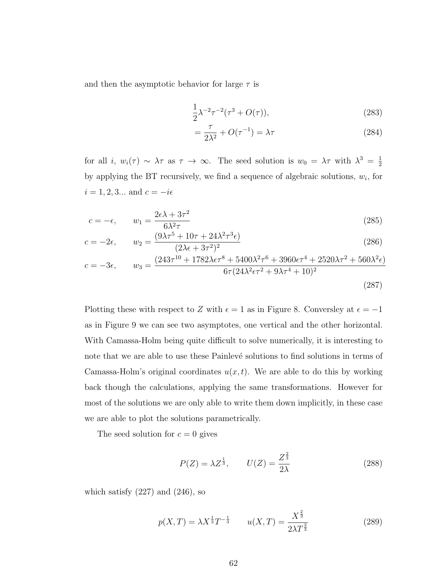and then the asymptotic behavior for large  $\tau$  is

$$
\frac{1}{2}\lambda^{-2}\tau^{-2}(\tau^3 + O(\tau)),
$$
\n(283)

$$
=\frac{\tau}{2\lambda^2} + O(\tau^{-1}) = \lambda \tau \tag{284}
$$

for all *i*,  $w_i(\tau) \sim \lambda \tau$  as  $\tau \to \infty$ . The seed solution is  $w_0 = \lambda \tau$  with  $\lambda^3 = \frac{1}{2}$ 2 by applying the BT recursively, we find a sequence of algebraic solutions,  $w_i$ , for  $i = 1, 2, 3...$  and  $c = -i\epsilon$ 

$$
c = -\epsilon, \qquad w_1 = \frac{2\epsilon\lambda + 3\tau^2}{6\lambda^2 \tau} \tag{285}
$$

$$
c = -2\epsilon, \qquad w_2 = \frac{(9\lambda\tau^5 + 10\tau + 24\lambda^2\tau^3\epsilon)}{(2\lambda\epsilon + 3\tau^2)^2}
$$
\n
$$
(286)
$$

$$
c = -3\epsilon, \qquad w_3 = \frac{(243\tau^{10} + 1782\lambda\epsilon\tau^8 + 5400\lambda^2\tau^6 + 3960\epsilon\tau^4 + 2520\lambda\tau^2 + 560\lambda^2\epsilon)}{6\tau(24\lambda^2\epsilon\tau^2 + 9\lambda\tau^4 + 10)^2}
$$
\n(287)

Plotting these with respect to Z with  $\epsilon = 1$  as in Figure 8. Conversley at  $\epsilon = -1$ as in Figure 9 we can see two asymptotes, one vertical and the other horizontal. With Camassa-Holm being quite difficult to solve numerically, it is interesting to note that we are able to use these Painlevé solutions to find solutions in terms of Camassa-Holm's original coordinates  $u(x, t)$ . We are able to do this by working back though the calculations, applying the same transformations. However for most of the solutions we are only able to write them down implicitly, in these case we are able to plot the solutions parametrically.

The seed solution for  $c = 0$  gives

$$
P(Z) = \lambda Z^{\frac{1}{3}}, \qquad U(Z) = \frac{Z^{\frac{2}{3}}}{2\lambda}
$$
 (288)

which satisfy  $(227)$  and  $(246)$ , so

$$
p(X,T) = \lambda X^{\frac{1}{3}} T^{-\frac{1}{3}} \qquad u(X,T) = \frac{X^{\frac{2}{3}}}{2\lambda T^{\frac{2}{3}}}
$$
(289)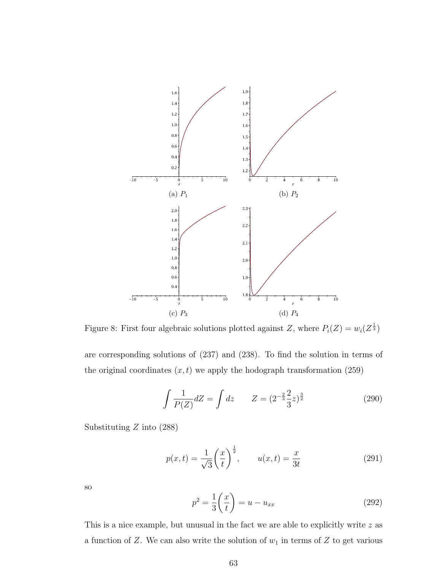

Figure 8: First four algebraic solutions plotted against Z, where  $P_i(Z) = w_i(Z^{\frac{1}{3}})$ 

are corresponding solutions of (237) and (238). To find the solution in terms of the original coordinates  $(x, t)$  we apply the hodograph transformation (259)

$$
\int \frac{1}{P(Z)} dZ = \int dz \qquad Z = (2^{-\frac{2}{3}} \frac{2}{3} z)^{\frac{3}{2}} \tag{290}
$$

Substituting  $Z$  into (288)

$$
p(x,t) = \frac{1}{\sqrt{3}} \left(\frac{x}{t}\right)^{\frac{1}{2}}, \qquad u(x,t) = \frac{x}{3t}
$$
 (291)

so

$$
p^2 = \frac{1}{3} \left( \frac{x}{t} \right) = u - u_{xx} \tag{292}
$$

This is a nice example, but unusual in the fact we are able to explicitly write z as a function of Z. We can also write the solution of  $w_1$  in terms of Z to get various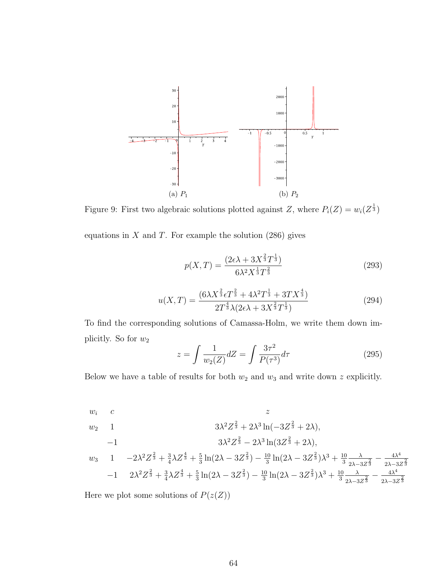

Figure 9: First two algebraic solutions plotted against Z, where  $P_i(Z) = w_i(Z^{\frac{1}{3}})$ 

equations in  $X$  and  $T$ . For example the solution (286) gives

$$
p(X,T) = \frac{(2\epsilon\lambda + 3X^{\frac{2}{3}}T^{\frac{1}{3}})}{6\lambda^2 X^{\frac{1}{3}}T^{\frac{2}{3}}}
$$
\n(293)

$$
u(X,T) = \frac{(6\lambda X^{\frac{2}{3}}\epsilon T^{\frac{2}{3}} + 4\lambda^2 T^{\frac{1}{3}} + 3TX^{\frac{4}{3}})}{2T^{\frac{4}{3}}\lambda(2\epsilon\lambda + 3X^{\frac{2}{3}}T^{\frac{1}{3}})}
$$
(294)

To find the corresponding solutions of Camassa-Holm, we write them down implicitly. So for  $w_2$ 

$$
z = \int \frac{1}{w_2(Z)} dZ = \int \frac{3\tau^2}{P(\tau^3)} d\tau
$$
\n(295)

Below we have a table of results for both  $w_2$  and  $w_3$  and write down z explicitly.

$$
wi c \n w2 1 \n 3λ2Z23 + 2λ3 ln(-3Z23 + 2λ),
$$

$$
-1 \t\t 3\lambda^2 Z^{\frac{2}{3}} - 2\lambda^3 \ln(3Z^{\frac{2}{3}} + 2\lambda),
$$

$$
w_3 \quad 1 \quad -2\lambda^2 Z^{\frac{2}{3}} + \frac{3}{4}\lambda Z^{\frac{4}{3}} + \frac{5}{3}\ln(2\lambda - 3Z^{\frac{2}{3}}) - \frac{10}{3}\ln(2\lambda - 3Z^{\frac{2}{3}})\lambda^3 + \frac{10}{3}\frac{\lambda}{2\lambda - 3Z^{\frac{2}{3}}} - \frac{4\lambda^4}{2\lambda - 3Z^{\frac{2}{3}}}
$$
  
-1 \quad 2\lambda^2 Z^{\frac{2}{3}} + \frac{3}{4}\lambda Z^{\frac{4}{3}} + \frac{5}{3}\ln(2\lambda - 3Z^{\frac{2}{3}}) - \frac{10}{3}\ln(2\lambda - 3Z^{\frac{2}{3}})\lambda^3 + \frac{10}{3}\frac{\lambda}{2\lambda - 3Z^{\frac{2}{3}}} - \frac{4\lambda^4}{2\lambda - 3Z^{\frac{2}{3}}}

Here we plot some solutions of  $P(z(Z))$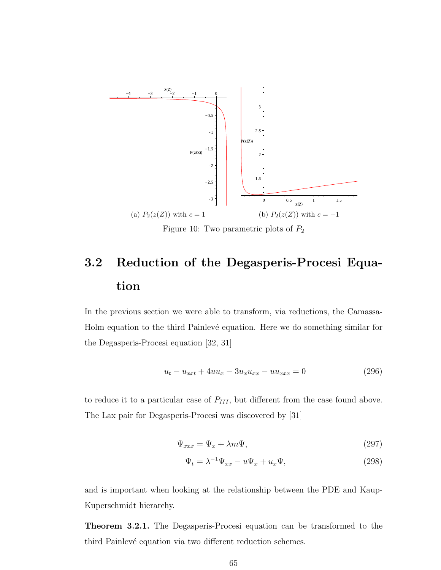

Figure 10: Two parametric plots of  $P_2$ 

# 3.2 Reduction of the Degasperis-Procesi Equation

In the previous section we were able to transform, via reductions, the Camassa-Holm equation to the third Painlevé equation. Here we do something similar for the Degasperis-Procesi equation [32, 31]

$$
u_t - u_{xxt} + 4uu_x - 3u_xu_{xx} - uu_{xxx} = 0 \tag{296}
$$

to reduce it to a particular case of  $P_{III}$ , but different from the case found above. The Lax pair for Degasperis-Procesi was discovered by [31]

$$
\Psi_{xxx} = \Psi_x + \lambda m \Psi, \tag{297}
$$

$$
\Psi_t = \lambda^{-1} \Psi_{xx} - u \Psi_x + u_x \Psi, \qquad (298)
$$

and is important when looking at the relationship between the PDE and Kaup-Kuperschmidt hierarchy.

Theorem 3.2.1. The Degasperis-Procesi equation can be transformed to the third Painlevé equation via two different reduction schemes.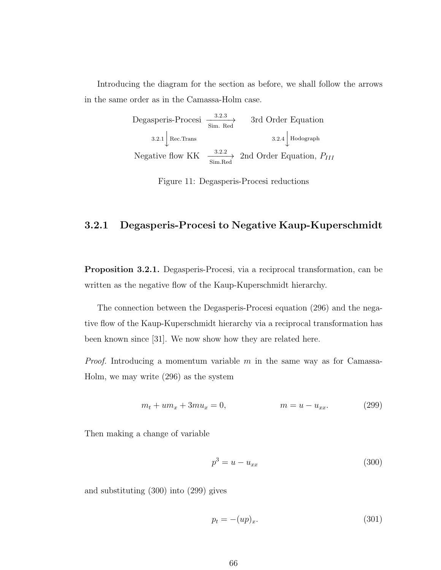Introducing the diagram for the section as before, we shall follow the arrows in the same order as in the Camassa-Holm case.

> Degasperis-Procesi  $\frac{3.2.3}{\text{Sim. Red}}$  3rd Order Equation  $3.2.1\begin{array}{|l|}\n\end{array}$  Rec.Trans  $3.2.4\begin{array}{|l|}\n\end{array}$  Hodograph Negative flow KK  $\frac{3.2.2}{\text{SimRed}}$  2nd Order Equation,  $P_{III}$

> > Figure 11: Degasperis-Procesi reductions

#### 3.2.1 Degasperis-Procesi to Negative Kaup-Kuperschmidt

Proposition 3.2.1. Degasperis-Procesi, via a reciprocal transformation, can be written as the negative flow of the Kaup-Kuperschmidt hierarchy.

The connection between the Degasperis-Procesi equation (296) and the negative flow of the Kaup-Kuperschmidt hierarchy via a reciprocal transformation has been known since [31]. We now show how they are related here.

*Proof.* Introducing a momentum variable m in the same way as for Camassa-Holm, we may write (296) as the system

$$
m_t + um_x + 3mu_x = 0, \qquad m = u - u_{xx}.
$$
 (299)

Then making a change of variable

$$
p^3 = u - u_{xx} \tag{300}
$$

and substituting (300) into (299) gives

$$
p_t = -(up)_x. \tag{301}
$$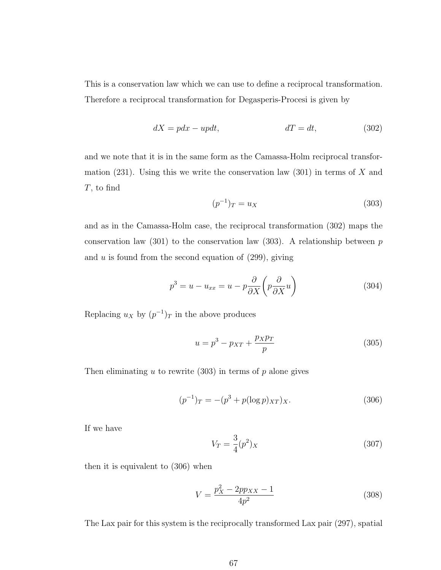This is a conservation law which we can use to define a reciprocal transformation. Therefore a reciprocal transformation for Degasperis-Procesi is given by

$$
dX = pdx - updt, \t dT = dt,
$$
\t(302)

and we note that it is in the same form as the Camassa-Holm reciprocal transformation (231). Using this we write the conservation law (301) in terms of  $X$  and T, to find

$$
(p^{-1})_T = u_X \t\t(303)
$$

and as in the Camassa-Holm case, the reciprocal transformation (302) maps the conservation law (301) to the conservation law (303). A relationship between  $p$ and  $u$  is found from the second equation of  $(299)$ , giving

$$
p^3 = u - u_{xx} = u - p \frac{\partial}{\partial X} \left( p \frac{\partial}{\partial X} u \right)
$$
 (304)

Replacing  $u_X$  by  $(p^{-1})_T$  in the above produces

$$
u = p^3 - p_{XT} + \frac{p_X p_T}{p} \tag{305}
$$

Then eliminating  $u$  to rewrite (303) in terms of  $p$  alone gives

$$
(p^{-1})_T = -(p^3 + p(\log p)_{XT})_X. \tag{306}
$$

If we have

$$
V_T = \frac{3}{4}(p^2)_X\tag{307}
$$

then it is equivalent to (306) when

$$
V = \frac{p_X^2 - 2pp_{XX} - 1}{4p^2} \tag{308}
$$

The Lax pair for this system is the reciprocally transformed Lax pair (297), spatial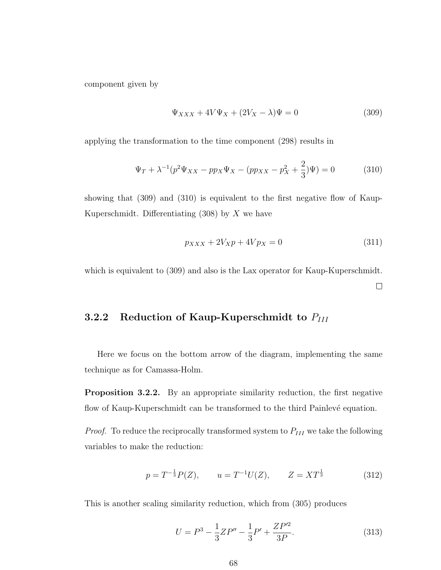component given by

$$
\Psi_{XXX} + 4V\Psi_X + (2V_X - \lambda)\Psi = 0
$$
\n(309)

applying the transformation to the time component (298) results in

$$
\Psi_T + \lambda^{-1} (p^2 \Psi_{XX} - pp_X \Psi_X - (pp_{XX} - p_X^2 + \frac{2}{3}) \Psi) = 0 \tag{310}
$$

showing that (309) and (310) is equivalent to the first negative flow of Kaup-Kuperschmidt. Differentiating  $(308)$  by X we have

$$
p_{XXX} + 2V_{X}p + 4Vp_{X} = 0 \tag{311}
$$

which is equivalent to (309) and also is the Lax operator for Kaup-Kuperschmidt.  $\Box$ 

#### 3.2.2 Reduction of Kaup-Kuperschmidt to  $P_{III}$

Here we focus on the bottom arrow of the diagram, implementing the same technique as for Camassa-Holm.

Proposition 3.2.2. By an appropriate similarity reduction, the first negative flow of Kaup-Kuperschmidt can be transformed to the third Painlevé equation.

*Proof.* To reduce the reciprocally transformed system to  $P_{III}$  we take the following variables to make the reduction:

$$
p = T^{-\frac{1}{3}}P(Z), \qquad u = T^{-1}U(Z), \qquad Z = XT^{\frac{1}{3}} \tag{312}
$$

This is another scaling similarity reduction, which from (305) produces

$$
U = P^3 - \frac{1}{3}ZP'' - \frac{1}{3}P' + \frac{ZP'^2}{3P}.
$$
\n(313)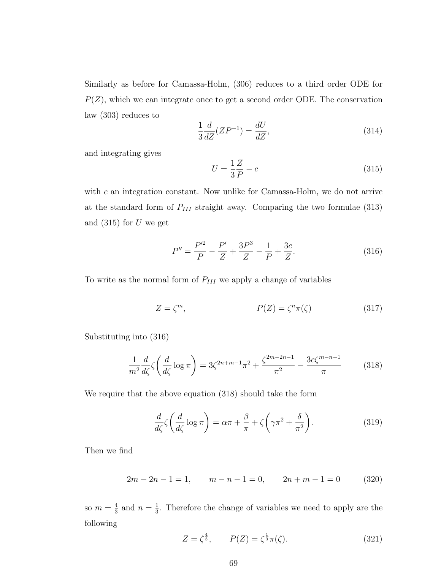Similarly as before for Camassa-Holm, (306) reduces to a third order ODE for  $P(Z)$ , which we can integrate once to get a second order ODE. The conservation law (303) reduces to

$$
\frac{1}{3}\frac{d}{dZ}(ZP^{-1}) = \frac{dU}{dZ},\tag{314}
$$

and integrating gives

$$
U = \frac{1}{3}\frac{Z}{P} - c\tag{315}
$$

with  $c$  an integration constant. Now unlike for Camassa-Holm, we do not arrive at the standard form of  $P_{III}$  straight away. Comparing the two formulae (313) and  $(315)$  for U we get

$$
P'' = \frac{P'^2}{P} - \frac{P'}{Z} + \frac{3P^3}{Z} - \frac{1}{P} + \frac{3c}{Z}.
$$
 (316)

To write as the normal form of  $P_{III}$  we apply a change of variables

$$
Z = \zeta^m,\qquad P(Z) = \zeta^n \pi(\zeta) \tag{317}
$$

Substituting into (316)

$$
\frac{1}{m^2} \frac{d}{d\zeta} \zeta \left( \frac{d}{d\zeta} \log \pi \right) = 3\zeta^{2n+m-1} \pi^2 + \frac{\zeta^{2m-2n-1}}{\pi^2} - \frac{3c\zeta^{m-n-1}}{\pi} \tag{318}
$$

We require that the above equation (318) should take the form

$$
\frac{d}{d\zeta}\zeta\left(\frac{d}{d\zeta}\log\pi\right) = \alpha\pi + \frac{\beta}{\pi} + \zeta\left(\gamma\pi^2 + \frac{\delta}{\pi^2}\right). \tag{319}
$$

Then we find

$$
2m - 2n - 1 = 1, \qquad m - n - 1 = 0, \qquad 2n + m - 1 = 0 \tag{320}
$$

so  $m=\frac{4}{3}$  $\frac{4}{3}$  and  $n=\frac{1}{3}$  $\frac{1}{3}$ . Therefore the change of variables we need to apply are the following

$$
Z = \zeta^{\frac{4}{3}}, \qquad P(Z) = \zeta^{\frac{1}{3}} \pi(\zeta). \tag{321}
$$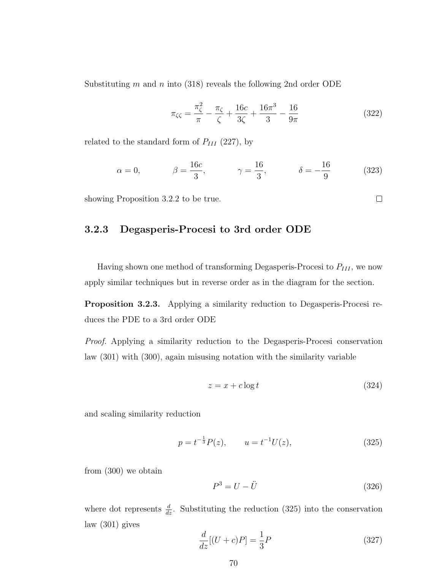Substituting m and n into (318) reveals the following 2nd order ODE

$$
\pi_{\zeta\zeta} = \frac{\pi_{\zeta}^2}{\pi} - \frac{\pi_{\zeta}}{\zeta} + \frac{16c}{3\zeta} + \frac{16\pi^3}{3} - \frac{16}{9\pi}
$$
\n(322)

 $\Box$ 

related to the standard form of  $P_{III}$  (227), by

$$
\alpha = 0,
$$
\n $\beta = \frac{16c}{3},$ \n $\gamma = \frac{16}{3},$ \n $\delta = -\frac{16}{9}$ \n(323)

showing Proposition 3.2.2 to be true.

#### 3.2.3 Degasperis-Procesi to 3rd order ODE

Having shown one method of transforming Degasperis-Procesi to  $P_{III}$ , we now apply similar techniques but in reverse order as in the diagram for the section.

Proposition 3.2.3. Applying a similarity reduction to Degasperis-Procesi reduces the PDE to a 3rd order ODE

Proof. Applying a similarity reduction to the Degasperis-Procesi conservation law (301) with (300), again misusing notation with the similarity variable

$$
z = x + c \log t \tag{324}
$$

and scaling similarity reduction

$$
p = t^{-\frac{1}{3}}P(z), \qquad u = t^{-1}U(z), \tag{325}
$$

from (300) we obtain

$$
P^3 = U - \ddot{U} \tag{326}
$$

where dot represents  $\frac{d}{dz}$ . Substituting the reduction (325) into the conservation law (301) gives

$$
\frac{d}{dz}[(U+c)P] = \frac{1}{3}P\tag{327}
$$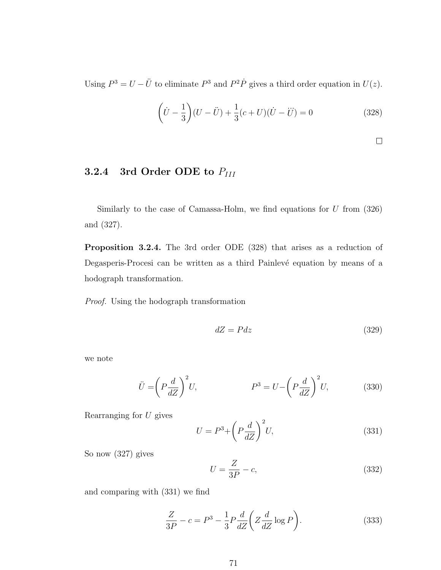Using  $P^3 = U - \ddot{U}$  to eliminate  $P^3$  and  $P^2 \dot{P}$  gives a third order equation in  $U(z)$ .

$$
\left(\dot{U} - \frac{1}{3}\right)(U - \ddot{U}) + \frac{1}{3}(c + U)(\dot{U} - \ddot{U}) = 0
$$
\n(328)

$$
\qquad \qquad \Box
$$

## 3.2.4 3rd Order ODE to  $P_{III}$

Similarly to the case of Camassa-Holm, we find equations for  $U$  from  $(326)$ and (327).

Proposition 3.2.4. The 3rd order ODE (328) that arises as a reduction of Degasperis-Procesi can be written as a third Painlevé equation by means of a hodograph transformation.

Proof. Using the hodograph transformation

$$
dZ = Pdz \tag{329}
$$

we note

$$
\ddot{U} = \left(P\frac{d}{dZ}\right)^2 U, \qquad P^3 = U - \left(P\frac{d}{dZ}\right)^2 U,\qquad(330)
$$

Rearranging for  $U$  gives

$$
U = P3 + \left(P\frac{d}{dZ}\right)^2 U,\tag{331}
$$

So now (327) gives

$$
U = \frac{Z}{3P} - c,\tag{332}
$$

and comparing with (331) we find

$$
\frac{Z}{3P} - c = P^3 - \frac{1}{3}P\frac{d}{dZ}\left(Z\frac{d}{dZ}\log P\right).
$$
 (333)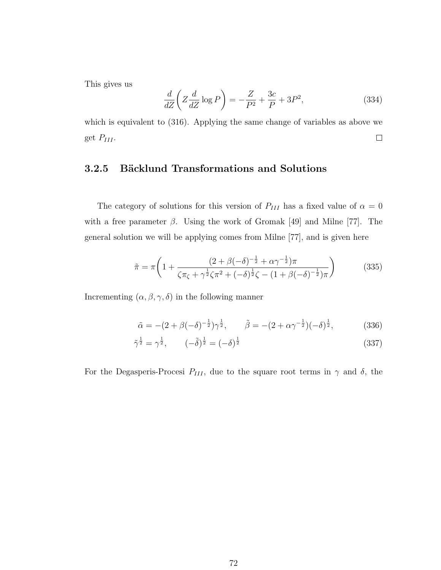This gives us

$$
\frac{d}{dZ}\left(Z\frac{d}{dZ}\log P\right) = -\frac{Z}{P^2} + \frac{3c}{P} + 3P^2,\tag{334}
$$

which is equivalent to (316). Applying the same change of variables as above we get  $P_{III}$ .  $\Box$ 

#### 3.2.5 Bäcklund Transformations and Solutions

The category of solutions for this version of  $P_{III}$  has a fixed value of  $\alpha = 0$ with a free parameter  $\beta$ . Using the work of Gromak [49] and Milne [77]. The general solution we will be applying comes from Milne [77], and is given here

$$
\tilde{\pi} = \pi \left( 1 + \frac{(2 + \beta(-\delta)^{-\frac{1}{2}} + \alpha \gamma^{-\frac{1}{2}}) \pi}{\zeta \pi_{\zeta} + \gamma^{\frac{1}{2}} \zeta \pi^2 + (-\delta)^{\frac{1}{2}} \zeta - (1 + \beta(-\delta)^{-\frac{1}{2}}) \pi} \right)
$$
(335)

Incrementing  $(\alpha, \beta, \gamma, \delta)$  in the following manner

$$
\tilde{\alpha} = -(2 + \beta(-\delta)^{-\frac{1}{2}})\gamma^{\frac{1}{2}}, \qquad \tilde{\beta} = -(2 + \alpha\gamma^{-\frac{1}{2}})(-\delta)^{\frac{1}{2}}, \qquad (336)
$$

$$
\tilde{\gamma}^{\frac{1}{2}} = \gamma^{\frac{1}{2}}, \qquad (-\tilde{\delta})^{\frac{1}{2}} = (-\delta)^{\frac{1}{2}} \tag{337}
$$

For the Degasperis-Procesi  $P_{III}$ , due to the square root terms in  $\gamma$  and  $\delta$ , the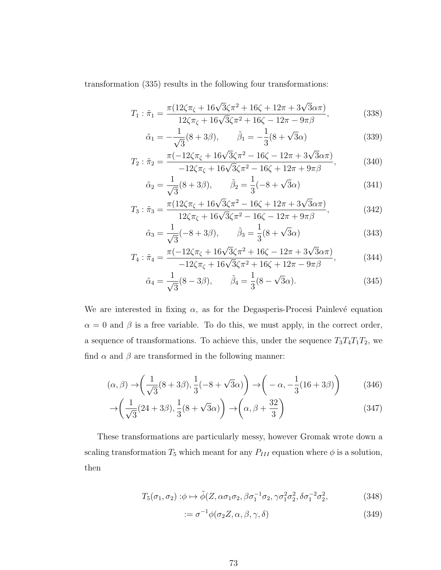transformation (335) results in the following four transformations:

$$
T_1 : \tilde{\pi}_1 = \frac{\pi (12\zeta \pi_{\zeta} + 16\sqrt{3}\zeta \pi^2 + 16\zeta + 12\pi + 3\sqrt{3}\alpha \pi)}{12\zeta \pi_{\zeta} + 16\sqrt{3}\zeta \pi^2 + 16\zeta - 12\pi - 9\pi\beta},
$$
(338)

$$
\tilde{\alpha}_1 = -\frac{1}{\sqrt{3}}(8+3\beta), \qquad \tilde{\beta}_1 = -\frac{1}{3}(8+\sqrt{3}\alpha) \tag{339}
$$

$$
T_2 : \tilde{\pi}_2 = \frac{\pi(-12\zeta\pi_{\zeta} + 16\sqrt{3}\zeta\pi^2 - 16\zeta - 12\pi + 3\sqrt{3}\alpha\pi)}{-12\zeta\pi_{\zeta} + 16\sqrt{3}\zeta\pi^2 - 16\zeta + 12\pi + 9\pi\beta},
$$
(340)

$$
\tilde{\alpha}_2 = \frac{1}{\sqrt{3}} (8 + 3\beta), \qquad \tilde{\beta}_2 = \frac{1}{3} (-8 + \sqrt{3}\alpha) \tag{341}
$$

$$
T_3: \tilde{\pi}_3 = \frac{\pi (12\zeta \pi_{\zeta} + 16\sqrt{3}\zeta \pi^2 - 16\zeta + 12\pi + 3\sqrt{3}\alpha \pi)}{12\zeta \pi_{\zeta} + 16\sqrt{3}\zeta \pi^2 - 16\zeta - 12\pi + 9\pi\beta},
$$
(342)

$$
\tilde{\alpha}_3 = \frac{1}{\sqrt{3}}(-8+3\beta), \qquad \tilde{\beta}_3 = \frac{1}{3}(8+\sqrt{3}\alpha) \tag{343}
$$

$$
T_4: \tilde{\pi}_4 = \frac{\pi(-12\zeta\pi_{\zeta} + 16\sqrt{3}\zeta\pi^2 + 16\zeta - 12\pi + 3\sqrt{3}\alpha\pi)}{-12\zeta\pi_{\zeta} + 16\sqrt{3}\zeta\pi^2 + 16\zeta + 12\pi - 9\pi\beta},
$$
(344)

$$
\tilde{\alpha}_4 = \frac{1}{\sqrt{3}} (8 - 3\beta), \qquad \tilde{\beta}_4 = \frac{1}{3} (8 - \sqrt{3}\alpha). \tag{345}
$$

We are interested in fixing  $\alpha$ , as for the Degasperis-Procesi Painlevé equation  $\alpha = 0$  and  $\beta$  is a free variable. To do this, we must apply, in the correct order, a sequence of transformations. To achieve this, under the sequence  $T_3T_4T_1T_2$ , we find  $\alpha$  and  $\beta$  are transformed in the following manner:

$$
(\alpha, \beta) \rightarrow \left(\frac{1}{\sqrt{3}}(8+3\beta), \frac{1}{3}(-8+\sqrt{3}\alpha)\right) \rightarrow \left(-\alpha, -\frac{1}{3}(16+3\beta)\right) \tag{346}
$$

$$
\rightarrow \left(\frac{1}{\sqrt{3}}(24+3\beta), \frac{1}{3}(8+\sqrt{3}\alpha)\right) \rightarrow \left(\alpha, \beta + \frac{32}{3}\right)
$$
\n(347)

These transformations are particularly messy, however Gromak wrote down a scaling transformation  $T_5$  which meant for any  $P_{III}$  equation where  $\phi$  is a solution, then

$$
T_5(\sigma_1, \sigma_2) : \phi \mapsto \tilde{\phi}(Z, \alpha \sigma_1 \sigma_2, \beta \sigma_1^{-1} \sigma_2, \gamma \sigma_1^2 \sigma_2^2, \delta \sigma_1^{-2} \sigma_2^2, \tag{348}
$$

$$
:= \sigma^{-1} \phi(\sigma_2 Z, \alpha, \beta, \gamma, \delta) \tag{349}
$$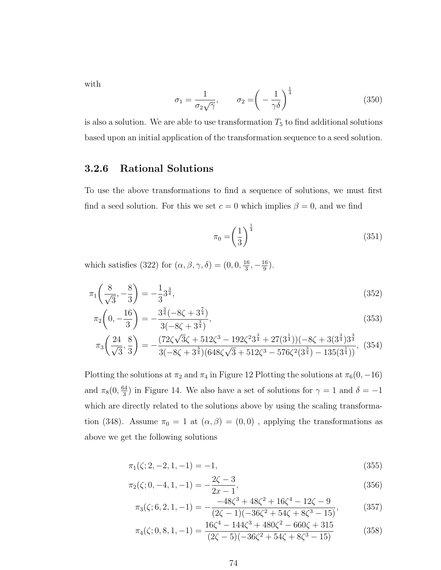with

$$
\sigma_1 = \frac{1}{\sigma_2 \sqrt{\gamma}}, \qquad \sigma_2 = \left(-\frac{1}{\gamma \delta}\right)^{\frac{1}{4}} \tag{350}
$$

is also a solution. We are able to use transformation  $T_5$  to find additional solutions based upon an initial application of the transformation sequence to a seed solution.

#### 3.2.6 Rational Solutions

To use the above transformations to find a sequence of solutions, we must first find a seed solution. For this we set  $c = 0$  which implies  $\beta = 0$ , and we find

$$
\pi_0 = \left(\frac{1}{3}\right)^{\frac{1}{4}}\tag{351}
$$

which satisfies (322) for  $(\alpha, \beta, \gamma, \delta) = (0, 0, \frac{16}{3})$  $\frac{16}{3}, -\frac{16}{9}$  $\frac{16}{9}$ .

$$
\pi_1\left(\frac{8}{\sqrt{3}}, -\frac{8}{3}\right) = -\frac{1}{3}3^{\frac{3}{4}},\tag{352}
$$

$$
\pi_2 \left( 0, -\frac{16}{3} \right) = -\frac{3^{\frac{3}{4}} (-8\zeta + 3^{\frac{7}{4}})}{3(-8\zeta + 3^{\frac{3}{4}})},\tag{353}
$$

$$
\pi_3\left(\frac{24}{\sqrt{3}}, \frac{8}{3}\right) = -\frac{(72\zeta\sqrt{3}\zeta + 512\zeta^3 - 192\zeta^23^{\frac{3}{4}} + 27(3^{\frac{1}{4}}))(-8\zeta + 3(3^{\frac{3}{4}})3^{\frac{3}{4}}}{3(-8\zeta + 3^{\frac{3}{4}})(648\zeta\sqrt{3} + 512\zeta^3 - 576\zeta^2(3^{\frac{3}{4}}) - 135(3^{\frac{1}{4}}))}, (354)
$$

Plotting the solutions at  $\pi_2$  and  $\pi_4$  in Figure 12 Plotting the solutions at  $\pi_6(0, -16)$ and  $\pi_8(0, \frac{64}{3})$  $\frac{34}{3}$ ) in Figure 14. We also have a set of solutions for  $\gamma = 1$  and  $\delta = -1$ which are directly related to the solutions above by using the scaling transformation (348). Assume  $\pi_0 = 1$  at  $(\alpha, \beta) = (0, 0)$ , applying the transformations as above we get the following solutions

$$
\pi_1(\zeta; 2, -2, 1, -1) = -1,\tag{355}
$$

$$
\pi_2(\zeta; 0, -4, 1, -1) = -\frac{2\zeta - 3}{2x - 1},\tag{356}
$$

$$
\pi_3(\zeta; 6, 2, 1, -1) = -\frac{-48\zeta^3 + 48\zeta^2 + 16\zeta^4 - 12\zeta - 9}{(2\zeta - 1)(-36\zeta^2 + 54\zeta + 8\zeta^3 - 15)},
$$
(357)

$$
\pi_4(\zeta; 0, 8, 1, -1) = \frac{16\zeta^4 - 144\zeta^3 + 480\zeta^2 - 660\zeta + 315}{(2\zeta - 5)(-36\zeta^2 + 54\zeta + 8\zeta^3 - 15)}
$$
(358)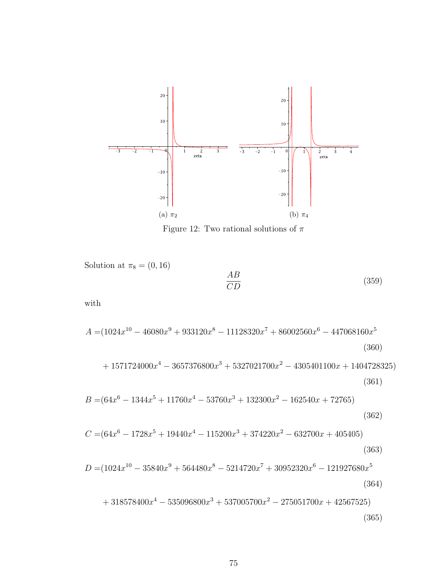

Figure 12: Two rational solutions of  $\pi$ 

Solution at  $\pi_8 = (0, 16)$  $\frac{AB}{CD}$  $\frac{1}{CD}$  (359)

with

$$
A = (1024x^{10} - 46080x^9 + 933120x^8 - 11128320x^7 + 86002560x^6 - 447068160x^5
$$
\n(360)

$$
+ 1571724000x4 - 3657376800x3 + 5327021700x2 - 4305401100x + 1404728325)
$$
\n(361)  
\n
$$
B = (64x6 - 1344x5 + 11760x4 - 53760x3 + 132300x2 - 162540x + 72765)
$$

$$
(362)
$$

$$
C = (64x6 - 1728x5 + 19440x4 - 115200x3 + 374220x2 - 632700x + 405405)
$$
\n(363)

$$
D = (1024x^{10} - 35840x^9 + 564480x^8 - 5214720x^7 + 30952320x^6 - 121927680x^5
$$
\n(364)

$$
+318578400x^4 - 535096800x^3 + 537005700x^2 - 275051700x + 42567525)
$$
\n(365)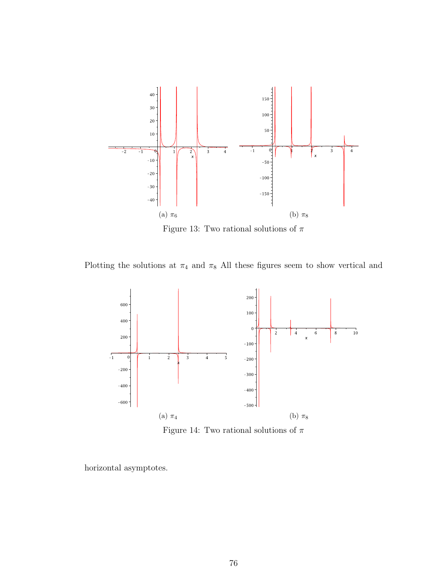

Figure 13: Two rational solutions of  $\pi$ 

Plotting the solutions at  $\pi_4$  and  $\pi_8$  All these figures seem to show vertical and



Figure 14: Two rational solutions of  $\pi$ 

horizontal asymptotes.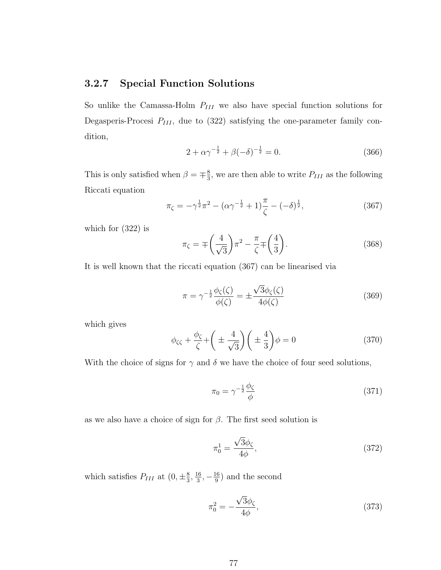#### 3.2.7 Special Function Solutions

So unlike the Camassa-Holm  $P_{III}$  we also have special function solutions for Degasperis-Procesi  $P_{III}$ , due to (322) satisfying the one-parameter family condition,

$$
2 + \alpha \gamma^{-\frac{1}{2}} + \beta(-\delta)^{-\frac{1}{2}} = 0.
$$
 (366)

This is only satisfied when  $\beta = \pm \frac{8}{3}$  $\frac{8}{3}$ , we are then able to write  $P_{III}$  as the following Riccati equation

$$
\pi_{\zeta} = -\gamma^{\frac{1}{2}} \pi^2 - (\alpha \gamma^{-\frac{1}{2}} + 1) \frac{\pi}{\zeta} - (-\delta)^{\frac{1}{2}},
$$
\n(367)

which for (322) is

$$
\pi_{\zeta} = \mp \left(\frac{4}{\sqrt{3}}\right) \pi^2 - \frac{\pi}{\zeta} \mp \left(\frac{4}{3}\right). \tag{368}
$$

It is well known that the riccati equation (367) can be linearised via

$$
\pi = \gamma^{-\frac{1}{2}} \frac{\phi_{\zeta}(\zeta)}{\phi(\zeta)} = \pm \frac{\sqrt{3}\phi_{\zeta}(\zeta)}{4\phi(\zeta)}
$$
(369)

which gives

$$
\phi_{\zeta\zeta} + \frac{\phi_{\zeta}}{\zeta} + \left(\pm \frac{4}{\sqrt{3}}\right)\left(\pm \frac{4}{3}\right)\phi = 0\tag{370}
$$

With the choice of signs for  $\gamma$  and  $\delta$  we have the choice of four seed solutions,

$$
\pi_0 = \gamma^{-\frac{1}{2}} \frac{\phi_\zeta}{\phi} \tag{371}
$$

as we also have a choice of sign for  $\beta$ . The first seed solution is

$$
\pi_0^1 = \frac{\sqrt{3}\phi_\zeta}{4\phi},\tag{372}
$$

which satisfies  $P_{III}$  at  $(0, \pm \frac{8}{3})$  $\frac{8}{3}, \frac{16}{3}$  $\frac{16}{3}, -\frac{16}{9}$  $\frac{16}{9}$  and the second

$$
\pi_0^2 = -\frac{\sqrt{3}\phi_\zeta}{4\phi},\tag{373}
$$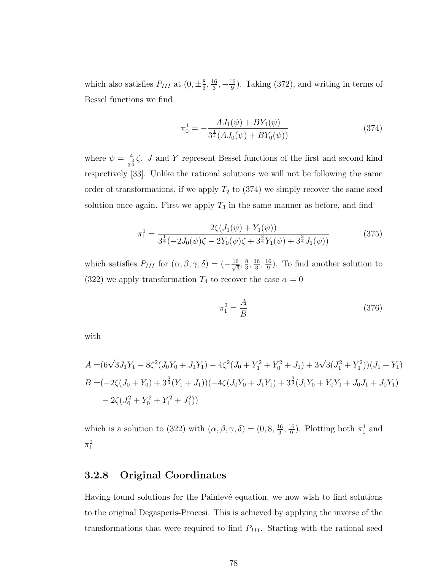which also satisfies  $P_{III}$  at  $(0, \pm \frac{8}{3})$  $\frac{8}{3}, \frac{16}{3}$  $\frac{16}{3}, -\frac{16}{9}$  $\frac{16}{9}$ ). Taking (372), and writing in terms of Bessel functions we find

$$
\pi_0^1 = -\frac{AJ_1(\psi) + BY_1(\psi)}{3^{\frac{1}{4}}(AJ_0(\psi) + BY_0(\psi))}
$$
(374)

where  $\psi = \frac{4}{\sqrt{3}}$  $\frac{4}{3^{\frac{3}{4}}}$  $\zeta$ . *J* and *Y* represent Bessel functions of the first and second kind respectively [33]. Unlike the rational solutions we will not be following the same order of transformations, if we apply  $T_2$  to  $(374)$  we simply recover the same seed solution once again. First we apply  $T_3$  in the same manner as before, and find

$$
\pi_1^1 = \frac{2\zeta(J_1(\psi) + Y_1(\psi))}{3^{\frac{1}{4}}(-2J_0(\psi)\zeta - 2Y_0(\psi)\zeta + 3^{\frac{3}{4}}Y_1(\psi) + 3^{\frac{3}{4}}J_1(\psi))}
$$
(375)

which satisfies  $P_{III}$  for  $(\alpha, \beta, \gamma, \delta) = \left(-\frac{16}{\sqrt{3}}\right)$  $\frac{3}{3}$ ,  $\frac{8}{3}$  $\frac{8}{3}, \frac{16}{3}$  $\frac{16}{3}, \frac{16}{9}$  $\frac{16}{9}$ ). To find another solution to (322) we apply transformation  $T_4$  to recover the case  $\alpha = 0$ 

$$
\pi_1^2 = \frac{A}{B} \tag{376}
$$

with

$$
A = (6\sqrt{3}J_1Y_1 - 8\zeta^2(J_0Y_0 + J_1Y_1) - 4\zeta^2(J_0 + Y_1^2 + Y_0^2 + J_1) + 3\sqrt{3}(J_1^2 + Y_1^2))(J_1 + Y_1)
$$
  
\n
$$
B = (-2\zeta(J_0 + Y_0) + 3^{\frac{3}{4}}(Y_1 + J_1))(-4\zeta(J_0Y_0 + J_1Y_1) + 3^{\frac{3}{4}}(J_1Y_0 + Y_0Y_1 + J_0J_1 + J_0Y_1) - 2\zeta(J_0^2 + Y_0^2 + Y_1^2 + J_1^2))
$$

which is a solution to (322) with  $(\alpha, \beta, \gamma, \delta) = (0, 8, \frac{16}{3})$  $\frac{16}{3}, \frac{16}{9}$  $\frac{16}{9}$ ). Plotting both  $\pi_1^1$  and  $\pi_1^2$ 

#### 3.2.8 Original Coordinates

Having found solutions for the Painlevé equation, we now wish to find solutions to the original Degasperis-Procesi. This is achieved by applying the inverse of the transformations that were required to find  $P_{III}$ . Starting with the rational seed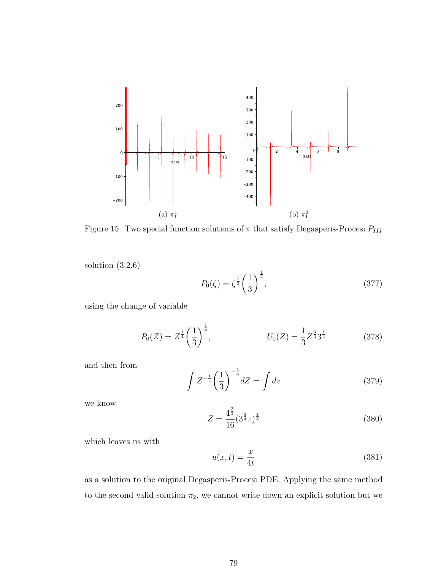

Figure 15: Two special function solutions of  $\pi$  that satisfy Degasperis-Procesi  $P_{III}$ 

solution (3.2.6)

$$
P_0(\zeta) = \zeta^{\frac{1}{3}} \left(\frac{1}{3}\right)^{\frac{1}{4}},\tag{377}
$$

using the change of variable

$$
P_0(Z) = Z^{\frac{1}{4}} \left(\frac{1}{3}\right)^{\frac{1}{4}}, \qquad U_0(Z) = \frac{1}{3} Z^{\frac{3}{4}} 3^{\frac{1}{4}} \qquad (378)
$$

and then from

$$
\int Z^{-\frac{1}{4}} \left(\frac{1}{3}\right)^{-\frac{1}{4}} dZ = \int dz
$$
\n(379)

we know

$$
Z = \frac{4^{\frac{2}{3}}}{16} (3^{\frac{3}{4}}z)^{\frac{4}{3}}
$$
 (380)

which leaves us with

$$
u(x,t) = \frac{x}{4t} \tag{381}
$$

as a solution to the original Degasperis-Procesi PDE. Applying the same method to the second valid solution  $\pi_2$ , we cannot write down an explicit solution but we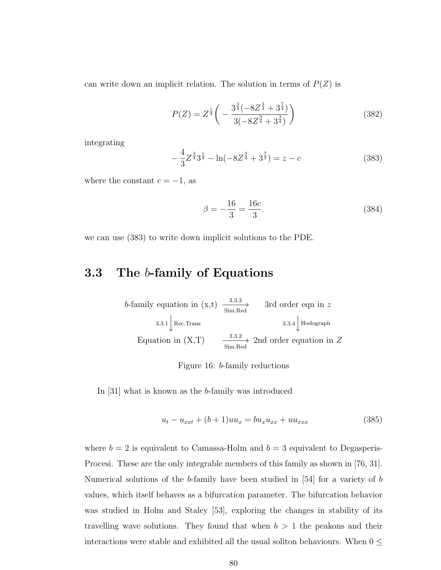can write down an implicit relation. The solution in terms of  $P(Z)$  is

$$
P(Z) = Z^{\frac{1}{4}} \left( -\frac{3^{\frac{3}{4}}(-8Z^{\frac{3}{4}} + 3^{\frac{7}{4}})}{3(-8Z^{\frac{3}{4}} + 3^{\frac{3}{4}})} \right)
$$
(382)

integrating

$$
-\frac{4}{3}Z^{\frac{3}{4}}3^{\frac{1}{4}} - \ln(-8Z^{\frac{3}{4}} + 3^{\frac{7}{3}}) = z - c \tag{383}
$$

where the constant  $c = -1$ , as

$$
\beta = -\frac{16}{3} = \frac{16c}{3}.\tag{384}
$$

we can use (383) to write down implicit solutions to the PDE.

# 3.3 The b-family of Equations

$$
b\text{-family equation in (x,t)} \xrightarrow{\text{3.3.3}} \text{3rd order eqn in } z
$$
\n
$$
3.3.1 \downarrow \text{Rec.Trans}
$$
\n
$$
3.3.1 \downarrow \text{Rec.Trans}
$$
\n
$$
5 \text{im.Red}
$$
\n
$$
3.3.4 \downarrow \text{Hodgeraph}
$$
\n
$$
5 \text{im.Red}
$$
\n
$$
2 \text{nd order equation in } Z
$$

Figure 16: b-family reductions

In [31] what is known as the b-family was introduced

$$
u_t - u_{xxt} + (b+1)uu_x = bu_xu_{xx} + uu_{xxx}
$$
\n(385)

where  $b = 2$  is equivalent to Camassa-Holm and  $b = 3$  equivalent to Degasperis-Procesi. These are the only integrable members of this family as shown in [76, 31]. Numerical solutions of the b-family have been studied in [54] for a variety of b values, which itself behaves as a bifurcation parameter. The bifurcation behavior was studied in Holm and Staley [53], exploring the changes in stability of its travelling wave solutions. They found that when  $b > 1$  the peakons and their interactions were stable and exhibited all the usual soliton behaviours. When  $0\leq$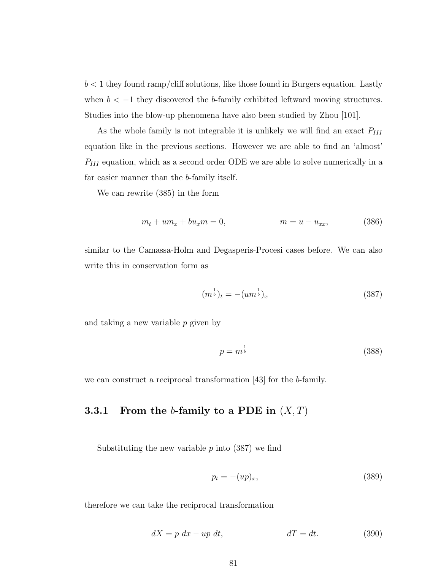$b < 1$  they found ramp/cliff solutions, like those found in Burgers equation. Lastly when  $b < -1$  they discovered the b-family exhibited leftward moving structures. Studies into the blow-up phenomena have also been studied by Zhou [101].

As the whole family is not integrable it is unlikely we will find an exact  $P_{III}$ equation like in the previous sections. However we are able to find an 'almost'  $P_{\hspace{0.5pt} III}$  equation, which as a second order ODE we are able to solve numerically in a far easier manner than the b-family itself.

We can rewrite (385) in the form

$$
m_t + u m_x + b u_x m = 0, \qquad m = u - u_{xx}, \qquad (386)
$$

similar to the Camassa-Holm and Degasperis-Procesi cases before. We can also write this in conservation form as

$$
(m^{\frac{1}{b}})_t = -(um^{\frac{1}{b}})_x \tag{387}
$$

and taking a new variable p given by

$$
p = m^{\frac{1}{b}} \tag{388}
$$

we can construct a reciprocal transformation [43] for the b-family.

#### **3.3.1** From the b-family to a PDE in  $(X, T)$

Substituting the new variable  $p$  into (387) we find

$$
p_t = -(up)_x,\t\t(389)
$$

therefore we can take the reciprocal transformation

$$
dX = p \, dx - up \, dt,\qquad dT = dt.\tag{390}
$$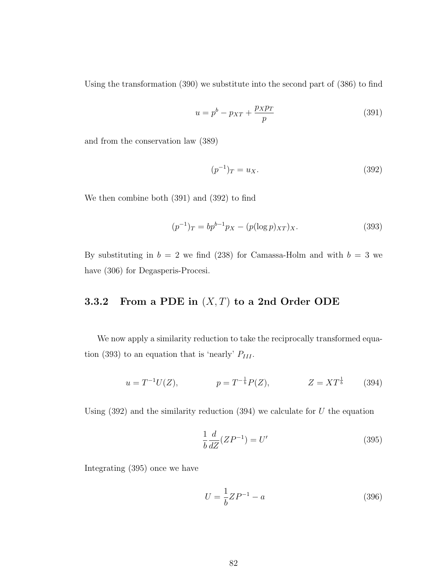Using the transformation (390) we substitute into the second part of (386) to find

$$
u = p^b - p_{XT} + \frac{p_X p_T}{p} \tag{391}
$$

and from the conservation law (389)

$$
(p^{-1})_T = u_X. \t\t(392)
$$

We then combine both (391) and (392) to find

$$
(p^{-1})_T = bp^{b-1}p_X - (p(\log p)_{XT})_X.
$$
\n(393)

By substituting in  $b = 2$  we find (238) for Camassa-Holm and with  $b = 3$  we have (306) for Degasperis-Procesi.

#### 3.3.2 From a PDE in  $(X, T)$  to a 2nd Order ODE

We now apply a similarity reduction to take the reciprocally transformed equation (393) to an equation that is 'nearly'  $P_{III}$ .

$$
u = T^{-1}U(Z), \qquad p = T^{-\frac{1}{b}}P(Z), \qquad Z = XT^{\frac{1}{b}} \qquad (394)
$$

Using  $(392)$  and the similarity reduction  $(394)$  we calculate for U the equation

$$
\frac{1}{b}\frac{d}{dZ}(ZP^{-1}) = U'\tag{395}
$$

Integrating (395) once we have

$$
U = \frac{1}{b}ZP^{-1} - a
$$
\n(396)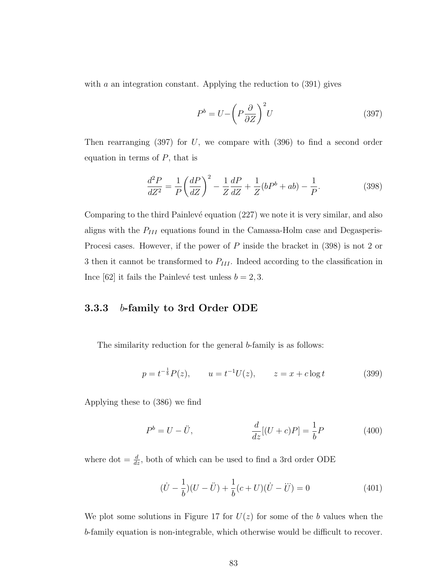with a an integration constant. Applying the reduction to  $(391)$  gives

$$
P^b = U - \left(P\frac{\partial}{\partial Z}\right)^2 U\tag{397}
$$

Then rearranging  $(397)$  for U, we compare with  $(396)$  to find a second order equation in terms of  $P$ , that is

$$
\frac{d^2P}{dZ^2} = \frac{1}{P} \left(\frac{dP}{dZ}\right)^2 - \frac{1}{Z}\frac{dP}{dZ} + \frac{1}{Z}(bP^b + ab) - \frac{1}{P}.\tag{398}
$$

Comparing to the third Painlevé equation (227) we note it is very similar, and also aligns with the  $P_{III}$  equations found in the Camassa-Holm case and Degasperis-Procesi cases. However, if the power of P inside the bracket in (398) is not 2 or 3 then it cannot be transformed to  $P_{III}$ . Indeed according to the classification in Ince [62] it fails the Painlevé test unless  $b = 2, 3$ .

#### 3.3.3 b-family to 3rd Order ODE

The similarity reduction for the general b-family is as follows:

$$
p = t^{-\frac{1}{b}} P(z), \qquad u = t^{-1} U(z), \qquad z = x + c \log t \tag{399}
$$

Applying these to (386) we find

$$
P^{b} = U - \ddot{U}, \qquad \frac{d}{dz}[(U + c)P] = \frac{1}{b}P \qquad (400)
$$

where dot  $=\frac{d}{dz}$ , both of which can be used to find a 3rd order ODE

$$
(\dot{U} - \frac{1}{b})(U - \ddot{U}) + \frac{1}{b}(c + U)(\dot{U} - \ddot{U}) = 0
$$
\n(401)

We plot some solutions in Figure 17 for  $U(z)$  for some of the b values when the b-family equation is non-integrable, which otherwise would be difficult to recover.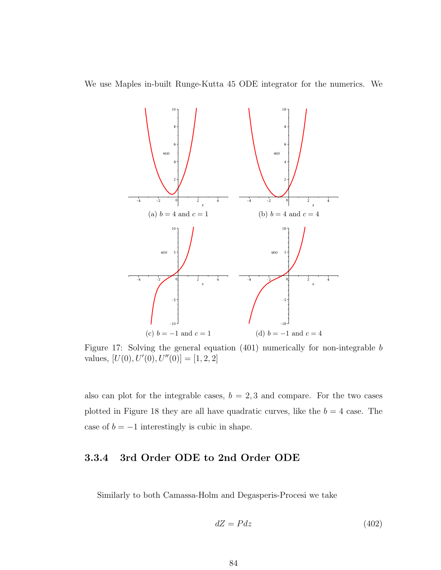We use Maples in-built Runge-Kutta 45 ODE integrator for the numerics. We



Figure 17: Solving the general equation (401) numerically for non-integrable b values,  $[U(0), U'(0), U''(0)] = [1, 2, 2]$ 

also can plot for the integrable cases,  $b = 2, 3$  and compare. For the two cases plotted in Figure 18 they are all have quadratic curves, like the  $b = 4$  case. The case of  $b = -1$  interestingly is cubic in shape.

#### 3.3.4 3rd Order ODE to 2nd Order ODE

Similarly to both Camassa-Holm and Degasperis-Procesi we take

$$
dZ = Pdz \tag{402}
$$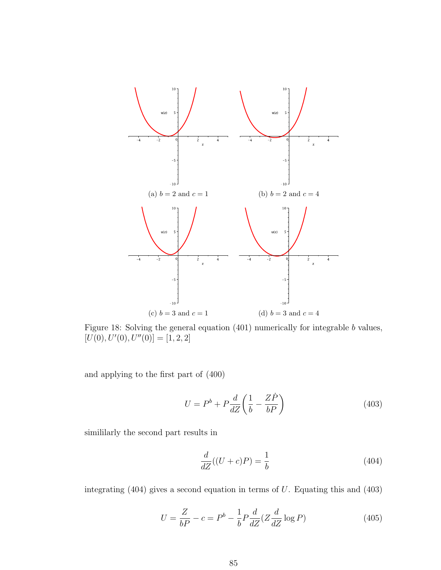

Figure 18: Solving the general equation (401) numerically for integrable b values,  $[U(0), U'(0), U''(0)] = [1, 2, 2]$ 

and applying to the first part of (400)

$$
U = P^b + P \frac{d}{dZ} \left( \frac{1}{b} - \frac{Z\dot{P}}{bP} \right)
$$
 (403)

simililarly the second part results in

$$
\frac{d}{dZ}((U+c)P) = \frac{1}{b} \tag{404}
$$

integrating  $(404)$  gives a second equation in terms of U. Equating this and  $(403)$ 

$$
U = \frac{Z}{bP} - c = P^b - \frac{1}{b}P\frac{d}{dZ}(Z\frac{d}{dZ}\log P)
$$
\n(405)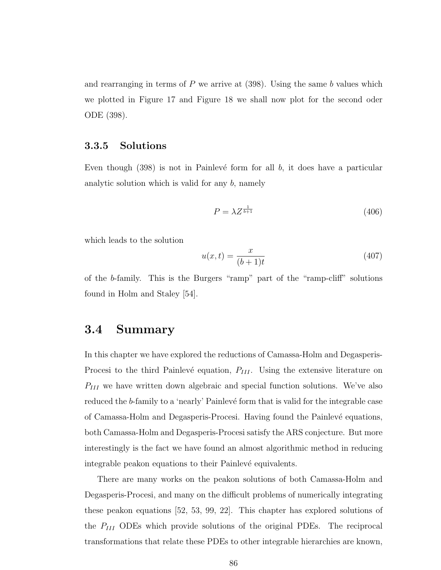and rearranging in terms of  $P$  we arrive at  $(398)$ . Using the same b values which we plotted in Figure 17 and Figure 18 we shall now plot for the second oder ODE (398).

#### 3.3.5 Solutions

Even though  $(398)$  is not in Painlevé form for all b, it does have a particular analytic solution which is valid for any  $b$ , namely

$$
P = \lambda Z^{\frac{1}{b+1}} \tag{406}
$$

which leads to the solution

$$
u(x,t) = \frac{x}{(b+1)t}
$$
\n
$$
(407)
$$

of the b-family. This is the Burgers "ramp" part of the "ramp-cliff" solutions found in Holm and Staley [54].

## 3.4 Summary

In this chapter we have explored the reductions of Camassa-Holm and Degasperis-Procesi to the third Painlevé equation,  $P_{III}$ . Using the extensive literature on  $P_{III}$  we have written down algebraic and special function solutions. We've also reduced the b-family to a 'nearly' Painlevé form that is valid for the integrable case of Camassa-Holm and Degasperis-Procesi. Having found the Painlev´e equations, both Camassa-Holm and Degasperis-Procesi satisfy the ARS conjecture. But more interestingly is the fact we have found an almost algorithmic method in reducing integrable peakon equations to their Painlevé equivalents.

There are many works on the peakon solutions of both Camassa-Holm and Degasperis-Procesi, and many on the difficult problems of numerically integrating these peakon equations [52, 53, 99, 22]. This chapter has explored solutions of the  $P_{III}$  ODEs which provide solutions of the original PDEs. The reciprocal transformations that relate these PDEs to other integrable hierarchies are known,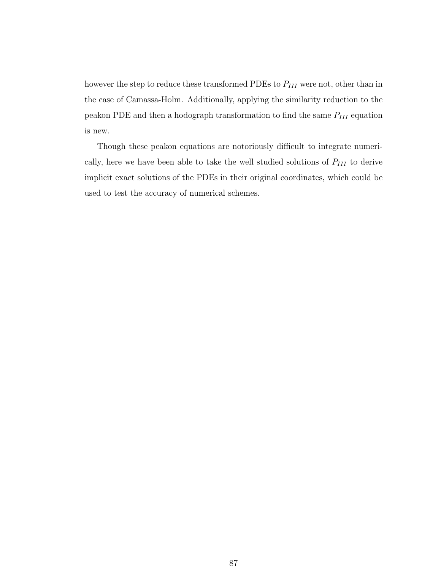however the step to reduce these transformed PDEs to  $P_{III}$  were not, other than in the case of Camassa-Holm. Additionally, applying the similarity reduction to the peakon PDE and then a hodograph transformation to find the same  $P_{III}$  equation is new.

Though these peakon equations are notoriously difficult to integrate numerically, here we have been able to take the well studied solutions of  $P_{III}$  to derive implicit exact solutions of the PDEs in their original coordinates, which could be used to test the accuracy of numerical schemes.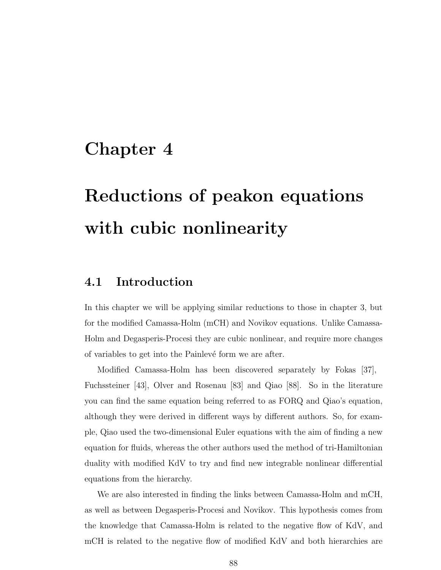# Chapter 4

# Reductions of peakon equations with cubic nonlinearity

# 4.1 Introduction

In this chapter we will be applying similar reductions to those in chapter 3, but for the modified Camassa-Holm (mCH) and Novikov equations. Unlike Camassa-Holm and Degasperis-Procesi they are cubic nonlinear, and require more changes of variables to get into the Painlevé form we are after.

Modified Camassa-Holm has been discovered separately by Fokas [37], Fuchssteiner [43], Olver and Rosenau [83] and Qiao [88]. So in the literature you can find the same equation being referred to as FORQ and Qiao's equation, although they were derived in different ways by different authors. So, for example, Qiao used the two-dimensional Euler equations with the aim of finding a new equation for fluids, whereas the other authors used the method of tri-Hamiltonian duality with modified KdV to try and find new integrable nonlinear differential equations from the hierarchy.

We are also interested in finding the links between Camassa-Holm and mCH, as well as between Degasperis-Procesi and Novikov. This hypothesis comes from the knowledge that Camassa-Holm is related to the negative flow of KdV, and mCH is related to the negative flow of modified KdV and both hierarchies are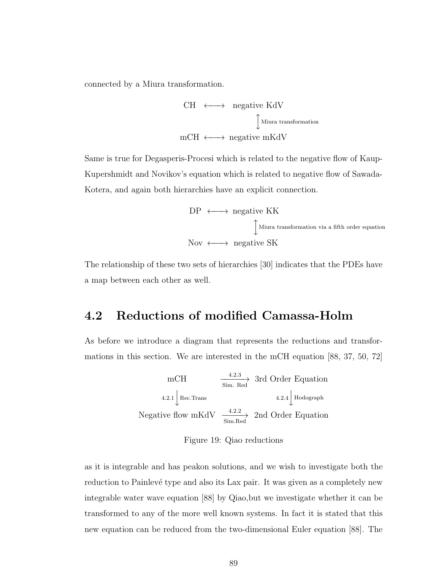connected by a Miura transformation.

$$
\begin{array}{ccc}\n\text{CH} & \longleftrightarrow & \text{negative KdV} \\
& \downarrow & \text{Miura transformation} \\
\text{mCH} & \longleftrightarrow & \text{negative mKdV}\n\end{array}
$$

Same is true for Degasperis-Procesi which is related to the negative flow of Kaup-Kupershmidt and Novikov's equation which is related to negative flow of Sawada-Kotera, and again both hierarchies have an explicit connection.

$$
DP \longleftrightarrow \text{negative KK}
$$
  

$$
\int_{\text{Miura transformation via a fifth order equation}}
$$
  
Now  $\longleftrightarrow$  negative SK

The relationship of these two sets of hierarchies [30] indicates that the PDEs have a map between each other as well.

# 4.2 Reductions of modified Camassa-Holm

As before we introduce a diagram that represents the reductions and transformations in this section. We are interested in the mCH equation [88, 37, 50, 72]

$$
\text{mCH} \xrightarrow{\text{4.2.3}} \text{3rd Order Equation}
$$
\n
$$
4.2.1 \downarrow \text{Rec.Trans} \xrightarrow{\text{4.2.4}} 4.2.4 \downarrow \text{Hodograph}
$$
\n
$$
\text{Negative flow mKdV} \xrightarrow{\text{4.2.2}} 2 \text{nd Order Equation}
$$

Figure 19: Qiao reductions

as it is integrable and has peakon solutions, and we wish to investigate both the reduction to Painlevé type and also its Lax pair. It was given as a completely new integrable water wave equation [88] by Qiao,but we investigate whether it can be transformed to any of the more well known systems. In fact it is stated that this new equation can be reduced from the two-dimensional Euler equation [88]. The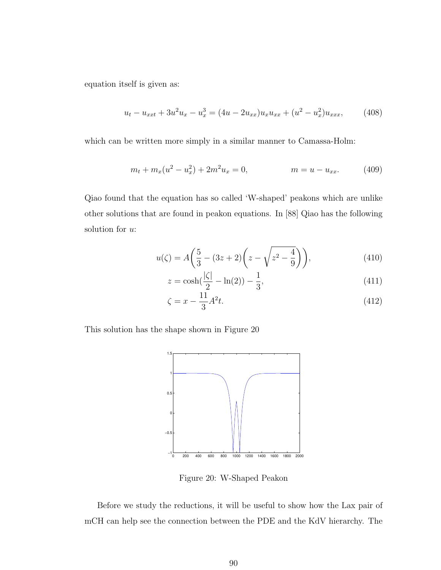equation itself is given as:

$$
u_t - u_{xxt} + 3u^2 u_x - u_x^3 = (4u - 2u_{xx})u_x u_{xx} + (u^2 - u_x^2)u_{xxx}, \qquad (408)
$$

which can be written more simply in a similar manner to Camassa-Holm:

$$
m_t + m_x(u^2 - u_x^2) + 2m^2 u_x = 0, \qquad m = u - u_{xx}.
$$
 (409)

Qiao found that the equation has so called 'W-shaped' peakons which are unlike other solutions that are found in peakon equations. In [88] Qiao has the following solution for u:

$$
u(\zeta) = A\left(\frac{5}{3} - (3z+2)\left(z - \sqrt{z^2 - \frac{4}{9}}\right)\right),\tag{410}
$$

$$
z = \cosh\left(\frac{|\zeta|}{2} - \ln(2)\right) - \frac{1}{3},\tag{411}
$$

$$
\zeta = x - \frac{11}{3}A^2t.\tag{412}
$$

This solution has the shape shown in Figure 20



Figure 20: W-Shaped Peakon

Before we study the reductions, it will be useful to show how the Lax pair of mCH can help see the connection between the PDE and the KdV hierarchy. The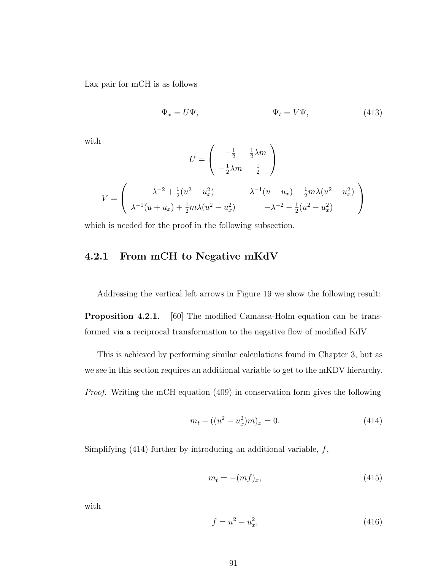Lax pair for mCH is as follows

$$
\Psi_x = U\Psi, \qquad \Psi_t = V\Psi, \qquad (413)
$$

with

$$
U = \begin{pmatrix} -\frac{1}{2} & \frac{1}{2}\lambda m \\ -\frac{1}{2}\lambda m & \frac{1}{2} \end{pmatrix}
$$

$$
V = \begin{pmatrix} \lambda^{-2} + \frac{1}{2}(u^2 - u_x^2) & -\lambda^{-1}(u - u_x) - \frac{1}{2}m\lambda(u^2 - u_x^2) \\ \lambda^{-1}(u + u_x) + \frac{1}{2}m\lambda(u^2 - u_x^2) & -\lambda^{-2} - \frac{1}{2}(u^2 - u_x^2) \end{pmatrix}
$$

which is needed for the proof in the following subsection.

#### 4.2.1 From mCH to Negative mKdV

Addressing the vertical left arrows in Figure 19 we show the following result:

Proposition 4.2.1. [60] The modified Camassa-Holm equation can be transformed via a reciprocal transformation to the negative flow of modified KdV.

This is achieved by performing similar calculations found in Chapter 3, but as we see in this section requires an additional variable to get to the mKDV hierarchy.

Proof. Writing the mCH equation (409) in conservation form gives the following

$$
m_t + ((u^2 - u_x^2)m)_x = 0.
$$
\n(414)

Simplifying (414) further by introducing an additional variable,  $f$ ,

$$
m_t = -(mf)_x,\t\t(415)
$$

with

$$
f = u^2 - u_x^2,\tag{416}
$$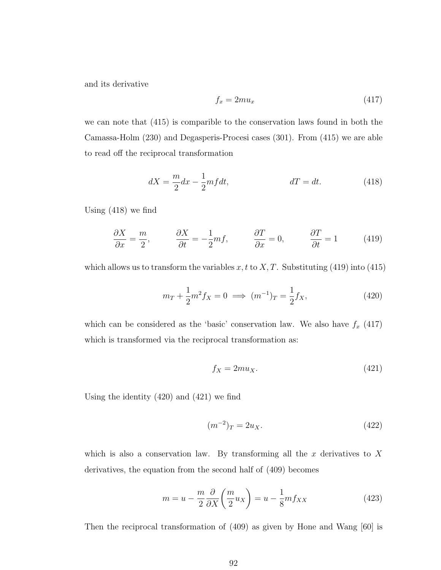and its derivative

$$
f_x = 2mu_x \tag{417}
$$

we can note that (415) is comparible to the conservation laws found in both the Camassa-Holm (230) and Degasperis-Procesi cases (301). From (415) we are able to read off the reciprocal transformation

$$
dX = \frac{m}{2}dx - \frac{1}{2}mfdt, \qquad dT = dt. \qquad (418)
$$

Using (418) we find

$$
\frac{\partial X}{\partial x} = \frac{m}{2}, \qquad \frac{\partial X}{\partial t} = -\frac{1}{2} mf, \qquad \frac{\partial T}{\partial x} = 0, \qquad \frac{\partial T}{\partial t} = 1 \tag{419}
$$

which allows us to transform the variables x, t to X, T. Substituting (419) into (415)

$$
m_T + \frac{1}{2}m^2 f_X = 0 \implies (m^{-1})_T = \frac{1}{2} f_X,\tag{420}
$$

which can be considered as the 'basic' conservation law. We also have  $f_x$  (417) which is transformed via the reciprocal transformation as:

$$
f_X = 2mu_X. \tag{421}
$$

Using the identity (420) and (421) we find

$$
(m^{-2})_T = 2u_X.
$$
\n(422)

which is also a conservation law. By transforming all the x derivatives to X derivatives, the equation from the second half of (409) becomes

$$
m = u - \frac{m}{2} \frac{\partial}{\partial X} \left( \frac{m}{2} u_X \right) = u - \frac{1}{8} m f_{XX}
$$
 (423)

Then the reciprocal transformation of (409) as given by Hone and Wang [60] is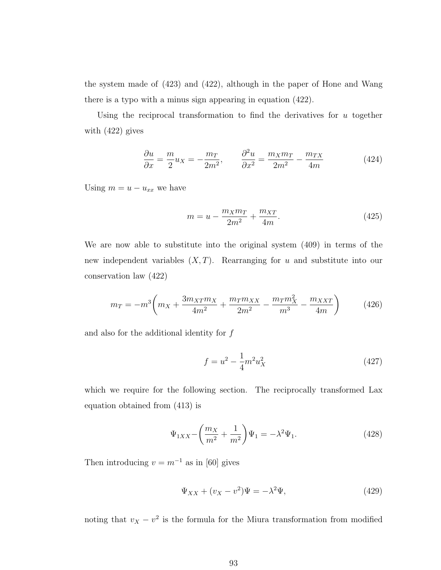the system made of (423) and (422), although in the paper of Hone and Wang there is a typo with a minus sign appearing in equation (422).

Using the reciprocal transformation to find the derivatives for  $u$  together with (422) gives

$$
\frac{\partial u}{\partial x} = \frac{m}{2} u_X = -\frac{m_T}{2m^2}, \qquad \frac{\partial^2 u}{\partial x^2} = \frac{m_X m_T}{2m^2} - \frac{m_{TX}}{4m} \tag{424}
$$

Using  $m = u - u_{xx}$  we have

$$
m = u - \frac{m_X m_T}{2m^2} + \frac{m_{XT}}{4m}.
$$
 (425)

We are now able to substitute into the original system (409) in terms of the new independent variables  $(X, T)$ . Rearranging for u and substitute into our conservation law (422)

$$
m_T = -m^3 \left( m_X + \frac{3m_{XT}m_X}{4m^2} + \frac{m_T m_{XX}}{2m^2} - \frac{m_T m_X^2}{m^3} - \frac{m_{XXT}}{4m} \right) \tag{426}
$$

and also for the additional identity for  $f$ 

$$
f = u^2 - \frac{1}{4}m^2 u_X^2 \tag{427}
$$

which we require for the following section. The reciprocally transformed Lax equation obtained from (413) is

$$
\Psi_{1XX} - \left(\frac{m_X}{m^2} + \frac{1}{m^2}\right)\Psi_1 = -\lambda^2\Psi_1.
$$
\n(428)

Then introducing  $v = m^{-1}$  as in [60] gives

$$
\Psi_{XX} + (v_X - v^2)\Psi = -\lambda^2\Psi,\tag{429}
$$

noting that  $v_X - v^2$  is the formula for the Miura transformation from modified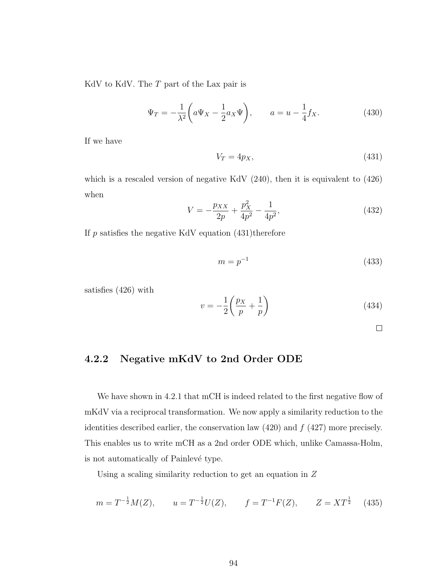KdV to KdV. The  $T$  part of the Lax pair is

$$
\Psi_T = -\frac{1}{\lambda^2} \left( a\Psi_X - \frac{1}{2} a_X \Psi \right), \qquad a = u - \frac{1}{4} f_X. \tag{430}
$$

If we have

$$
V_T = 4p_X,\t\t(431)
$$

which is a rescaled version of negative KdV  $(240)$ , then it is equivalent to  $(426)$ when

$$
V = -\frac{p_{XX}}{2p} + \frac{p_X^2}{4p^2} - \frac{1}{4p^2},\tag{432}
$$

If  $p$  satisfies the negative KdV equation  $(431)$ therefore

$$
m = p^{-1} \tag{433}
$$

satisfies (426) with

$$
v = -\frac{1}{2}\left(\frac{p_X}{p} + \frac{1}{p}\right) \tag{434}
$$

 $\Box$ 

### 4.2.2 Negative mKdV to 2nd Order ODE

We have shown in 4.2.1 that mCH is indeed related to the first negative flow of mKdV via a reciprocal transformation. We now apply a similarity reduction to the identities described earlier, the conservation law  $(420)$  and  $f(427)$  more precisely. This enables us to write mCH as a 2nd order ODE which, unlike Camassa-Holm, is not automatically of Painlevé type.

Using a scaling similarity reduction to get an equation in Z

$$
m = T^{-\frac{1}{2}}M(Z)
$$
,  $u = T^{-\frac{1}{2}}U(Z)$ ,  $f = T^{-1}F(Z)$ ,  $Z = XT^{\frac{1}{2}}$  (435)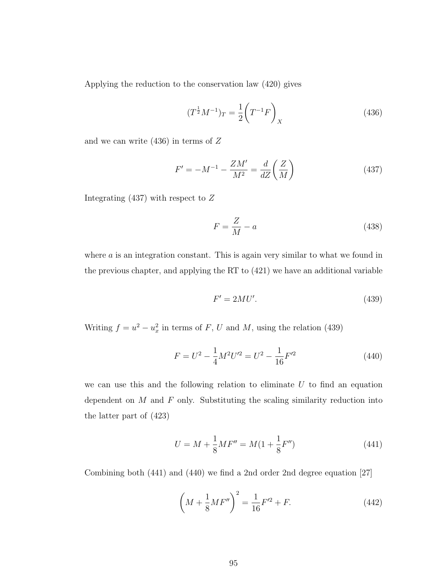Applying the reduction to the conservation law (420) gives

$$
(T^{\frac{1}{2}}M^{-1})_T = \frac{1}{2}\left(T^{-1}F\right)_X\tag{436}
$$

and we can write  $(436)$  in terms of Z

$$
F' = -M^{-1} - \frac{ZM'}{M^2} = \frac{d}{dZ} \left(\frac{Z}{M}\right)
$$
\n(437)

Integrating  $(437)$  with respect to Z

$$
F = \frac{Z}{M} - a \tag{438}
$$

where  $\alpha$  is an integration constant. This is again very similar to what we found in the previous chapter, and applying the RT to (421) we have an additional variable

$$
F' = 2MU'.\tag{439}
$$

Writing  $f = u^2 - u_x^2$  in terms of F, U and M, using the relation (439)

$$
F = U^2 - \frac{1}{4}M^2U'^2 = U^2 - \frac{1}{16}F'^2
$$
\n(440)

we can use this and the following relation to eliminate  $U$  to find an equation dependent on  $M$  and  $F$  only. Substituting the scaling similarity reduction into the latter part of (423)

$$
U = M + \frac{1}{8}MF'' = M(1 + \frac{1}{8}F'')
$$
\n(441)

Combining both (441) and (440) we find a 2nd order 2nd degree equation [27]

$$
\left(M + \frac{1}{8}MF''\right)^2 = \frac{1}{16}F'^2 + F.
$$
\n(442)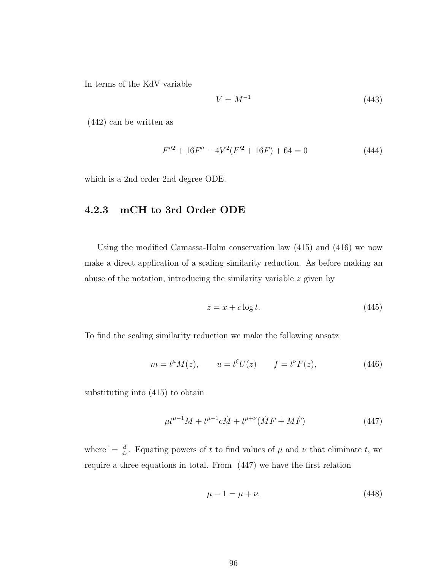In terms of the KdV variable

$$
V = M^{-1} \tag{443}
$$

(442) can be written as

$$
F''^{2} + 16F'' - 4V^{2}(F'^{2} + 16F) + 64 = 0
$$
\n(444)

which is a 2nd order 2nd degree ODE.

#### 4.2.3 mCH to 3rd Order ODE

Using the modified Camassa-Holm conservation law (415) and (416) we now make a direct application of a scaling similarity reduction. As before making an abuse of the notation, introducing the similarity variable z given by

$$
z = x + c \log t. \tag{445}
$$

To find the scaling similarity reduction we make the following ansatz

$$
m = t^{\mu}M(z), \qquad u = t^{\xi}U(z) \qquad f = t^{\nu}F(z), \tag{446}
$$

substituting into (415) to obtain

$$
\mu t^{\mu-1} M + t^{\mu-1} c \dot{M} + t^{\mu+\nu} (\dot{M} F + M \dot{F}) \tag{447}
$$

where  $\dot{d} = \frac{d}{dz}$ . Equating powers of t to find values of  $\mu$  and  $\nu$  that eliminate t, we require a three equations in total. From (447) we have the first relation

$$
\mu - 1 = \mu + \nu. \tag{448}
$$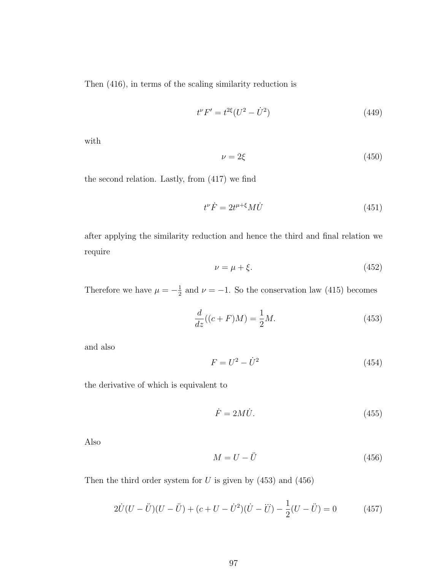Then (416), in terms of the scaling similarity reduction is

$$
t^{\nu}F' = t^{2\xi}(U^2 - \dot{U}^2)
$$
\n(449)

with

$$
\nu = 2\xi \tag{450}
$$

the second relation. Lastly, from (417) we find

$$
t^{\nu}\dot{F} = 2t^{\mu+\xi}M\dot{U}
$$
\n(451)

after applying the similarity reduction and hence the third and final relation we require

$$
\nu = \mu + \xi. \tag{452}
$$

Therefore we have  $\mu = -\frac{1}{2}$  $\frac{1}{2}$  and  $\nu = -1$ . So the conservation law (415) becomes

$$
\frac{d}{dz}((c+F)M) = \frac{1}{2}M.
$$
\n(453)

and also

$$
F = U^2 - \dot{U}^2 \tag{454}
$$

the derivative of which is equivalent to

$$
\dot{F} = 2M\dot{U}.\tag{455}
$$

Also

$$
M = U - \ddot{U} \tag{456}
$$

Then the third order system for  $U$  is given by  $(453)$  and  $(456)$ 

$$
2\dot{U}(U - \ddot{U})(U - \ddot{U}) + (c + U - \dot{U}^{2})(\dot{U} - \dddot{U}) - \frac{1}{2}(U - \ddot{U}) = 0
$$
 (457)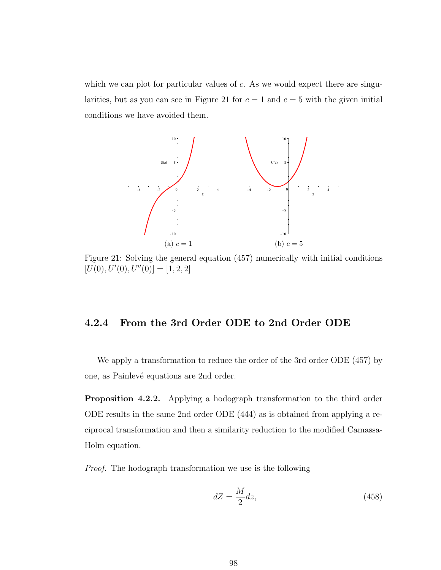which we can plot for particular values of  $c$ . As we would expect there are singularities, but as you can see in Figure 21 for  $c = 1$  and  $c = 5$  with the given initial conditions we have avoided them.



Figure 21: Solving the general equation (457) numerically with initial conditions  $[U(0), U'(0), U''(0)] = [1, 2, 2]$ 

#### 4.2.4 From the 3rd Order ODE to 2nd Order ODE

We apply a transformation to reduce the order of the 3rd order ODE (457) by one, as Painlevé equations are 2nd order.

Proposition 4.2.2. Applying a hodograph transformation to the third order ODE results in the same 2nd order ODE (444) as is obtained from applying a reciprocal transformation and then a similarity reduction to the modified Camassa-Holm equation.

Proof. The hodograph transformation we use is the following

$$
dZ = \frac{M}{2}dz,\t\t(458)
$$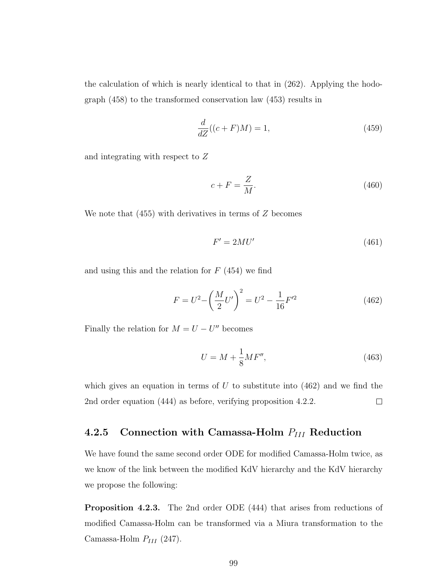the calculation of which is nearly identical to that in (262). Applying the hodograph (458) to the transformed conservation law (453) results in

$$
\frac{d}{dZ}((c+F)M) = 1,\t\t(459)
$$

and integrating with respect to Z

$$
c + F = \frac{Z}{M}.\tag{460}
$$

We note that  $(455)$  with derivatives in terms of  $Z$  becomes

$$
F' = 2MU'
$$
\n<sup>(461)</sup>

and using this and the relation for  $F(454)$  we find

$$
F = U^2 - \left(\frac{M}{2}U'\right)^2 = U^2 - \frac{1}{16}F'^2\tag{462}
$$

Finally the relation for  $M = U - U''$  becomes

$$
U = M + \frac{1}{8}MF'',
$$
\n(463)

which gives an equation in terms of  $U$  to substitute into (462) and we find the 2nd order equation (444) as before, verifying proposition 4.2.2.  $\Box$ 

#### 4.2.5 Connection with Camassa-Holm  $P_{III}$  Reduction

We have found the same second order ODE for modified Camassa-Holm twice, as we know of the link between the modified KdV hierarchy and the KdV hierarchy we propose the following:

Proposition 4.2.3. The 2nd order ODE (444) that arises from reductions of modified Camassa-Holm can be transformed via a Miura transformation to the Camassa-Holm  $P_{III}$  (247).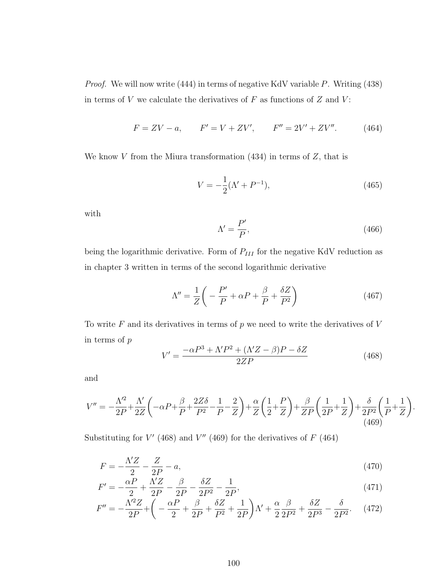Proof. We will now write (444) in terms of negative KdV variable P. Writing (438) in terms of  $V$  we calculate the derivatives of  $F$  as functions of  $Z$  and  $V$ :

$$
F = ZV - a, \qquad F' = V + ZV', \qquad F'' = 2V' + ZV''.
$$
 (464)

We know  $V$  from the Miura transformation (434) in terms of  $Z$ , that is

$$
V = -\frac{1}{2}(\Lambda' + P^{-1}),\tag{465}
$$

with

$$
\Lambda' = \frac{P'}{P},\tag{466}
$$

.

being the logarithmic derivative. Form of  $P_{III}$  for the negative KdV reduction as in chapter 3 written in terms of the second logarithmic derivative

$$
\Lambda'' = \frac{1}{Z} \left( -\frac{P'}{P} + \alpha P + \frac{\beta}{P} + \frac{\delta Z}{P^2} \right) \tag{467}
$$

To write  $F$  and its derivatives in terms of  $p$  we need to write the derivatives of  $V$ in terms of  $p$ 

$$
V' = \frac{-\alpha P^3 + \Lambda' P^2 + (\Lambda' Z - \beta) P - \delta Z}{2ZP}
$$
\n(468)

and

$$
V'' = -\frac{\Lambda'^2}{2P} + \frac{\Lambda'}{2Z} \left( -\alpha P + \frac{\beta}{P} + \frac{2Z\delta}{P^2} - \frac{1}{P} - \frac{2}{Z} \right) + \frac{\alpha}{Z} \left( \frac{1}{2} + \frac{P}{Z} \right) + \frac{\beta}{ZP} \left( \frac{1}{2P} + \frac{1}{Z} \right) + \frac{\delta}{2P^2} \left( \frac{1}{P} + \frac{1}{Z} \right)
$$
\n(469)

Substituting for  $V'$  (468) and  $V''$  (469) for the derivatives of  $F$  (464)

$$
F = -\frac{\Lambda' Z}{2} - \frac{Z}{2P} - a,\tag{470}
$$

$$
F' = -\frac{\alpha P}{2} + \frac{\Lambda' Z}{2P} - \frac{\beta}{2P} - \frac{\delta Z}{2P^2} - \frac{1}{2P},\tag{471}
$$

$$
F'' = -\frac{\Lambda'^2 Z}{2P} + \left( -\frac{\alpha P}{2} + \frac{\beta}{2P} + \frac{\delta Z}{P^2} + \frac{1}{2P} \right) \Lambda' + \frac{\alpha}{2} \frac{\beta}{2P^2} + \frac{\delta Z}{2P^3} - \frac{\delta}{2P^2}.
$$
 (472)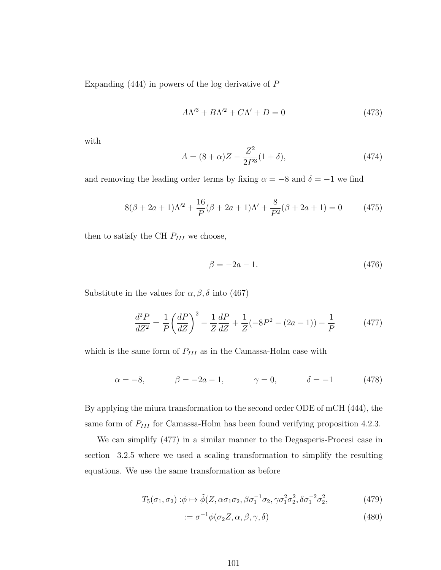Expanding (444) in powers of the log derivative of P

$$
A\Lambda^{\prime 3} + B\Lambda^{\prime 2} + C\Lambda^{\prime} + D = 0 \tag{473}
$$

with

$$
A = (8 + \alpha)Z - \frac{Z^2}{2P^3}(1 + \delta),\tag{474}
$$

and removing the leading order terms by fixing  $\alpha = -8$  and  $\delta = -1$  we find

$$
8(\beta + 2a + 1)\Lambda'^2 + \frac{16}{P}(\beta + 2a + 1)\Lambda' + \frac{8}{P^2}(\beta + 2a + 1) = 0
$$
 (475)

then to satisfy the CH  $P_{III}$  we choose,

$$
\beta = -2a - 1.\tag{476}
$$

Substitute in the values for  $\alpha$ ,  $\beta$ ,  $\delta$  into (467)

$$
\frac{d^2P}{dZ^2} = \frac{1}{P} \left(\frac{dP}{dZ}\right)^2 - \frac{1}{Z}\frac{dP}{dZ} + \frac{1}{Z}(-8P^2 - (2a - 1)) - \frac{1}{P}
$$
(477)

which is the same form of  $P_{III}$  as in the Camassa-Holm case with

$$
\alpha = -8,
$$
\n $\beta = -2a - 1,$ \n $\gamma = 0,$ \n $\delta = -1$ \n(478)

By applying the miura transformation to the second order ODE of mCH (444), the same form of  $P_{III}$  for Camassa-Holm has been found verifying proposition 4.2.3.

We can simplify (477) in a similar manner to the Degasperis-Procesi case in section 3.2.5 where we used a scaling transformation to simplify the resulting equations. We use the same transformation as before

$$
T_5(\sigma_1, \sigma_2) : \phi \mapsto \tilde{\phi}(Z, \alpha \sigma_1 \sigma_2, \beta \sigma_1^{-1} \sigma_2, \gamma \sigma_1^2 \sigma_2^2, \delta \sigma_1^{-2} \sigma_2^2, \tag{479}
$$

$$
:= \sigma^{-1}\phi(\sigma_2 Z, \alpha, \beta, \gamma, \delta)
$$
\n(480)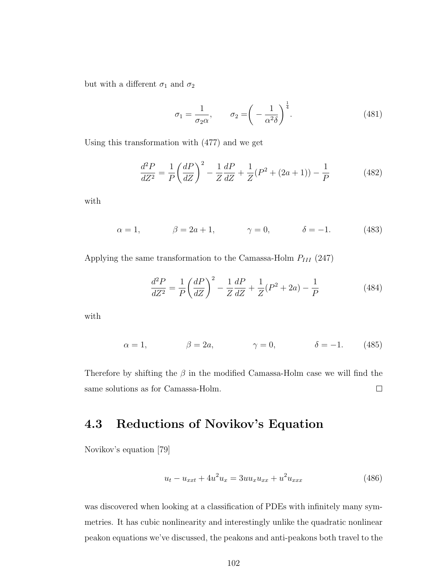but with a different  $\sigma_1$  and  $\sigma_2$ 

$$
\sigma_1 = \frac{1}{\sigma_2 \alpha}, \qquad \sigma_2 = \left( -\frac{1}{\alpha^2 \delta} \right)^{\frac{1}{4}}.
$$
 (481)

Using this transformation with (477) and we get

$$
\frac{d^2P}{dZ^2} = \frac{1}{P} \left(\frac{dP}{dZ}\right)^2 - \frac{1}{Z}\frac{dP}{dZ} + \frac{1}{Z}(P^2 + (2a+1)) - \frac{1}{P}
$$
(482)

with

$$
\alpha = 1,
$$
\n $\beta = 2a + 1,$ \n $\gamma = 0,$ \n $\delta = -1.$ \n(483)

Applying the same transformation to the Camassa-Holm  $P_{III}$  (247)

$$
\frac{d^2P}{dZ^2} = \frac{1}{P} \left( \frac{dP}{dZ} \right)^2 - \frac{1}{Z} \frac{dP}{dZ} + \frac{1}{Z} (P^2 + 2a) - \frac{1}{P}
$$
(484)

with

$$
\alpha = 1, \qquad \beta = 2a, \qquad \gamma = 0, \qquad \delta = -1. \qquad (485)
$$

Therefore by shifting the  $\beta$  in the modified Camassa-Holm case we will find the same solutions as for Camassa-Holm.  $\Box$ 

### 4.3 Reductions of Novikov's Equation

Novikov's equation [79]

$$
u_t - u_{xxt} + 4u^2 u_x = 3uu_x u_{xx} + u^2 u_{xxx}
$$
\n(486)

was discovered when looking at a classification of PDEs with infinitely many symmetries. It has cubic nonlinearity and interestingly unlike the quadratic nonlinear peakon equations we've discussed, the peakons and anti-peakons both travel to the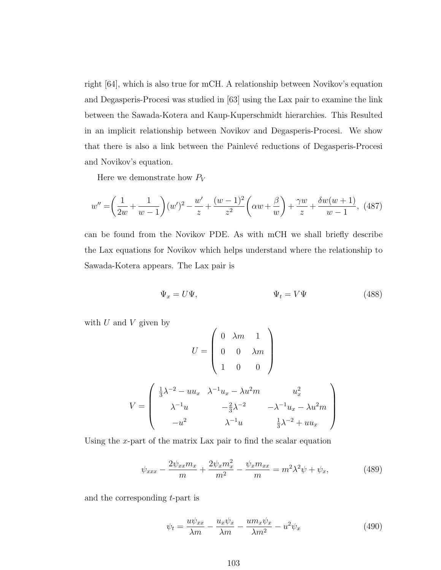right [64], which is also true for mCH. A relationship between Novikov's equation and Degasperis-Procesi was studied in [63] using the Lax pair to examine the link between the Sawada-Kotera and Kaup-Kuperschmidt hierarchies. This Resulted in an implicit relationship between Novikov and Degasperis-Procesi. We show that there is also a link between the Painlevé reductions of Degasperis-Procesi and Novikov's equation.

Here we demonstrate how  $P_V$ 

$$
w'' = \left(\frac{1}{2w} + \frac{1}{w-1}\right)(w')^2 - \frac{w'}{z} + \frac{(w-1)^2}{z^2}\left(\alpha w + \frac{\beta}{w}\right) + \frac{\gamma w}{z} + \frac{\delta w(w+1)}{w-1},
$$
 (487)

can be found from the Novikov PDE. As with mCH we shall briefly describe the Lax equations for Novikov which helps understand where the relationship to Sawada-Kotera appears. The Lax pair is

$$
\Psi_x = U\Psi, \qquad \Psi_t = V\Psi \qquad (488)
$$

with  $U$  and  $V$  given by

$$
U = \begin{pmatrix} 0 & \lambda m & 1 \\ 0 & 0 & \lambda m \\ 1 & 0 & 0 \end{pmatrix}
$$

$$
V = \begin{pmatrix} \frac{1}{3}\lambda^{-2} - uu_x & \lambda^{-1}u_x - \lambda u^2 m & u_x^2 \\ \lambda^{-1}u & -\frac{2}{3}\lambda^{-2} & -\lambda^{-1}u_x - \lambda u^2 m \\ -u^2 & \lambda^{-1}u & \frac{1}{3}\lambda^{-2} + uu_x \end{pmatrix}
$$

Using the x-part of the matrix Lax pair to find the scalar equation

$$
\psi_{xxx} - \frac{2\psi_{xx}m_x}{m} + \frac{2\psi_x m_x^2}{m^2} - \frac{\psi_x m_{xx}}{m} = m^2 \lambda^2 \psi + \psi_x,\tag{489}
$$

and the corresponding t-part is

$$
\psi_t = \frac{u\psi_{xx}}{\lambda m} - \frac{u_x\psi_x}{\lambda m} - \frac{um_x\psi_x}{\lambda m^2} - u^2\psi_x \tag{490}
$$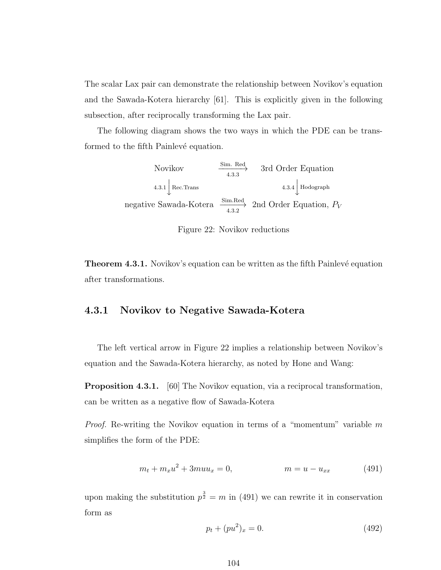The scalar Lax pair can demonstrate the relationship between Novikov's equation and the Sawada-Kotera hierarchy [61]. This is explicitly given in the following subsection, after reciprocally transforming the Lax pair.

The following diagram shows the two ways in which the PDE can be transformed to the fifth Painlevé equation.

> Novikov  $\xrightarrow{\text{Sim. Red}}$  3rd Order Equation  $4.3.1\begin{array}{|l|}\n\end{array}$  Rec.Trans  $4.3.4\begin{array}{|l|}\n\end{array}$  Hodograph negative Sawada-Kotera  $\xrightarrow{Sim. Red}_{4.3.2}$  2nd Order Equation,  $P_V$

Figure 22: Novikov reductions

**Theorem 4.3.1.** Novikov's equation can be written as the fifth Painlevé equation after transformations.

#### 4.3.1 Novikov to Negative Sawada-Kotera

The left vertical arrow in Figure 22 implies a relationship between Novikov's equation and the Sawada-Kotera hierarchy, as noted by Hone and Wang:

Proposition 4.3.1. [60] The Novikov equation, via a reciprocal transformation, can be written as a negative flow of Sawada-Kotera

*Proof.* Re-writing the Novikov equation in terms of a "momentum" variable  $m$ simplifies the form of the PDE:

$$
m_t + m_x u^2 + 3mu u_x = 0, \qquad m = u - u_{xx} \qquad (491)
$$

upon making the substitution  $p^{\frac{3}{2}} = m$  in (491) we can rewrite it in conservation form as

$$
p_t + (pu^2)_x = 0.\t\t(492)
$$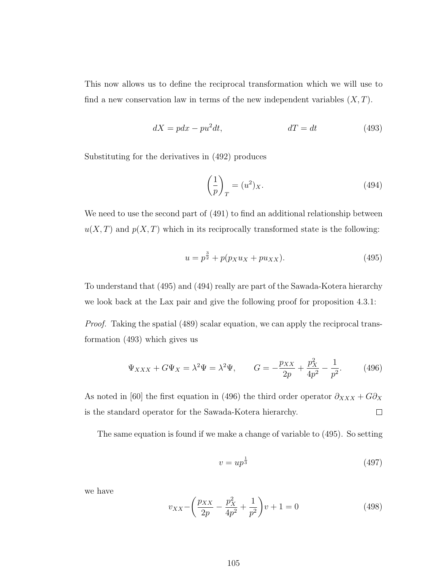This now allows us to define the reciprocal transformation which we will use to find a new conservation law in terms of the new independent variables  $(X, T)$ .

$$
dX = pdx - pu^2dt, \qquad \qquad dT = dt \qquad (493)
$$

Substituting for the derivatives in (492) produces

$$
\left(\frac{1}{p}\right)_T = (u^2)_X. \tag{494}
$$

We need to use the second part of  $(491)$  to find an additional relationship between  $u(X,T)$  and  $p(X,T)$  which in its reciprocally transformed state is the following:

$$
u = p^{\frac{3}{2}} + p(p_X u_X + p u_{XX}).
$$
\n(495)

To understand that (495) and (494) really are part of the Sawada-Kotera hierarchy we look back at the Lax pair and give the following proof for proposition 4.3.1:

Proof. Taking the spatial (489) scalar equation, we can apply the reciprocal transformation (493) which gives us

$$
\Psi_{XXX} + G\Psi_X = \lambda^2 \Psi = \lambda^2 \Psi, \qquad G = -\frac{p_{XX}}{2p} + \frac{p_X^2}{4p^2} - \frac{1}{p^2}.
$$
 (496)

As noted in [60] the first equation in (496) the third order operator  $\partial_{XXX} + G\partial_X$ is the standard operator for the Sawada-Kotera hierarchy.  $\Box$ 

The same equation is found if we make a change of variable to (495). So setting

$$
v = up^{\frac{1}{3}} \tag{497}
$$

we have

$$
v_{XX} - \left(\frac{p_{XX}}{2p} - \frac{p_X^2}{4p^2} + \frac{1}{p^2}\right)v + 1 = 0\tag{498}
$$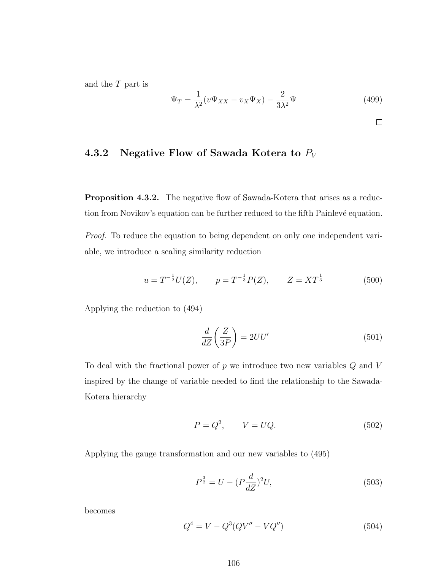and the T part is

$$
\Psi_T = \frac{1}{\lambda^2} (v\Psi_{XX} - v_X \Psi_X) - \frac{2}{3\lambda^2} \Psi
$$
\n(499)

### 4.3.2 Negative Flow of Sawada Kotera to  $P_V$

Proposition 4.3.2. The negative flow of Sawada-Kotera that arises as a reduction from Novikov's equation can be further reduced to the fifth Painlevé equation.

Proof. To reduce the equation to being dependent on only one independent variable, we introduce a scaling similarity reduction

$$
u = T^{-\frac{1}{2}}U(Z),
$$
  $p = T^{-\frac{1}{3}}P(Z),$   $Z = XT^{\frac{1}{3}}$  (500)

Applying the reduction to (494)

$$
\frac{d}{dZ}\left(\frac{Z}{3P}\right) = 2UU'\tag{501}
$$

To deal with the fractional power of  $p$  we introduce two new variables  $Q$  and  $V$ inspired by the change of variable needed to find the relationship to the Sawada-Kotera hierarchy

$$
P = Q^2, \qquad V = UQ. \tag{502}
$$

Applying the gauge transformation and our new variables to (495)

$$
P^{\frac{3}{2}} = U - (P\frac{d}{dZ})^2 U,\tag{503}
$$

becomes

$$
Q^4 = V - Q^3 (QV'' - VQ'')
$$
 (504)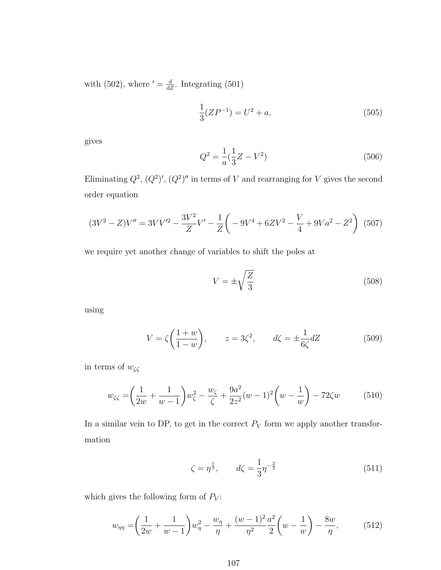with (502), where  $' = \frac{d}{dZ}$ . Integrating (501)

$$
\frac{1}{3}(ZP^{-1}) = U^2 + a,\t\t(505)
$$

gives

$$
Q^2 = \frac{1}{a}(\frac{1}{3}Z - V^2)
$$
\n(506)

Eliminating  $Q^2$ ,  $(Q^2)'$ ,  $(Q^2)''$  in terms of V and rearranging for V gives the second order equation

$$
(3V^{2} - Z)V'' = 3VV'^{2} - \frac{3V^{2}}{Z}V' - \frac{1}{Z}\left(-9V^{4} + 6ZV^{2} - \frac{V}{4} + 9Va^{2} - Z^{2}\right) (507)
$$

we require yet another change of variables to shift the poles at

$$
V = \pm \sqrt{\frac{Z}{3}}\tag{508}
$$

using

$$
V = \zeta \left(\frac{1+w}{1-w}\right), \qquad z = 3\zeta^2, \qquad d\zeta = \pm \frac{1}{6\zeta}dZ \tag{509}
$$

in terms of  $w_{\zeta\zeta}$ 

$$
w_{\zeta\zeta} = \left(\frac{1}{2w} + \frac{1}{w-1}\right)w_{\zeta}^2 - \frac{w_{\zeta}}{\zeta} + \frac{9a^2}{2z^2}(w-1)^2\left(w - \frac{1}{w}\right) - 72\zeta w \tag{510}
$$

In a similar vein to DP, to get in the correct  $P_V$  form we apply another transformation

$$
\zeta = \eta^{\frac{1}{3}}, \qquad d\zeta = \frac{1}{3}\eta^{-\frac{2}{3}} \tag{511}
$$

which gives the following form of  $P_V$ :

$$
w_{\eta\eta} = \left(\frac{1}{2w} + \frac{1}{w-1}\right)w_{\eta}^{2} - \frac{w_{\eta}}{\eta} + \frac{(w-1)^{2}}{\eta^{2}}\frac{a^{2}}{2}\left(w - \frac{1}{w}\right) - \frac{8w}{\eta},
$$
(512)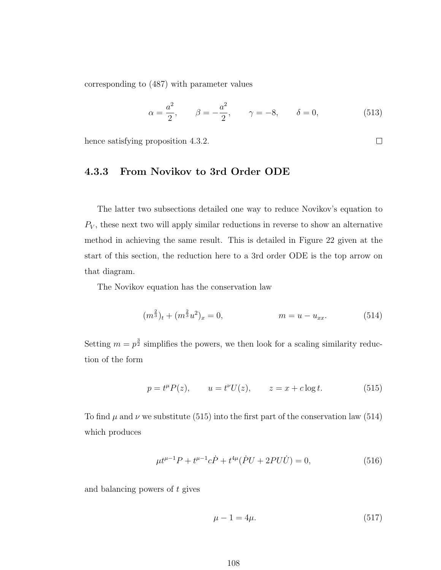corresponding to (487) with parameter values

$$
\alpha = \frac{a^2}{2}, \qquad \beta = -\frac{a^2}{2}, \qquad \gamma = -8, \qquad \delta = 0,
$$
\n(513)

 $\Box$ 

hence satisfying proposition 4.3.2.

#### 4.3.3 From Novikov to 3rd Order ODE

The latter two subsections detailed one way to reduce Novikov's equation to  $P_V$ , these next two will apply similar reductions in reverse to show an alternative method in achieving the same result. This is detailed in Figure 22 given at the start of this section, the reduction here to a 3rd order ODE is the top arrow on that diagram.

The Novikov equation has the conservation law

$$
(m^{\frac{2}{3}})_t + (m^{\frac{2}{3}}u^2)_x = 0, \qquad m = u - u_{xx}.
$$
 (514)

Setting  $m = p^{\frac{3}{2}}$  simplifies the powers, we then look for a scaling similarity reduction of the form

$$
p = t^{\mu}P(z)
$$
,  $u = t^{\nu}U(z)$ ,  $z = x + c \log t$ . (515)

To find  $\mu$  and  $\nu$  we substitute (515) into the first part of the conservation law (514) which produces

$$
\mu t^{\mu - 1} P + t^{\mu - 1} c \dot{P} + t^{4\mu} (\dot{P}U + 2PU\dot{U}) = 0, \tag{516}
$$

and balancing powers of t gives

$$
\mu - 1 = 4\mu. \tag{517}
$$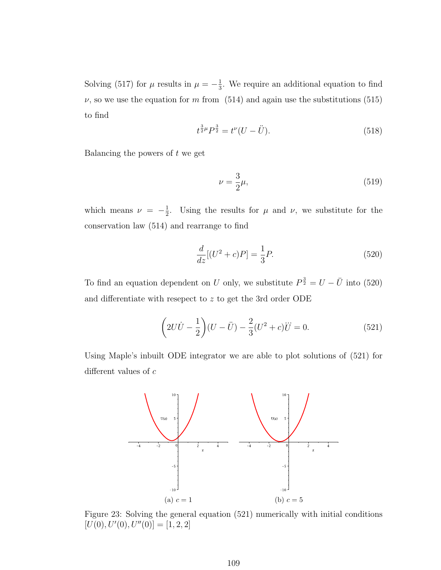Solving (517) for  $\mu$  results in  $\mu = -\frac{1}{3}$  $\frac{1}{3}$ . We require an additional equation to find  $\nu$ , so we use the equation for m from (514) and again use the substitutions (515) to find

$$
t^{\frac{3}{2}\mu}P^{\frac{3}{2}} = t^{\nu}(U - \ddot{U}).\tag{518}
$$

Balancing the powers of  $t$  we get

$$
\nu = \frac{3}{2}\mu,\tag{519}
$$

which means  $\nu = -\frac{1}{2}$  $\frac{1}{2}$ . Using the results for  $\mu$  and  $\nu$ , we substitute for the conservation law (514) and rearrange to find

$$
\frac{d}{dz}[(U^2 + c)P] = \frac{1}{3}P.\tag{520}
$$

To find an equation dependent on U only, we substitute  $P^{\frac{3}{2}} = U - \ddot{U}$  into (520) and differentiate with resepect to z to get the 3rd order ODE

$$
\left(2U\dot{U} - \frac{1}{2}\right)(U - \ddot{U}) - \frac{2}{3}(U^2 + c)\ddot{U} = 0.
$$
 (521)

Using Maple's inbuilt ODE integrator we are able to plot solutions of (521) for different values of c



Figure 23: Solving the general equation (521) numerically with initial conditions  $[U(0), U'(0), U''(0)] = [1, 2, 2]$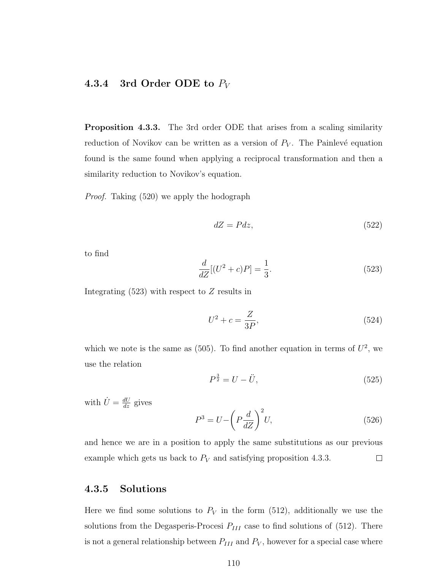#### 4.3.4 3rd Order ODE to  $P_V$

Proposition 4.3.3. The 3rd order ODE that arises from a scaling similarity reduction of Novikov can be written as a version of  $P_V$ . The Painlevé equation found is the same found when applying a reciprocal transformation and then a similarity reduction to Novikov's equation.

Proof. Taking (520) we apply the hodograph

$$
dZ = Pdz,\t\t(522)
$$

to find

$$
\frac{d}{dZ}[(U^2 + c)P] = \frac{1}{3}.
$$
\n(523)

Integrating  $(523)$  with respect to Z results in

$$
U^2 + c = \frac{Z}{3P},
$$
\n(524)

which we note is the same as  $(505)$ . To find another equation in terms of  $U^2$ , we use the relation

$$
P^{\frac{3}{2}} = U - \ddot{U},\tag{525}
$$

with  $\dot{U} = \frac{dU}{dz}$  gives

$$
P^3 = U - \left(P\frac{d}{dZ}\right)^2 U,\tag{526}
$$

and hence we are in a position to apply the same substitutions as our previous example which gets us back to  $P_V$  and satisfying proposition 4.3.3.  $\Box$ 

### 4.3.5 Solutions

Here we find some solutions to  $P_V$  in the form (512), additionally we use the solutions from the Degasperis-Procesi  $P_{III}$  case to find solutions of (512). There is not a general relationship between  $P_{III}$  and  $P_V$ , however for a special case where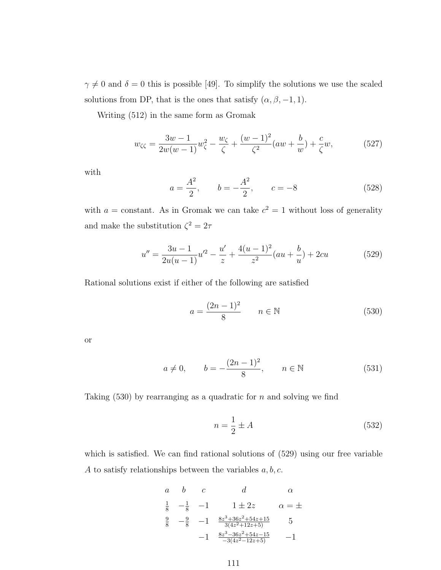$\gamma \neq 0$  and  $\delta = 0$  this is possible [49]. To simplify the solutions we use the scaled solutions from DP, that is the ones that satisfy  $(\alpha, \beta, -1, 1)$ .

Writing (512) in the same form as Gromak

$$
w_{\zeta\zeta} = \frac{3w - 1}{2w(w - 1)}w_{\zeta}^{2} - \frac{w_{\zeta}}{\zeta} + \frac{(w - 1)^{2}}{\zeta^{2}}(aw + \frac{b}{w}) + \frac{c}{\zeta}w,
$$
(527)

with

$$
a = \frac{A^2}{2}
$$
,  $b = -\frac{A^2}{2}$ ,  $c = -8$  (528)

with  $a = constant$ . As in Gromak we can take  $c^2 = 1$  without loss of generality and make the substitution  $\zeta^2 = 2\tau$ 

$$
u'' = \frac{3u - 1}{2u(u - 1)}u'^2 - \frac{u'}{z} + \frac{4(u - 1)^2}{z^2}(au + \frac{b}{u}) + 2cu
$$
 (529)

Rational solutions exist if either of the following are satisfied

$$
a = \frac{(2n-1)^2}{8} \qquad n \in \mathbb{N} \tag{530}
$$

or

$$
a \neq 0,
$$
  $b = -\frac{(2n-1)^2}{8}, \quad n \in \mathbb{N}$  (531)

Taking  $(530)$  by rearranging as a quadratic for n and solving we find

$$
n = \frac{1}{2} \pm A \tag{532}
$$

which is satisfied. We can find rational solutions of  $(529)$  using our free variable A to satisfy relationships between the variables  $a, b, c$ .

$$
\begin{array}{cccc}\n a & b & c & d & \alpha \\
\frac{1}{8} & -\frac{1}{8} & -1 & 1 \pm 2z & \alpha = \pm \\
\frac{9}{8} & -\frac{9}{8} & -1 & \frac{8z^3 + 36z^2 + 54z + 15}{3(4z^2 + 12z + 5)} & 5 \\
& -1 & \frac{8z^3 - 36z^2 + 54z - 15}{-3(4z^2 - 12z + 5)} & -1\n \end{array}
$$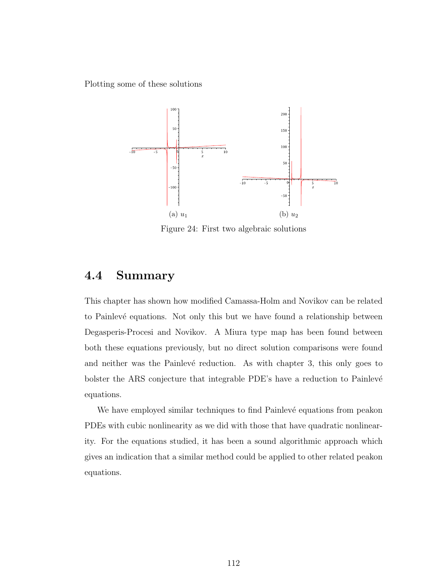Plotting some of these solutions



Figure 24: First two algebraic solutions

### 4.4 Summary

This chapter has shown how modified Camassa-Holm and Novikov can be related to Painlevé equations. Not only this but we have found a relationship between Degasperis-Procesi and Novikov. A Miura type map has been found between both these equations previously, but no direct solution comparisons were found and neither was the Painlevé reduction. As with chapter 3, this only goes to bolster the ARS conjecture that integrable PDE's have a reduction to Painlevé equations.

We have employed similar techniques to find Painlevé equations from peakon PDEs with cubic nonlinearity as we did with those that have quadratic nonlinearity. For the equations studied, it has been a sound algorithmic approach which gives an indication that a similar method could be applied to other related peakon equations.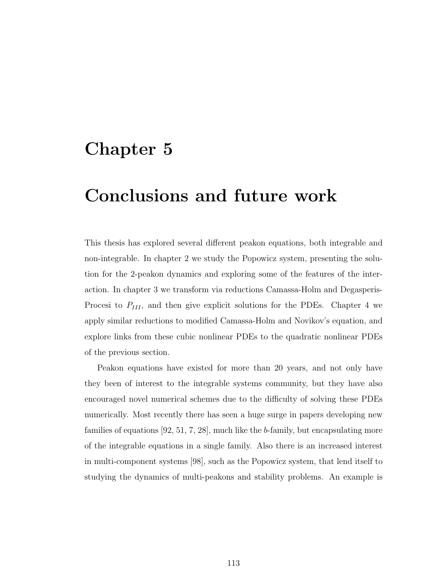# Chapter 5

# Conclusions and future work

This thesis has explored several different peakon equations, both integrable and non-integrable. In chapter 2 we study the Popowicz system, presenting the solution for the 2-peakon dynamics and exploring some of the features of the interaction. In chapter 3 we transform via reductions Camassa-Holm and Degasperis-Procesi to  $P_{III}$ , and then give explicit solutions for the PDEs. Chapter 4 we apply similar reductions to modified Camassa-Holm and Novikov's equation, and explore links from these cubic nonlinear PDEs to the quadratic nonlinear PDEs of the previous section.

Peakon equations have existed for more than 20 years, and not only have they been of interest to the integrable systems community, but they have also encouraged novel numerical schemes due to the difficulty of solving these PDEs numerically. Most recently there has seen a huge surge in papers developing new families of equations [92, 51, 7, 28], much like the b-family, but encapsulating more of the integrable equations in a single family. Also there is an increased interest in multi-component systems [98], such as the Popowicz system, that lend itself to studying the dynamics of multi-peakons and stability problems. An example is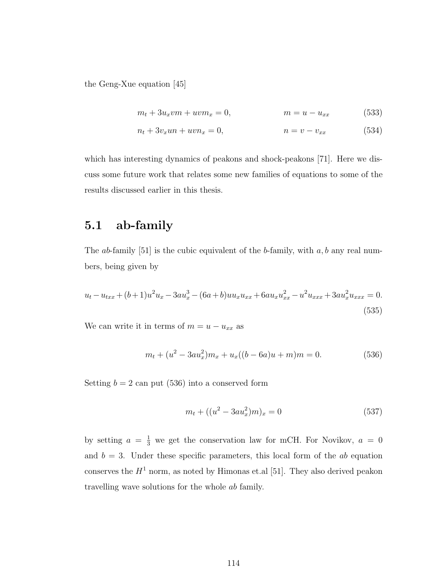the Geng-Xue equation [45]

$$
m_t + 3u_x v m + u v m_x = 0, \qquad m = u - u_{xx} \qquad (533)
$$

$$
n_t + 3v_x u n + u v n_x = 0, \qquad n = v - v_{xx} \tag{534}
$$

which has interesting dynamics of peakons and shock-peakons [71]. Here we discuss some future work that relates some new families of equations to some of the results discussed earlier in this thesis.

### 5.1 ab-family

The *ab*-family [51] is the cubic equivalent of the *b*-family, with  $a, b$  any real numbers, being given by

$$
u_t - u_{txx} + (b+1)u^2 u_x - 3au_x^3 - (6a+b)uu_x u_{xx} + 6au_x u_{xx}^2 - u^2 u_{xxx} + 3au_x^2 u_{xxx} = 0.
$$
\n(535)

We can write it in terms of  $m = u - u_{xx}$  as

$$
m_t + (u^2 - 3au_x^2)m_x + u_x((b - 6a)u + m)m = 0.
$$
\n(536)

Setting  $b = 2$  can put (536) into a conserved form

$$
m_t + ((u^2 - 3au_x^2)m)_x = 0 \tag{537}
$$

by setting  $a = \frac{1}{3}$  we get the conservation law for mCH. For Novikov,  $a = 0$ and  $b = 3$ . Under these specific parameters, this local form of the ab equation conserves the  $H^1$  norm, as noted by Himonas et.al [51]. They also derived peakon travelling wave solutions for the whole ab family.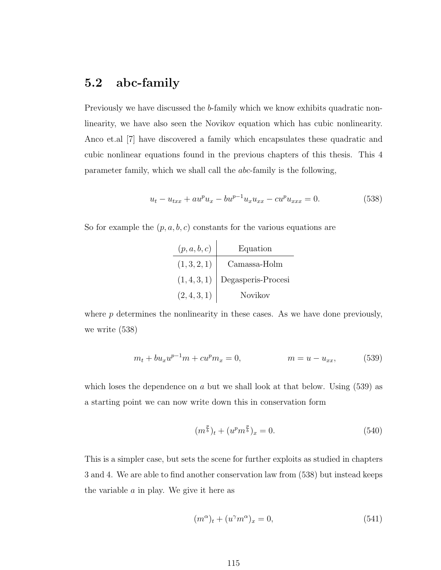## 5.2 abc-family

Previously we have discussed the b-family which we know exhibits quadratic nonlinearity, we have also seen the Novikov equation which has cubic nonlinearity. Anco et.al [7] have discovered a family which encapsulates these quadratic and cubic nonlinear equations found in the previous chapters of this thesis. This 4 parameter family, which we shall call the abc-family is the following,

$$
u_t - u_{txx} + au^p u_x - bu^{p-1} u_x u_{xx} - cu^p u_{xxx} = 0.
$$
 (538)

So for example the  $(p, a, b, c)$  constants for the various equations are

| (p, a, b, c) | Equation           |
|--------------|--------------------|
| (1, 3, 2, 1) | Camassa-Holm       |
| (1,4,3,1)    | Degasperis-Procesi |
| (2,4,3,1)    | Novikov            |

where  $p$  determines the nonlinearity in these cases. As we have done previously, we write (538)

$$
m_t + bu_x u^{p-1} m + cu^p m_x = 0, \qquad m = u - u_{xx}, \qquad (539)
$$

which loses the dependence on a but we shall look at that below. Using  $(539)$  as a starting point we can now write down this in conservation form

$$
(m^{\frac{p}{b}})_t + (u^p m^{\frac{p}{b}})_x = 0.
$$
\n(540)

This is a simpler case, but sets the scene for further exploits as studied in chapters 3 and 4. We are able to find another conservation law from (538) but instead keeps the variable  $a$  in play. We give it here as

$$
(m^{\alpha})_t + (u^{\gamma}m^{\alpha})_x = 0, \qquad (541)
$$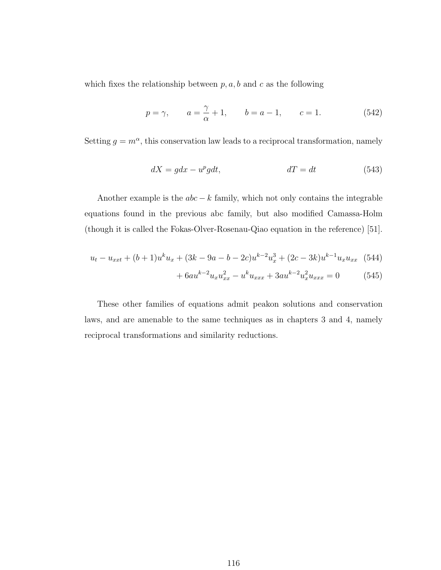which fixes the relationship between  $p, a, b$  and c as the following

$$
p = \gamma,
$$
  $a = \frac{\gamma}{\alpha} + 1,$   $b = a - 1,$   $c = 1.$  (542)

Setting  $g = m^{\alpha}$ , this conservation law leads to a reciprocal transformation, namely

$$
dX = gdx - u^p gdt, \qquad dT = dt \qquad (543)
$$

Another example is the  $abc - k$  family, which not only contains the integrable equations found in the previous abc family, but also modified Camassa-Holm (though it is called the Fokas-Olver-Rosenau-Qiao equation in the reference) [51].

$$
u_t - u_{xxt} + (b+1)u^k u_x + (3k - 9a - b - 2c)u^{k-2}u_x^3 + (2c - 3k)u^{k-1}u_x u_{xx} \quad (544)
$$

$$
+6au^{k-2}u_xu_{xx}^2 - u^ku_{xxx} + 3au^{k-2}u_x^2u_{xxx} = 0
$$
 (545)

These other families of equations admit peakon solutions and conservation laws, and are amenable to the same techniques as in chapters 3 and 4, namely reciprocal transformations and similarity reductions.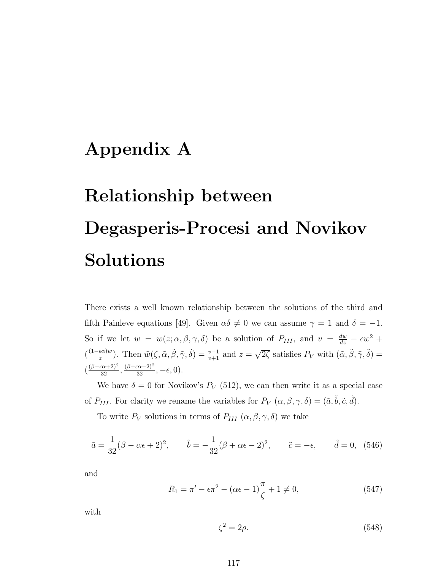# Appendix A

# Relationship between Degasperis-Procesi and Novikov Solutions

There exists a well known relationship between the solutions of the third and fifth Painleve equations [49]. Given  $\alpha\delta \neq 0$  we can assume  $\gamma = 1$  and  $\delta = -1$ . So if we let  $w = w(z; \alpha, \beta, \gamma, \delta)$  be a solution of  $P_{III}$ , and  $v = \frac{dw}{dz} - \epsilon w^2 + \epsilon$  $(\frac{(1-\epsilon\alpha)w}{z})$ . Then  $\tilde{w}(\zeta, \tilde{\alpha}, \tilde{\beta}, \tilde{\gamma}, \tilde{\delta}) = \frac{v-1}{v+1}$  and  $z = \sqrt{2\zeta}$  satisfies  $P_V$  with  $(\tilde{\alpha}, \tilde{\beta}, \tilde{\gamma}, \tilde{\delta}) =$  $\left(\frac{(\beta-\epsilon\alpha+2)^2}{32},\frac{(\beta+\epsilon\alpha-2)^2}{32},-\epsilon,0\right).$ 

We have  $\delta = 0$  for Novikov's  $P_V$  (512), we can then write it as a special case of  $P_{III}$ . For clarity we rename the variables for  $P_V(\alpha, \beta, \gamma, \delta) = (\tilde{a}, \tilde{b}, \tilde{c}, \tilde{d}).$ 

To write  $P_V$  solutions in terms of  $P_{III}$   $(\alpha, \beta, \gamma, \delta)$  we take

$$
\tilde{a} = \frac{1}{32}(\beta - \alpha \epsilon + 2)^2
$$
,  $\tilde{b} = -\frac{1}{32}(\beta + \alpha \epsilon - 2)^2$ ,  $\tilde{c} = -\epsilon$ ,  $\tilde{d} = 0$ , (546)

and

$$
R_1 = \pi' - \epsilon \pi^2 - (\alpha \epsilon - 1) \frac{\pi}{\zeta} + 1 \neq 0,
$$
\n(547)

with

$$
\zeta^2 = 2\rho. \tag{548}
$$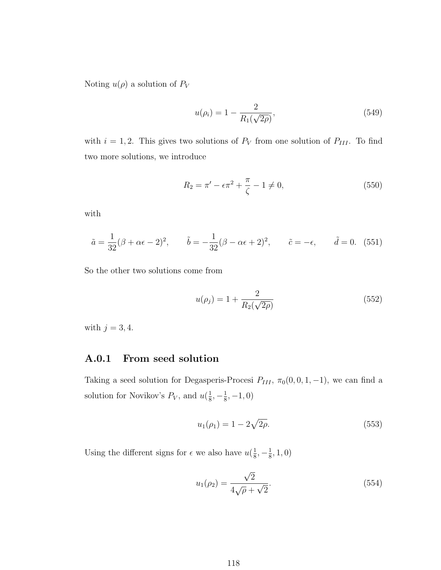Noting  $u(\rho)$  a solution of  $P_V$ 

$$
u(\rho_i) = 1 - \frac{2}{R_1(\sqrt{2\rho})},\tag{549}
$$

with  $i = 1, 2$ . This gives two solutions of  $P_V$  from one solution of  $P_{III}$ . To find two more solutions, we introduce

$$
R_2 = \pi' - \epsilon \pi^2 + \frac{\pi}{\zeta} - 1 \neq 0,
$$
\n(550)

with

$$
\tilde{a} = \frac{1}{32}(\beta + \alpha \epsilon - 2)^2
$$
,  $\tilde{b} = -\frac{1}{32}(\beta - \alpha \epsilon + 2)^2$ ,  $\tilde{c} = -\epsilon$ ,  $\tilde{d} = 0$ . (551)

So the other two solutions come from

$$
u(\rho_j) = 1 + \frac{2}{R_2(\sqrt{2\rho})}
$$
\n(552)

with  $j = 3, 4$ .

#### A.0.1 From seed solution

Taking a seed solution for Degasperis-Procesi  $P_{III}$ ,  $\pi_0(0, 0, 1, -1)$ , we can find a solution for Novikov's  $P_V$ , and  $u(\frac{1}{8})$  $\frac{1}{8}, -\frac{1}{8}$  $\frac{1}{8}, -1, 0)$ 

$$
u_1(\rho_1) = 1 - 2\sqrt{2\rho}.
$$
\n(553)

Using the different signs for  $\epsilon$  we also have  $u(\frac{1}{8})$  $\frac{1}{8}, -\frac{1}{8}$  $\frac{1}{8}$ , 1, 0)

$$
u_1(\rho_2) = \frac{\sqrt{2}}{4\sqrt{\rho} + \sqrt{2}}.\tag{554}
$$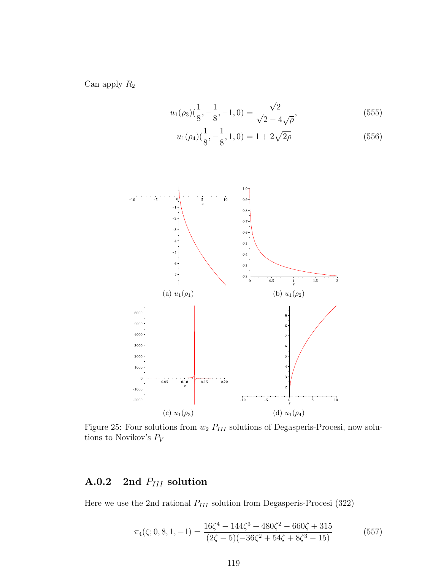Can apply  $\mathcal{R}_2$ 

$$
u_1(\rho_3)(\frac{1}{8}, -\frac{1}{8}, -1, 0) = \frac{\sqrt{2}}{\sqrt{2} - 4\sqrt{\rho}},
$$
\n(555)

$$
u_1(\rho_4)(\frac{1}{8}, -\frac{1}{8}, 1, 0) = 1 + 2\sqrt{2\rho}
$$
\n(556)



Figure 25: Four solutions from  $w_2$   $P_{III}$  solutions of Degasperis-Procesi, now solutions to Novikov's  $\mathcal{P}_V$ 

# A.0.2 2nd  $P_{III}$  solution

Here we use the 2nd rational  $P_{III}$  solution from Degasperis-Procesi (322)

$$
\pi_4(\zeta; 0, 8, 1, -1) = \frac{16\zeta^4 - 144\zeta^3 + 480\zeta^2 - 660\zeta + 315}{(2\zeta - 5)(-36\zeta^2 + 54\zeta + 8\zeta^3 - 15)}
$$
(557)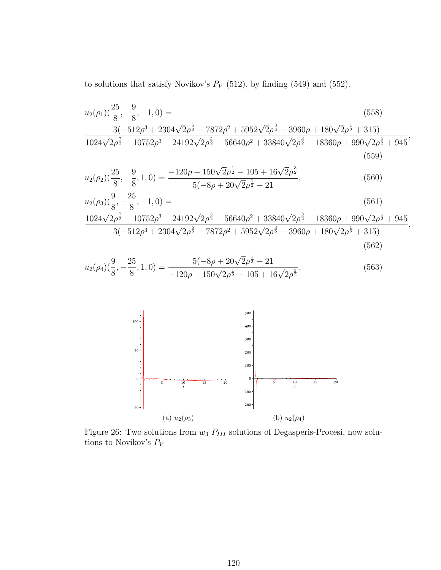to solutions that satisfy Novikov's  $P_V$  (512), by finding (549) and (552).

$$
u_2(\rho_1)(\frac{25}{8}, -\frac{9}{8}, -1, 0) =
$$
\n
$$
\frac{3(-512\rho^3 + 2304\sqrt{2}\rho^{\frac{5}{2}} - 7872\rho^2 + 5952\sqrt{2}\rho^{\frac{3}{2}} - 3960\rho + 180\sqrt{2}\rho^{\frac{1}{2}} + 315)}{1024\sqrt{2}\rho^{\frac{7}{2}} - 10752\rho^3 + 24192\sqrt{2}\rho^{\frac{5}{2}} - 56640\rho^2 + 33840\sqrt{2}\rho^{\frac{3}{2}} - 18360\rho + 990\sqrt{2}\rho^{\frac{1}{2}} + 945},
$$
\n(559)

$$
u_2(\rho_2)(\frac{25}{8}, -\frac{9}{8}, 1, 0) = \frac{-120\rho + 150\sqrt{2}\rho^{\frac{1}{2}} - 105 + 16\sqrt{2}\rho^{\frac{3}{2}}}{5(-8\rho + 20\sqrt{2}\rho^{\frac{1}{2}} - 21},
$$
\n(560)

$$
u_2(\rho_3)(\frac{9}{8}, -\frac{25}{8}, -1, 0) = \tag{561}
$$

$$
\frac{1024\sqrt{2}\rho^{\frac{7}{2}}-10752\rho^3+24192\sqrt{2}\rho^{\frac{5}{2}}-56640\rho^2+33840\sqrt{2}\rho^{\frac{3}{2}}-18360\rho+990\sqrt{2}\rho^{\frac{1}{2}}+945}{3(-512\rho^3+2304\sqrt{2}\rho^{\frac{5}{2}}-7872\rho^2+5952\sqrt{2}\rho^{\frac{3}{2}}-3960\rho+180\sqrt{2}\rho^{\frac{1}{2}}+315)},
$$
\n(562)

$$
u_2(\rho_4) \left(\frac{9}{8}, -\frac{25}{8}, 1, 0\right) = \frac{5(-8\rho + 20\sqrt{2}\rho^{\frac{1}{2}} - 21}{-120\rho + 150\sqrt{2}\rho^{\frac{1}{2}} - 105 + 16\sqrt{2}\rho^{\frac{3}{2}}},\tag{563}
$$



Figure 26: Two solutions from  $w_3$   $P_{III}$  solutions of Degasperis-Procesi, now solutions to Novikov's  $\mathcal{P}_V$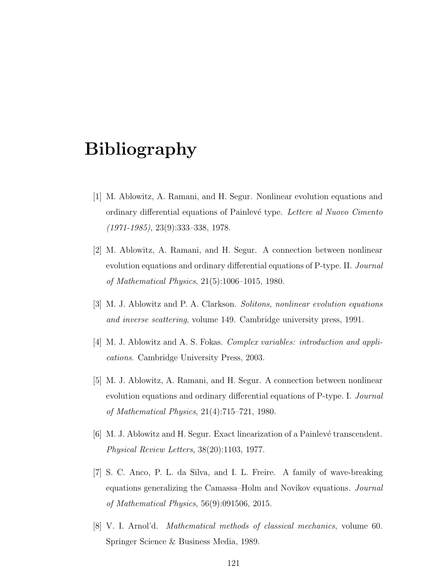# Bibliography

- [1] M. Ablowitz, A. Ramani, and H. Segur. Nonlinear evolution equations and ordinary differential equations of Painlevé type. Lettere al Nuovo Cimento (1971-1985), 23(9):333–338, 1978.
- [2] M. Ablowitz, A. Ramani, and H. Segur. A connection between nonlinear evolution equations and ordinary differential equations of P-type. II. Journal of Mathematical Physics, 21(5):1006–1015, 1980.
- [3] M. J. Ablowitz and P. A. Clarkson. Solitons, nonlinear evolution equations and inverse scattering, volume 149. Cambridge university press, 1991.
- [4] M. J. Ablowitz and A. S. Fokas. Complex variables: introduction and applications. Cambridge University Press, 2003.
- [5] M. J. Ablowitz, A. Ramani, and H. Segur. A connection between nonlinear evolution equations and ordinary differential equations of P-type. I. *Journal* of Mathematical Physics, 21(4):715–721, 1980.
- [6] M. J. Ablowitz and H. Segur. Exact linearization of a Painlevé transcendent. Physical Review Letters, 38(20):1103, 1977.
- [7] S. C. Anco, P. L. da Silva, and I. L. Freire. A family of wave-breaking equations generalizing the Camassa–Holm and Novikov equations. Journal of Mathematical Physics, 56(9):091506, 2015.
- [8] V. I. Arnol'd. Mathematical methods of classical mechanics, volume 60. Springer Science & Business Media, 1989.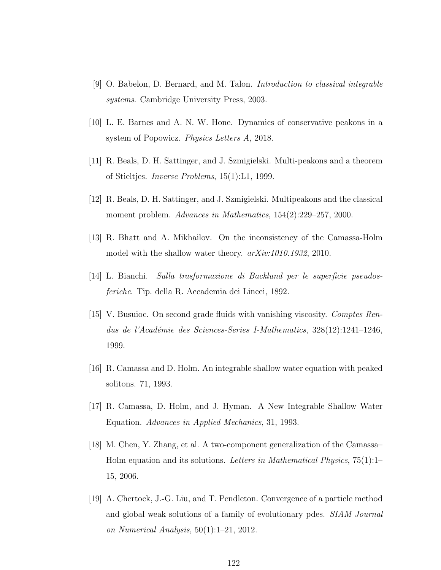- [9] O. Babelon, D. Bernard, and M. Talon. Introduction to classical integrable systems. Cambridge University Press, 2003.
- [10] L. E. Barnes and A. N. W. Hone. Dynamics of conservative peakons in a system of Popowicz. *Physics Letters A*, 2018.
- [11] R. Beals, D. H. Sattinger, and J. Szmigielski. Multi-peakons and a theorem of Stieltjes. Inverse Problems, 15(1):L1, 1999.
- [12] R. Beals, D. H. Sattinger, and J. Szmigielski. Multipeakons and the classical moment problem. Advances in Mathematics, 154(2):229–257, 2000.
- [13] R. Bhatt and A. Mikhailov. On the inconsistency of the Camassa-Holm model with the shallow water theory.  $arXiv:1010.1932$ , 2010.
- [14] L. Bianchi. Sulla trasformazione di Backlund per le superficie pseudosferiche. Tip. della R. Accademia dei Lincei, 1892.
- [15] V. Busuioc. On second grade fluids with vanishing viscosity. Comptes Rendus de l'Académie des Sciences-Series I-Mathematics,  $328(12):1241-1246$ , 1999.
- [16] R. Camassa and D. Holm. An integrable shallow water equation with peaked solitons. 71, 1993.
- [17] R. Camassa, D. Holm, and J. Hyman. A New Integrable Shallow Water Equation. Advances in Applied Mechanics, 31, 1993.
- [18] M. Chen, Y. Zhang, et al. A two-component generalization of the Camassa– Holm equation and its solutions. Letters in Mathematical Physics,  $75(1):1-$ 15, 2006.
- [19] A. Chertock, J.-G. Liu, and T. Pendleton. Convergence of a particle method and global weak solutions of a family of evolutionary pdes. SIAM Journal on Numerical Analysis, 50(1):1–21, 2012.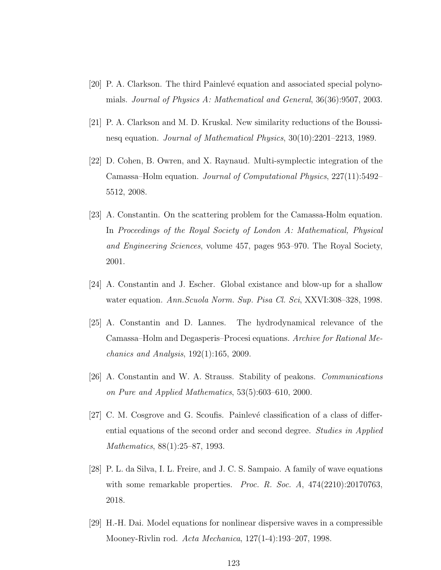- [20] P. A. Clarkson. The third Painlev´e equation and associated special polynomials. Journal of Physics A: Mathematical and General, 36(36):9507, 2003.
- [21] P. A. Clarkson and M. D. Kruskal. New similarity reductions of the Boussinesq equation. Journal of Mathematical Physics, 30(10):2201–2213, 1989.
- [22] D. Cohen, B. Owren, and X. Raynaud. Multi-symplectic integration of the Camassa–Holm equation. Journal of Computational Physics, 227(11):5492– 5512, 2008.
- [23] A. Constantin. On the scattering problem for the Camassa-Holm equation. In Proceedings of the Royal Society of London A: Mathematical, Physical and Engineering Sciences, volume 457, pages 953–970. The Royal Society, 2001.
- [24] A. Constantin and J. Escher. Global existance and blow-up for a shallow water equation. Ann.Scuola Norm. Sup. Pisa Cl. Sci, XXVI:308–328, 1998.
- [25] A. Constantin and D. Lannes. The hydrodynamical relevance of the Camassa–Holm and Degasperis–Procesi equations. Archive for Rational Mechanics and Analysis, 192(1):165, 2009.
- [26] A. Constantin and W. A. Strauss. Stability of peakons. Communications on Pure and Applied Mathematics, 53(5):603–610, 2000.
- [27] C. M. Cosgrove and G. Scoufis. Painlevé classification of a class of differential equations of the second order and second degree. Studies in Applied Mathematics, 88(1):25–87, 1993.
- [28] P. L. da Silva, I. L. Freire, and J. C. S. Sampaio. A family of wave equations with some remarkable properties. *Proc. R. Soc. A*,  $474(2210):20170763$ , 2018.
- [29] H.-H. Dai. Model equations for nonlinear dispersive waves in a compressible Mooney-Rivlin rod. Acta Mechanica, 127(1-4):193–207, 1998.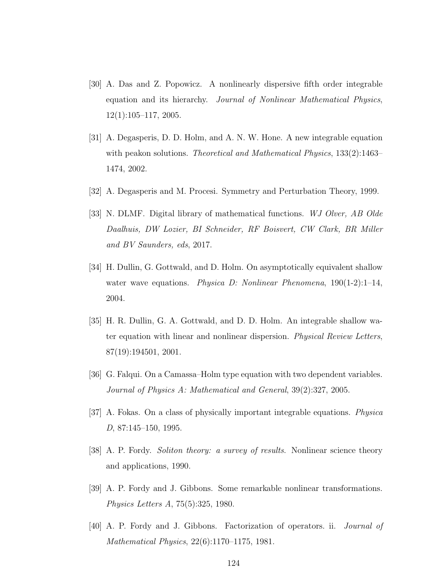- [30] A. Das and Z. Popowicz. A nonlinearly dispersive fifth order integrable equation and its hierarchy. Journal of Nonlinear Mathematical Physics, 12(1):105–117, 2005.
- [31] A. Degasperis, D. D. Holm, and A. N. W. Hone. A new integrable equation with peakon solutions. *Theoretical and Mathematical Physics*, 133(2):1463– 1474, 2002.
- [32] A. Degasperis and M. Procesi. Symmetry and Perturbation Theory, 1999.
- [33] N. DLMF. Digital library of mathematical functions. WJ Olver, AB Olde Daalhuis, DW Lozier, BI Schneider, RF Boisvert, CW Clark, BR Miller and BV Saunders, eds, 2017.
- [34] H. Dullin, G. Gottwald, and D. Holm. On asymptotically equivalent shallow water wave equations. *Physica D: Nonlinear Phenomena*,  $190(1-2)$ :1-14, 2004.
- [35] H. R. Dullin, G. A. Gottwald, and D. D. Holm. An integrable shallow water equation with linear and nonlinear dispersion. Physical Review Letters, 87(19):194501, 2001.
- [36] G. Falqui. On a Camassa–Holm type equation with two dependent variables. Journal of Physics A: Mathematical and General, 39(2):327, 2005.
- [37] A. Fokas. On a class of physically important integrable equations. Physica D, 87:145–150, 1995.
- [38] A. P. Fordy. Soliton theory: a survey of results. Nonlinear science theory and applications, 1990.
- [39] A. P. Fordy and J. Gibbons. Some remarkable nonlinear transformations. Physics Letters A, 75(5):325, 1980.
- [40] A. P. Fordy and J. Gibbons. Factorization of operators. ii. Journal of Mathematical Physics, 22(6):1170–1175, 1981.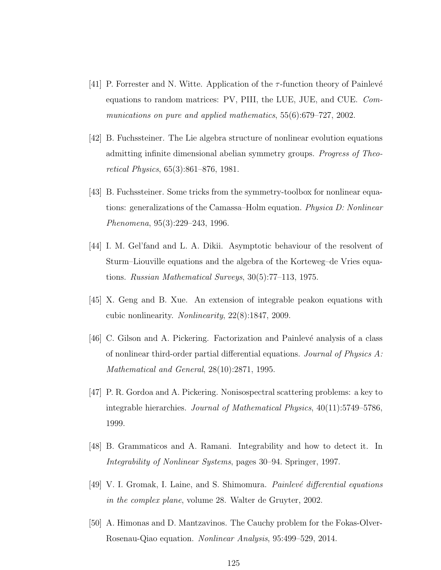- [41] P. Forrester and N. Witte. Application of the  $\tau$ -function theory of Painlevé equations to random matrices: PV, PIII, the LUE, JUE, and CUE. Communications on pure and applied mathematics, 55(6):679–727, 2002.
- [42] B. Fuchssteiner. The Lie algebra structure of nonlinear evolution equations admitting infinite dimensional abelian symmetry groups. Progress of Theoretical Physics, 65(3):861–876, 1981.
- [43] B. Fuchssteiner. Some tricks from the symmetry-toolbox for nonlinear equations: generalizations of the Camassa–Holm equation. Physica D: Nonlinear Phenomena, 95(3):229–243, 1996.
- [44] I. M. Gel'fand and L. A. Dikii. Asymptotic behaviour of the resolvent of Sturm–Liouville equations and the algebra of the Korteweg–de Vries equations. Russian Mathematical Surveys, 30(5):77–113, 1975.
- [45] X. Geng and B. Xue. An extension of integrable peakon equations with cubic nonlinearity. Nonlinearity, 22(8):1847, 2009.
- [46] C. Gilson and A. Pickering. Factorization and Painlevé analysis of a class of nonlinear third-order partial differential equations. Journal of Physics  $A$ : Mathematical and General, 28(10):2871, 1995.
- [47] P. R. Gordoa and A. Pickering. Nonisospectral scattering problems: a key to integrable hierarchies. Journal of Mathematical Physics, 40(11):5749–5786, 1999.
- [48] B. Grammaticos and A. Ramani. Integrability and how to detect it. In Integrability of Nonlinear Systems, pages 30–94. Springer, 1997.
- [49] V. I. Gromak, I. Laine, and S. Shimomura. *Painlevé differential equations* in the complex plane, volume 28. Walter de Gruyter, 2002.
- [50] A. Himonas and D. Mantzavinos. The Cauchy problem for the Fokas-Olver-Rosenau-Qiao equation. Nonlinear Analysis, 95:499–529, 2014.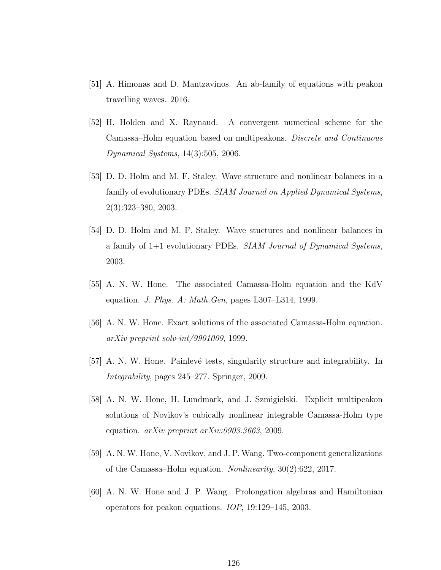- [51] A. Himonas and D. Mantzavinos. An ab-family of equations with peakon travelling waves. 2016.
- [52] H. Holden and X. Raynaud. A convergent numerical scheme for the Camassa–Holm equation based on multipeakons. Discrete and Continuous Dynamical Systems, 14(3):505, 2006.
- [53] D. D. Holm and M. F. Staley. Wave structure and nonlinear balances in a family of evolutionary PDEs. SIAM Journal on Applied Dynamical Systems, 2(3):323–380, 2003.
- [54] D. D. Holm and M. F. Staley. Wave stuctures and nonlinear balances in a family of 1+1 evolutionary PDEs. SIAM Journal of Dynamical Systems, 2003.
- [55] A. N. W. Hone. The associated Camassa-Holm equation and the KdV equation. J. Phys. A: Math. Gen, pages L307–L314, 1999.
- [56] A. N. W. Hone. Exact solutions of the associated Camassa-Holm equation. arXiv preprint solv-int/9901009, 1999.
- [57] A. N. W. Hone. Painlevé tests, singularity structure and integrability. In Integrability, pages 245–277. Springer, 2009.
- [58] A. N. W. Hone, H. Lundmark, and J. Szmigielski. Explicit multipeakon solutions of Novikov's cubically nonlinear integrable Camassa-Holm type equation. arXiv preprint arXiv:0903.3663, 2009.
- [59] A. N. W. Hone, V. Novikov, and J. P. Wang. Two-component generalizations of the Camassa–Holm equation. Nonlinearity, 30(2):622, 2017.
- [60] A. N. W. Hone and J. P. Wang. Prolongation algebras and Hamiltonian operators for peakon equations. IOP, 19:129–145, 2003.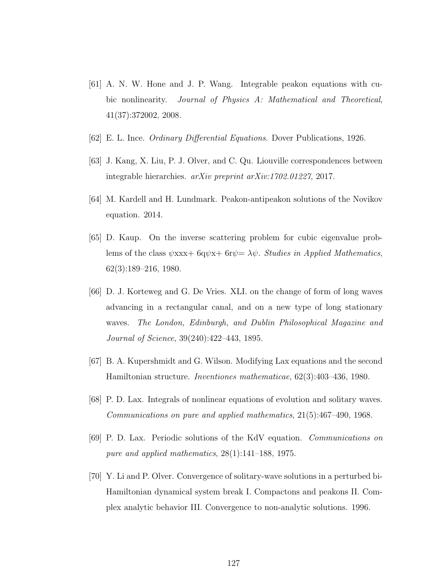- [61] A. N. W. Hone and J. P. Wang. Integrable peakon equations with cubic nonlinearity. Journal of Physics A: Mathematical and Theoretical, 41(37):372002, 2008.
- [62] E. L. Ince. Ordinary Differential Equations. Dover Publications, 1926.
- [63] J. Kang, X. Liu, P. J. Olver, and C. Qu. Liouville correspondences between integrable hierarchies. arXiv preprint arXiv:1702.01227, 2017.
- [64] M. Kardell and H. Lundmark. Peakon-antipeakon solutions of the Novikov equation. 2014.
- [65] D. Kaup. On the inverse scattering problem for cubic eigenvalue problems of the class  $\psi$ xxx+ 6q $\psi$ x+ 6r $\psi = \lambda \psi$ . *Studies in Applied Mathematics*, 62(3):189–216, 1980.
- [66] D. J. Korteweg and G. De Vries. XLI. on the change of form of long waves advancing in a rectangular canal, and on a new type of long stationary waves. The London, Edinburgh, and Dublin Philosophical Magazine and Journal of Science, 39(240):422–443, 1895.
- [67] B. A. Kupershmidt and G. Wilson. Modifying Lax equations and the second Hamiltonian structure. Inventiones mathematicae, 62(3):403–436, 1980.
- [68] P. D. Lax. Integrals of nonlinear equations of evolution and solitary waves. Communications on pure and applied mathematics, 21(5):467–490, 1968.
- [69] P. D. Lax. Periodic solutions of the KdV equation. Communications on pure and applied mathematics, 28(1):141–188, 1975.
- [70] Y. Li and P. Olver. Convergence of solitary-wave solutions in a perturbed bi-Hamiltonian dynamical system break I. Compactons and peakons II. Complex analytic behavior III. Convergence to non-analytic solutions. 1996.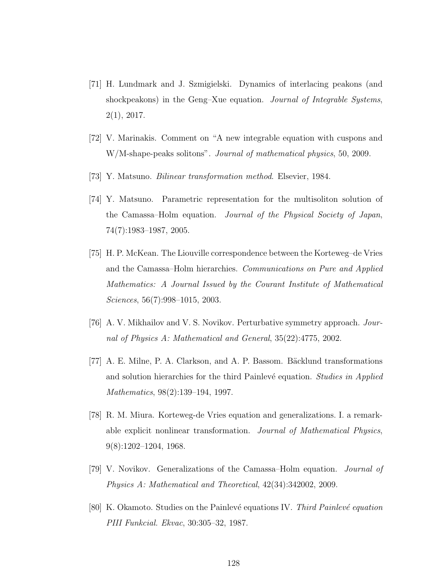- [71] H. Lundmark and J. Szmigielski. Dynamics of interlacing peakons (and shockpeakons) in the Geng–Xue equation. Journal of Integrable Systems, 2(1), 2017.
- [72] V. Marinakis. Comment on "A new integrable equation with cuspons and W/M-shape-peaks solitons". Journal of mathematical physics, 50, 2009.
- [73] Y. Matsuno. Bilinear transformation method. Elsevier, 1984.
- [74] Y. Matsuno. Parametric representation for the multisoliton solution of the Camassa–Holm equation. Journal of the Physical Society of Japan, 74(7):1983–1987, 2005.
- [75] H. P. McKean. The Liouville correspondence between the Korteweg–de Vries and the Camassa–Holm hierarchies. Communications on Pure and Applied Mathematics: A Journal Issued by the Courant Institute of Mathematical Sciences, 56(7):998–1015, 2003.
- [76] A. V. Mikhailov and V. S. Novikov. Perturbative symmetry approach. Journal of Physics A: Mathematical and General, 35(22):4775, 2002.
- [77] A. E. Milne, P. A. Clarkson, and A. P. Bassom. Bäcklund transformations and solution hierarchies for the third Painlevé equation. Studies in Applied Mathematics, 98(2):139–194, 1997.
- [78] R. M. Miura. Korteweg-de Vries equation and generalizations. I. a remarkable explicit nonlinear transformation. Journal of Mathematical Physics, 9(8):1202–1204, 1968.
- [79] V. Novikov. Generalizations of the Camassa–Holm equation. Journal of Physics A: Mathematical and Theoretical, 42(34):342002, 2009.
- [80] K. Okamoto. Studies on the Painlevé equations IV. Third Painlevé equation PIII Funkcial. Ekvac, 30:305–32, 1987.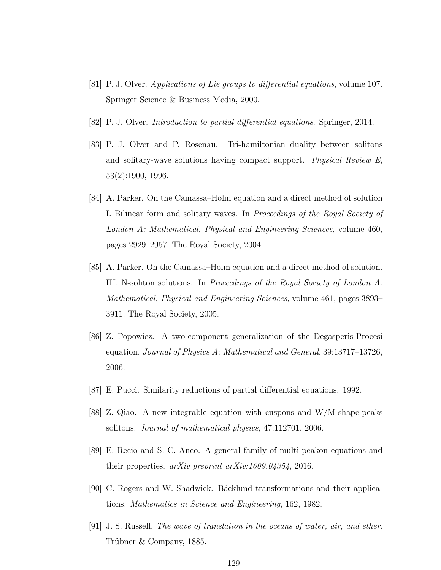- [81] P. J. Olver. Applications of Lie groups to differential equations, volume 107. Springer Science & Business Media, 2000.
- [82] P. J. Olver. Introduction to partial differential equations. Springer, 2014.
- [83] P. J. Olver and P. Rosenau. Tri-hamiltonian duality between solitons and solitary-wave solutions having compact support. Physical Review E, 53(2):1900, 1996.
- [84] A. Parker. On the Camassa–Holm equation and a direct method of solution I. Bilinear form and solitary waves. In Proceedings of the Royal Society of London A: Mathematical, Physical and Engineering Sciences, volume 460, pages 2929–2957. The Royal Society, 2004.
- [85] A. Parker. On the Camassa–Holm equation and a direct method of solution. III. N-soliton solutions. In Proceedings of the Royal Society of London  $A$ : Mathematical, Physical and Engineering Sciences, volume 461, pages 3893– 3911. The Royal Society, 2005.
- [86] Z. Popowicz. A two-component generalization of the Degasperis-Procesi equation. Journal of Physics A: Mathematical and General, 39:13717–13726, 2006.
- [87] E. Pucci. Similarity reductions of partial differential equations. 1992.
- [88] Z. Qiao. A new integrable equation with cuspons and W/M-shape-peaks solitons. Journal of mathematical physics, 47:112701, 2006.
- [89] E. Recio and S. C. Anco. A general family of multi-peakon equations and their properties.  $arXiv$  preprint  $arXiv:1609.04354$ , 2016.
- [90] C. Rogers and W. Shadwick. Bäcklund transformations and their applications. Mathematics in Science and Engineering, 162, 1982.
- [91] J. S. Russell. The wave of translation in the oceans of water, air, and ether. Trübner  $& Company, 1885.$